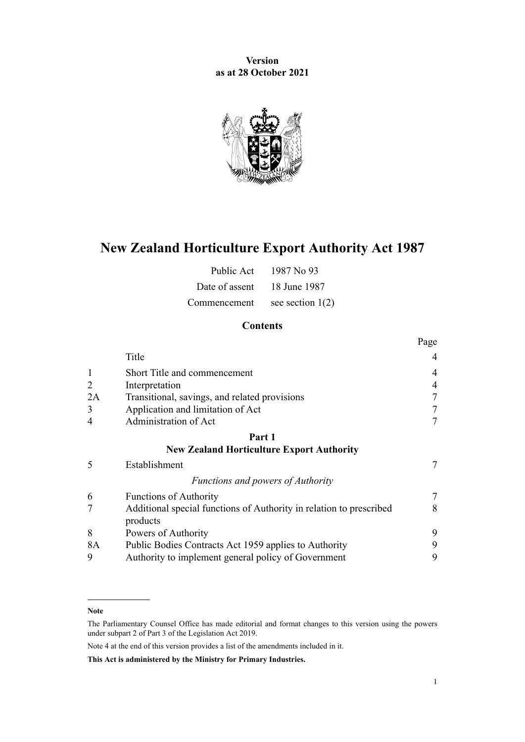**Version as at 28 October 2021**



# **New Zealand Horticulture Export Authority Act 1987**

| Public Act                  | 1987 No. 93        |
|-----------------------------|--------------------|
| Date of assent 18 June 1987 |                    |
| Commencement                | see section $1(2)$ |

# **Contents**

|                |                                                                                 | Page           |
|----------------|---------------------------------------------------------------------------------|----------------|
|                | Title                                                                           | 4              |
| $\mathbf{1}$   | Short Title and commencement                                                    | 4              |
| $\overline{2}$ | Interpretation                                                                  | 4              |
| 2A             | Transitional, savings, and related provisions                                   | 7              |
| 3              | Application and limitation of Act                                               | 7              |
| $\overline{4}$ | Administration of Act                                                           | 7              |
|                | Part 1                                                                          |                |
|                | <b>New Zealand Horticulture Export Authority</b>                                |                |
| 5              | Establishment                                                                   | $\overline{7}$ |
|                | Functions and powers of Authority                                               |                |
| 6              | <b>Functions of Authority</b>                                                   | 7              |
| 7              | Additional special functions of Authority in relation to prescribed<br>products | 8              |
| 8              | Powers of Authority                                                             | 9              |
| 8A             | Public Bodies Contracts Act 1959 applies to Authority                           | 9              |
| 9              | Authority to implement general policy of Government                             | 9              |

#### **Note**

Note 4 at the end of this version provides a list of the amendments included in it.

**This Act is administered by the Ministry for Primary Industries.**

The Parliamentary Counsel Office has made editorial and format changes to this version using the powers under [subpart 2](http://legislation.govt.nz/pdflink.aspx?id=DLM7298371) of Part 3 of the Legislation Act 2019.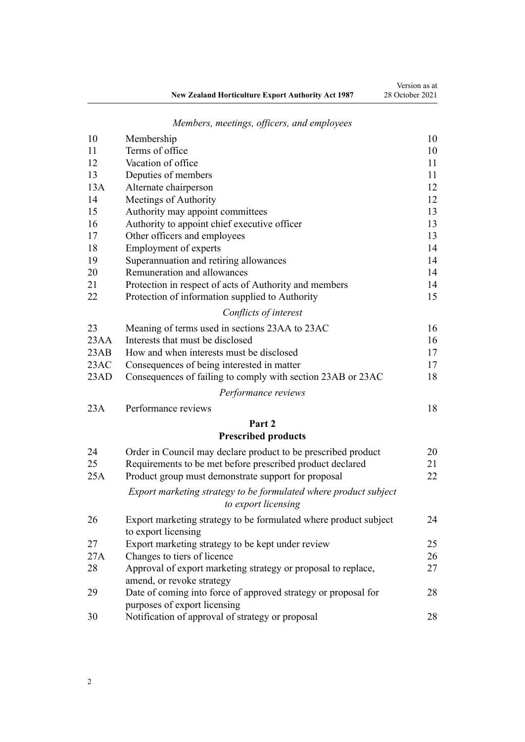|                                                           | Version as at   |
|-----------------------------------------------------------|-----------------|
| <b>New Zealand Horticulture Export Authority Act 1987</b> | 28 October 2021 |

# *[Members, meetings, officers, and employees](#page-9-0)*

| 10   | Membership                                                                              | 10 |
|------|-----------------------------------------------------------------------------------------|----|
| 11   | Terms of office                                                                         | 10 |
| 12   | Vacation of office                                                                      | 11 |
| 13   | Deputies of members                                                                     | 11 |
| 13A  | Alternate chairperson                                                                   | 12 |
| 14   | Meetings of Authority                                                                   | 12 |
| 15   | Authority may appoint committees                                                        | 13 |
| 16   | Authority to appoint chief executive officer                                            | 13 |
| 17   | Other officers and employees                                                            | 13 |
| 18   | Employment of experts                                                                   | 14 |
| 19   | Superannuation and retiring allowances                                                  | 14 |
| 20   | Remuneration and allowances                                                             | 14 |
| 21   | Protection in respect of acts of Authority and members                                  | 14 |
| 22   | Protection of information supplied to Authority                                         | 15 |
|      | Conflicts of interest                                                                   |    |
| 23   | Meaning of terms used in sections 23AA to 23AC                                          | 16 |
| 23AA | Interests that must be disclosed                                                        | 16 |
| 23AB | How and when interests must be disclosed                                                | 17 |
| 23AC | Consequences of being interested in matter                                              | 17 |
| 23AD | Consequences of failing to comply with section 23AB or 23AC                             | 18 |
|      | Performance reviews                                                                     |    |
| 23A  | Performance reviews                                                                     | 18 |
|      | Part 2                                                                                  |    |
|      | <b>Prescribed products</b>                                                              |    |
| 24   | Order in Council may declare product to be prescribed product                           | 20 |
| 25   | Requirements to be met before prescribed product declared                               | 21 |
| 25A  | Product group must demonstrate support for proposal                                     | 22 |
|      |                                                                                         |    |
|      | Export marketing strategy to be formulated where product subject<br>to export licensing |    |
| 26   | Export marketing strategy to be formulated where product subject<br>to export licensing | 24 |
| 27   | Export marketing strategy to be kept under review                                       | 25 |
| 27A  | Changes to tiers of licence                                                             | 26 |
| 28   | Approval of export marketing strategy or proposal to replace,                           | 27 |
|      | amend, or revoke strategy                                                               |    |
| 29   | Date of coming into force of approved strategy or proposal for                          | 28 |
|      | purposes of export licensing                                                            |    |
| 30   | Notification of approval of strategy or proposal                                        | 28 |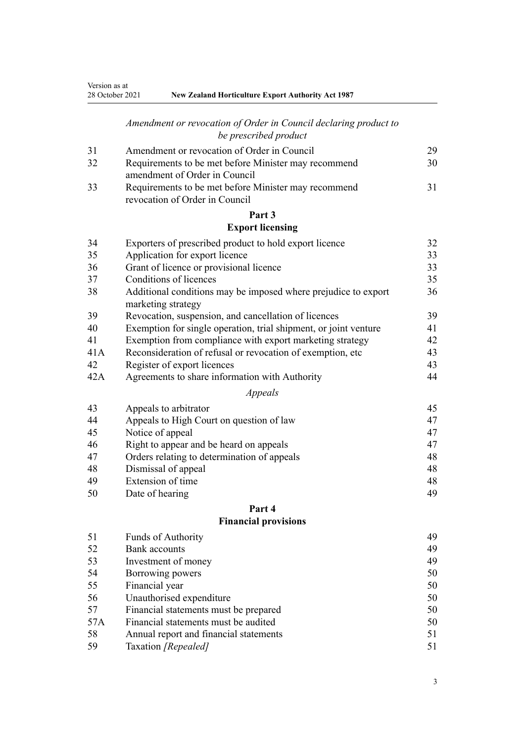# *[Amendment or revocation of Order in Council declaring product to](#page-28-0) [be prescribed product](#page-28-0)*

| 31 | Amendment or revocation of Order in Council                                            | 29 |
|----|----------------------------------------------------------------------------------------|----|
| 32 | Requirements to be met before Minister may recommend                                   | 30 |
|    | amendment of Order in Council                                                          |    |
| 33 | Requirements to be met before Minister may recommend<br>revocation of Order in Council | 31 |

#### **[Part 3](#page-31-0) [Export licensing](#page-31-0)**

| 34  | Exporters of prescribed product to hold export licence                               | 32 |
|-----|--------------------------------------------------------------------------------------|----|
| 35  | Application for export licence                                                       | 33 |
| 36  | Grant of licence or provisional licence                                              | 33 |
| 37  | Conditions of licences                                                               | 35 |
| 38  | Additional conditions may be imposed where prejudice to export<br>marketing strategy | 36 |
| 39  | Revocation, suspension, and cancellation of licences                                 | 39 |
| 40  | Exemption for single operation, trial shipment, or joint venture                     | 41 |
| 41  | Exemption from compliance with export marketing strategy                             | 42 |
| 41A | Reconsideration of refusal or revocation of exemption, etc                           | 43 |
| 42  | Register of export licences                                                          | 43 |
| 42A | Agreements to share information with Authority                                       | 44 |
|     | Appeals                                                                              |    |
| 43  | Appeals to arbitrator                                                                | 45 |
| 44  | Appeals to High Court on question of law                                             | 47 |
| 45  | Notice of appeal                                                                     | 47 |
| 46  | Right to appear and be heard on appeals                                              | 47 |
| 47  | Orders relating to determination of appeals                                          | 48 |
| 48  | Dismissal of appeal                                                                  | 48 |

[Extension of time](#page-47-0) [48](#page-47-0)

[Date of hearing](#page-48-0) [49](#page-48-0)

# **[Part 4](#page-48-0) [Financial provisions](#page-48-0)**

| 51  | Funds of Authority                     | 49 |
|-----|----------------------------------------|----|
| 52  | <b>Bank</b> accounts                   | 49 |
| 53  | Investment of money                    | 49 |
| 54  | Borrowing powers                       | 50 |
| 55  | Financial year                         | 50 |
| 56  | Unauthorised expenditure               | 50 |
| 57  | Financial statements must be prepared  | 50 |
| 57A | Financial statements must be audited   | 50 |
| 58  | Annual report and financial statements | 51 |
| 59  | Taxation [Repealed]                    | 51 |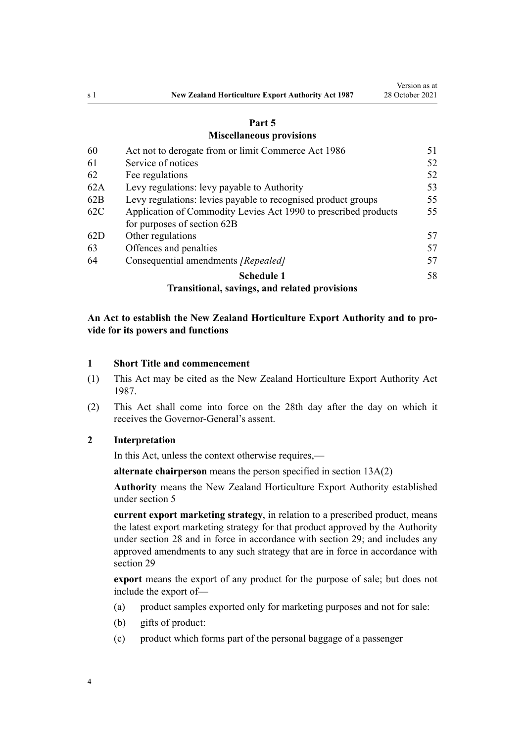#### **[Part 5](#page-50-0)**

#### **[Miscellaneous provisions](#page-50-0)**

<span id="page-3-0"></span>

| 60  | Act not to derogate from or limit Commerce Act 1986             | 51 |
|-----|-----------------------------------------------------------------|----|
| 61  | Service of notices                                              | 52 |
| 62  | Fee regulations                                                 | 52 |
| 62A | Levy regulations: levy payable to Authority                     | 53 |
| 62B | Levy regulations: levies payable to recognised product groups   | 55 |
| 62C | Application of Commodity Levies Act 1990 to prescribed products | 55 |
|     | for purposes of section 62B                                     |    |
| 62D | Other regulations                                               | 57 |
| 63  | Offences and penalties                                          | 57 |
| 64  | Consequential amendments [Repealed]                             | 57 |
|     | <b>Schedule 1</b>                                               | 58 |
|     |                                                                 |    |

# **[Transitional, savings, and related provisions](#page-57-0)**

# **An Act to establish the New Zealand Horticulture Export Authority and to pro‐ vide for its powers and functions**

#### **1 Short Title and commencement**

- (1) This Act may be cited as the New Zealand Horticulture Export Authority Act 1987.
- (2) This Act shall come into force on the 28th day after the day on which it receives the Governor-General's assent.

#### **2 Interpretation**

In this Act, unless the context otherwise requires,—

**alternate chairperson** means the person specified in [section 13A\(2\)](#page-11-0)

**Authority** means the New Zealand Horticulture Export Authority established under [section 5](#page-6-0)

**current export marketing strategy**, in relation to a prescribed product, means the latest export marketing strategy for that product approved by the Authority under [section 28](#page-26-0) and in force in accordance with [section 29](#page-27-0); and includes any approved amendments to any such strategy that are in force in accordance with section 29

**export** means the export of any product for the purpose of sale; but does not include the export of—

- (a) product samples exported only for marketing purposes and not for sale:
- (b) gifts of product:
- (c) product which forms part of the personal baggage of a passenger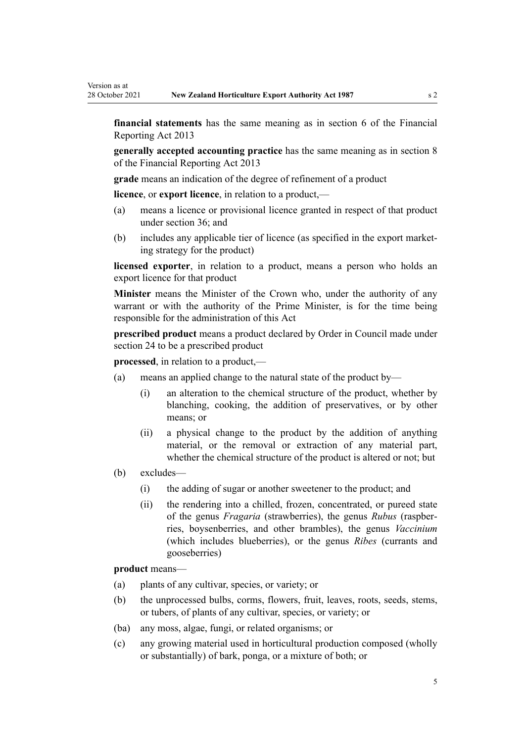**financial statements** has the same meaning as in [section 6](http://legislation.govt.nz/pdflink.aspx?id=DLM4632890) of the Financial Reporting Act 2013

**generally accepted accounting practice** has the same meaning as in [section 8](http://legislation.govt.nz/pdflink.aspx?id=DLM4632894) of the Financial Reporting Act 2013

**grade** means an indication of the degree of refinement of a product

**licence**, or **export licence**, in relation to a product,—

- (a) means a licence or provisional licence granted in respect of that product under [section 36](#page-32-0); and
- (b) includes any applicable tier of licence (as specified in the export market‐ ing strategy for the product)

**licensed exporter**, in relation to a product, means a person who holds an export licence for that product

**Minister** means the Minister of the Crown who, under the authority of any warrant or with the authority of the Prime Minister, is for the time being responsible for the administration of this Act

**prescribed product** means a product declared by Order in Council made under [section 24](#page-19-0) to be a prescribed product

**processed**, in relation to a product,—

- (a) means an applied change to the natural state of the product by—
	- (i) an alteration to the chemical structure of the product, whether by blanching, cooking, the addition of preservatives, or by other means; or
	- (ii) a physical change to the product by the addition of anything material, or the removal or extraction of any material part, whether the chemical structure of the product is altered or not; but
- (b) excludes—

Version as at

- (i) the adding of sugar or another sweetener to the product; and
- (ii) the rendering into a chilled, frozen, concentrated, or pureed state of the genus *Fragaria* (strawberries), the genus *Rubus* (raspber‐ ries, boysenberries, and other brambles), the genus *Vaccinium* (which includes blueberries), or the genus *Ribes* (currants and gooseberries)

**product** means—

- (a) plants of any cultivar, species, or variety; or
- (b) the unprocessed bulbs, corms, flowers, fruit, leaves, roots, seeds, stems, or tubers, of plants of any cultivar, species, or variety; or
- (ba) any moss, algae, fungi, or related organisms; or
- (c) any growing material used in horticultural production composed (wholly or substantially) of bark, ponga, or a mixture of both; or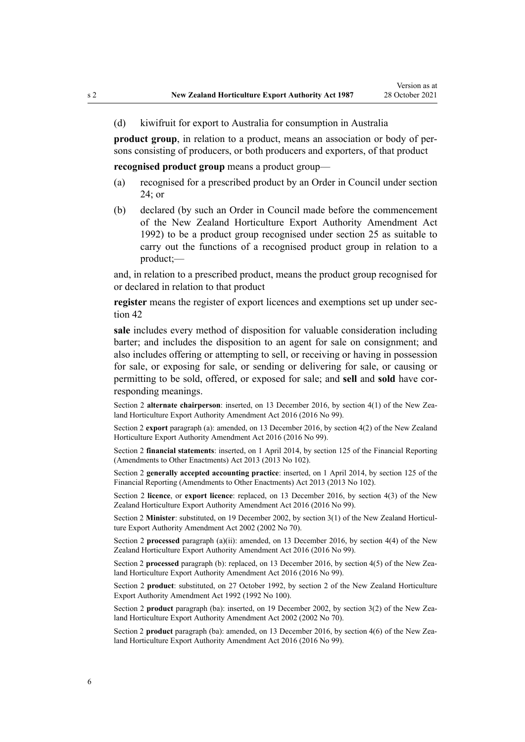(d) kiwifruit for export to Australia for consumption in Australia

**product group**, in relation to a product, means an association or body of per‐ sons consisting of producers, or both producers and exporters, of that product

**recognised product group** means a product group—

- (a) recognised for a prescribed product by an Order in Council under [section](#page-19-0) [24;](#page-19-0) or
- (b) declared (by such an Order in Council made before the commencement of the [New Zealand Horticulture Export Authority Amendment Act](http://legislation.govt.nz/pdflink.aspx?id=DLM280613) [1992](http://legislation.govt.nz/pdflink.aspx?id=DLM280613)) to be a product group recognised under [section 25](#page-20-0) as suitable to carry out the functions of a recognised product group in relation to a product;—

and, in relation to a prescribed product, means the product group recognised for or declared in relation to that product

register means the register of export licences and exemptions set up under sec[tion 42](#page-42-0)

**sale** includes every method of disposition for valuable consideration including barter; and includes the disposition to an agent for sale on consignment; and also includes offering or attempting to sell, or receiving or having in possession for sale, or exposing for sale, or sending or delivering for sale, or causing or permitting to be sold, offered, or exposed for sale; and **sell** and **sold** have cor‐ responding meanings.

Section 2 **alternate chairperson**: inserted, on 13 December 2016, by [section 4\(1\)](http://legislation.govt.nz/pdflink.aspx?id=DLM6675617) of the New Zealand Horticulture Export Authority Amendment Act 2016 (2016 No 99).

Section 2 **export** paragraph (a): amended, on 13 December 2016, by [section 4\(2\)](http://legislation.govt.nz/pdflink.aspx?id=DLM6675617) of the New Zealand Horticulture Export Authority Amendment Act 2016 (2016 No 99).

Section 2 **financial statements**: inserted, on 1 April 2014, by [section 125](http://legislation.govt.nz/pdflink.aspx?id=DLM5740664) of the Financial Reporting (Amendments to Other Enactments) Act 2013 (2013 No 102).

Section 2 **generally accepted accounting practice**: inserted, on 1 April 2014, by [section 125](http://legislation.govt.nz/pdflink.aspx?id=DLM5740664) of the Financial Reporting (Amendments to Other Enactments) Act 2013 (2013 No 102).

Section 2 **licence**, or **export licence**: replaced, on 13 December 2016, by [section 4\(3\)](http://legislation.govt.nz/pdflink.aspx?id=DLM6675617) of the New Zealand Horticulture Export Authority Amendment Act 2016 (2016 No 99).

Section 2 Minister: substituted, on 19 December 2002, by [section 3\(1\)](http://legislation.govt.nz/pdflink.aspx?id=DLM169059) of the New Zealand Horticulture Export Authority Amendment Act 2002 (2002 No 70).

Section 2 **processed** paragraph (a)(ii): amended, on 13 December 2016, by [section 4\(4\)](http://legislation.govt.nz/pdflink.aspx?id=DLM6675617) of the New Zealand Horticulture Export Authority Amendment Act 2016 (2016 No 99).

Section 2 **processed** paragraph (b): replaced, on 13 December 2016, by [section 4\(5\)](http://legislation.govt.nz/pdflink.aspx?id=DLM6675617) of the New Zealand Horticulture Export Authority Amendment Act 2016 (2016 No 99).

Section 2 **product**: substituted, on 27 October 1992, by [section 2](http://legislation.govt.nz/pdflink.aspx?id=DLM280620) of the New Zealand Horticulture Export Authority Amendment Act 1992 (1992 No 100).

Section 2 **product** paragraph (ba): inserted, on 19 December 2002, by [section 3\(2\)](http://legislation.govt.nz/pdflink.aspx?id=DLM169059) of the New Zealand Horticulture Export Authority Amendment Act 2002 (2002 No 70).

Section 2 **product** paragraph (ba): amended, on 13 December 2016, by [section 4\(6\)](http://legislation.govt.nz/pdflink.aspx?id=DLM6675617) of the New Zealand Horticulture Export Authority Amendment Act 2016 (2016 No 99).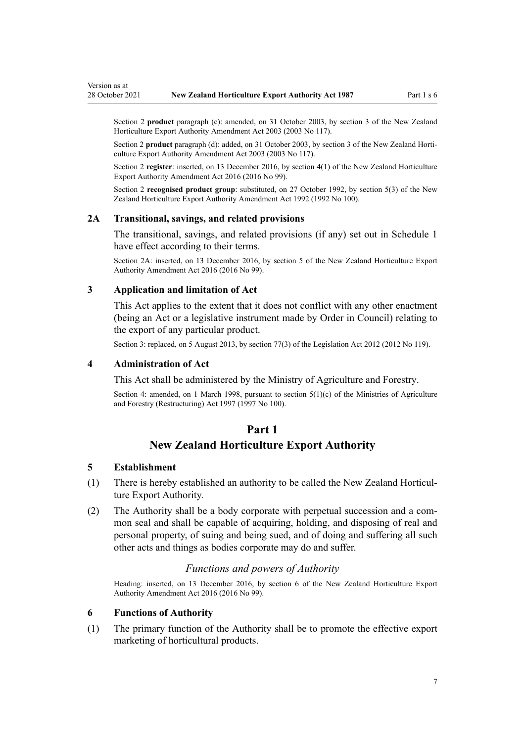<span id="page-6-0"></span>Section 2 **product** paragraph (c): amended, on 31 October 2003, by [section 3](http://legislation.govt.nz/pdflink.aspx?id=DLM226215) of the New Zealand Horticulture Export Authority Amendment Act 2003 (2003 No 117).

Section 2 **product** paragraph (d): added, on 31 October 2003, by [section 3](http://legislation.govt.nz/pdflink.aspx?id=DLM226215) of the New Zealand Horticulture Export Authority Amendment Act 2003 (2003 No 117).

Section 2 **register**: inserted, on 13 December 2016, by [section 4\(1\)](http://legislation.govt.nz/pdflink.aspx?id=DLM6675617) of the New Zealand Horticulture Export Authority Amendment Act 2016 (2016 No 99).

Section 2 **recognised product group**: substituted, on 27 October 1992, by [section 5\(3\)](http://legislation.govt.nz/pdflink.aspx?id=DLM280624) of the New Zealand Horticulture Export Authority Amendment Act 1992 (1992 No 100).

#### **2A Transitional, savings, and related provisions**

The transitional, savings, and related provisions (if any) set out in [Schedule 1](#page-57-0) have effect according to their terms.

Section 2A: inserted, on 13 December 2016, by [section 5](http://legislation.govt.nz/pdflink.aspx?id=DLM6675629) of the New Zealand Horticulture Export Authority Amendment Act 2016 (2016 No 99).

#### **3 Application and limitation of Act**

This Act applies to the extent that it does not conflict with any other enactment (being an Act or a legislative instrument made by Order in Council) relating to the export of any particular product.

Section 3: replaced, on 5 August 2013, by [section 77\(3\)](http://legislation.govt.nz/pdflink.aspx?id=DLM2998633) of the Legislation Act 2012 (2012 No 119).

#### **4 Administration of Act**

This Act shall be administered by the Ministry of Agriculture and Forestry.

Section 4: amended, on 1 March 1998, pursuant to section  $5(1)(c)$  of the Ministries of Agriculture and Forestry (Restructuring) Act 1997 (1997 No 100).

#### **Part 1**

## **New Zealand Horticulture Export Authority**

#### **5 Establishment**

- (1) There is hereby established an authority to be called the New Zealand Horticul‐ ture Export Authority.
- (2) The Authority shall be a body corporate with perpetual succession and a com‐ mon seal and shall be capable of acquiring, holding, and disposing of real and personal property, of suing and being sued, and of doing and suffering all such other acts and things as bodies corporate may do and suffer.

#### *Functions and powers of Authority*

Heading: inserted, on 13 December 2016, by [section 6](http://legislation.govt.nz/pdflink.aspx?id=DLM6675631) of the New Zealand Horticulture Export Authority Amendment Act 2016 (2016 No 99).

#### **6 Functions of Authority**

(1) The primary function of the Authority shall be to promote the effective export marketing of horticultural products.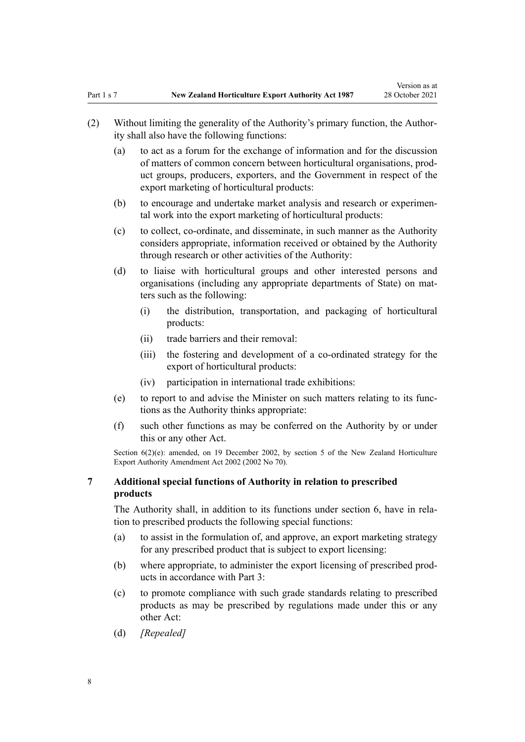- <span id="page-7-0"></span>(a) to act as a forum for the exchange of information and for the discussion of matters of common concern between horticultural organisations, prod‐ uct groups, producers, exporters, and the Government in respect of the export marketing of horticultural products:
- (b) to encourage and undertake market analysis and research or experimental work into the export marketing of horticultural products:
- (c) to collect, co-ordinate, and disseminate, in such manner as the Authority considers appropriate, information received or obtained by the Authority through research or other activities of the Authority:
- (d) to liaise with horticultural groups and other interested persons and organisations (including any appropriate departments of State) on mat‐ ters such as the following:
	- (i) the distribution, transportation, and packaging of horticultural products:
	- (ii) trade barriers and their removal:
	- (iii) the fostering and development of a co-ordinated strategy for the export of horticultural products:
	- (iv) participation in international trade exhibitions:
- (e) to report to and advise the Minister on such matters relating to its func‐ tions as the Authority thinks appropriate:
- (f) such other functions as may be conferred on the Authority by or under this or any other Act.

Section  $6(2)(e)$ : amended, on 19 December 2002, by [section 5](http://legislation.govt.nz/pdflink.aspx?id=DLM169063) of the New Zealand Horticulture Export Authority Amendment Act 2002 (2002 No 70).

#### **7 Additional special functions of Authority in relation to prescribed products**

The Authority shall, in addition to its functions under [section 6,](#page-6-0) have in rela‐ tion to prescribed products the following special functions:

- (a) to assist in the formulation of, and approve, an export marketing strategy for any prescribed product that is subject to export licensing:
- (b) where appropriate, to administer the export licensing of prescribed prod‐ ucts in accordance with [Part 3](#page-31-0):
- (c) to promote compliance with such grade standards relating to prescribed products as may be prescribed by regulations made under this or any other Act:
- (d) *[Repealed]*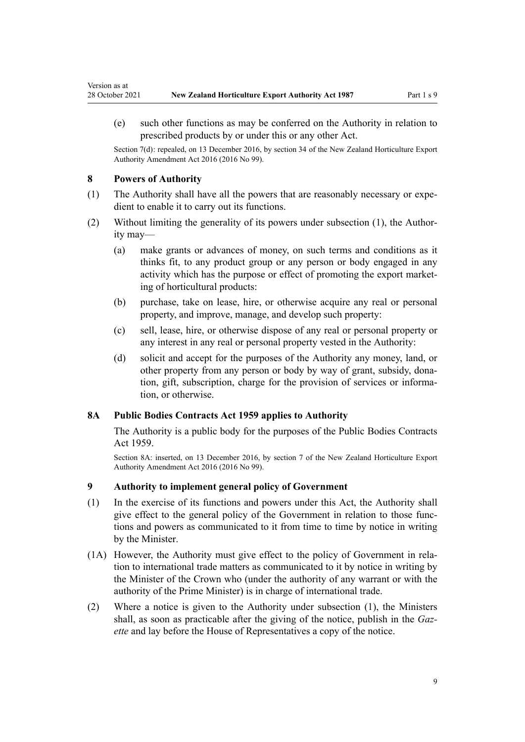(e) such other functions as may be conferred on the Authority in relation to prescribed products by or under this or any other Act.

Section 7(d): repealed, on 13 December 2016, by [section 34](http://legislation.govt.nz/pdflink.aspx?id=DLM6675707) of the New Zealand Horticulture Export Authority Amendment Act 2016 (2016 No 99).

#### **8 Powers of Authority**

<span id="page-8-0"></span>Version as at

- (1) The Authority shall have all the powers that are reasonably necessary or expe‐ dient to enable it to carry out its functions.
- (2) Without limiting the generality of its powers under subsection  $(1)$ , the Authority may—
	- (a) make grants or advances of money, on such terms and conditions as it thinks fit, to any product group or any person or body engaged in any activity which has the purpose or effect of promoting the export market‐ ing of horticultural products:
	- (b) purchase, take on lease, hire, or otherwise acquire any real or personal property, and improve, manage, and develop such property:
	- (c) sell, lease, hire, or otherwise dispose of any real or personal property or any interest in any real or personal property vested in the Authority:
	- (d) solicit and accept for the purposes of the Authority any money, land, or other property from any person or body by way of grant, subsidy, dona‐ tion, gift, subscription, charge for the provision of services or information, or otherwise.

# **8A Public Bodies Contracts Act 1959 applies to Authority**

The Authority is a public body for the purposes of the [Public Bodies Contracts](http://legislation.govt.nz/pdflink.aspx?id=DLM324218) [Act 1959.](http://legislation.govt.nz/pdflink.aspx?id=DLM324218)

Section 8A: inserted, on 13 December 2016, by [section 7](http://legislation.govt.nz/pdflink.aspx?id=DLM6675633) of the New Zealand Horticulture Export Authority Amendment Act 2016 (2016 No 99).

#### **9 Authority to implement general policy of Government**

- (1) In the exercise of its functions and powers under this Act, the Authority shall give effect to the general policy of the Government in relation to those functions and powers as communicated to it from time to time by notice in writing by the Minister.
- (1A) However, the Authority must give effect to the policy of Government in rela‐ tion to international trade matters as communicated to it by notice in writing by the Minister of the Crown who (under the authority of any warrant or with the authority of the Prime Minister) is in charge of international trade.
- (2) Where a notice is given to the Authority under subsection (1), the Ministers shall, as soon as practicable after the giving of the notice, publish in the *Gaz‐ ette* and lay before the House of Representatives a copy of the notice.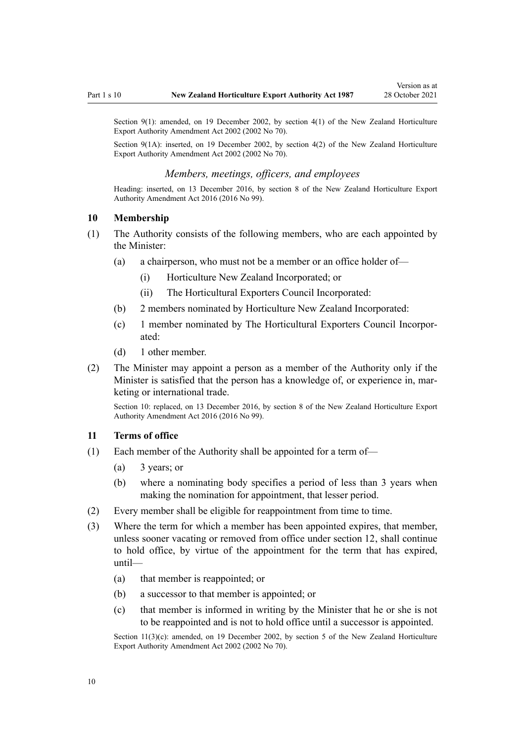<span id="page-9-0"></span>Section 9(1): amended, on 19 December 2002, by [section 4\(1\)](http://legislation.govt.nz/pdflink.aspx?id=DLM169062) of the New Zealand Horticulture Export Authority Amendment Act 2002 (2002 No 70).

Section 9(1A): inserted, on 19 December 2002, by [section 4\(2\)](http://legislation.govt.nz/pdflink.aspx?id=DLM169062) of the New Zealand Horticulture Export Authority Amendment Act 2002 (2002 No 70).

#### *Members, meetings, officers, and employees*

Heading: inserted, on 13 December 2016, by [section 8](http://legislation.govt.nz/pdflink.aspx?id=DLM6675635) of the New Zealand Horticulture Export Authority Amendment Act 2016 (2016 No 99).

#### **10 Membership**

- (1) The Authority consists of the following members, who are each appointed by the Minister:
	- (a) a chairperson, who must not be a member or an office holder of—
		- (i) Horticulture New Zealand Incorporated; or
		- (ii) The Horticultural Exporters Council Incorporated:
	- (b) 2 members nominated by Horticulture New Zealand Incorporated:
	- (c) 1 member nominated by The Horticultural Exporters Council Incorpor‐ ated:
	- (d) 1 other member.
- (2) The Minister may appoint a person as a member of the Authority only if the Minister is satisfied that the person has a knowledge of, or experience in, marketing or international trade.

Section 10: replaced, on 13 December 2016, by [section 8](http://legislation.govt.nz/pdflink.aspx?id=DLM6675635) of the New Zealand Horticulture Export Authority Amendment Act 2016 (2016 No 99).

#### **11 Terms of office**

- (1) Each member of the Authority shall be appointed for a term of—
	- (a) 3 years; or
	- (b) where a nominating body specifies a period of less than 3 years when making the nomination for appointment, that lesser period.
- (2) Every member shall be eligible for reappointment from time to time.
- (3) Where the term for which a member has been appointed expires, that member, unless sooner vacating or removed from office under [section 12](#page-10-0), shall continue to hold office, by virtue of the appointment for the term that has expired, until—
	- (a) that member is reappointed; or
	- (b) a successor to that member is appointed; or
	- (c) that member is informed in writing by the Minister that he or she is not to be reappointed and is not to hold office until a successor is appointed.

Section  $11(3)(c)$ : amended, on 19 December 2002, by [section 5](http://legislation.govt.nz/pdflink.aspx?id=DLM169063) of the New Zealand Horticulture Export Authority Amendment Act 2002 (2002 No 70).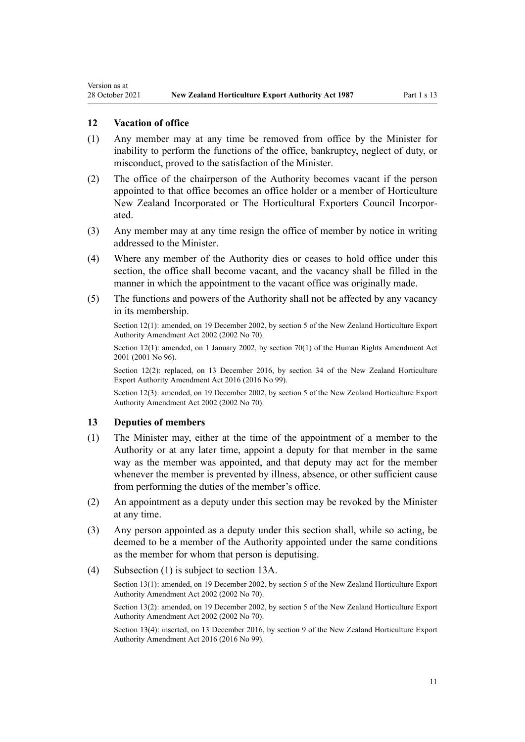#### **12 Vacation of office**

<span id="page-10-0"></span>Version as at

- (1) Any member may at any time be removed from office by the Minister for inability to perform the functions of the office, bankruptcy, neglect of duty, or misconduct, proved to the satisfaction of the Minister.
- (2) The office of the chairperson of the Authority becomes vacant if the person appointed to that office becomes an office holder or a member of Horticulture New Zealand Incorporated or The Horticultural Exporters Council Incorpor‐ ated.
- (3) Any member may at any time resign the office of member by notice in writing addressed to the Minister.
- (4) Where any member of the Authority dies or ceases to hold office under this section, the office shall become vacant, and the vacancy shall be filled in the manner in which the appointment to the vacant office was originally made.
- (5) The functions and powers of the Authority shall not be affected by any vacancy in its membership.

Section 12(1): amended, on 19 December 2002, by [section 5](http://legislation.govt.nz/pdflink.aspx?id=DLM169063) of the New Zealand Horticulture Export Authority Amendment Act 2002 (2002 No 70).

Section 12(1): amended, on 1 January 2002, by [section 70\(1\)](http://legislation.govt.nz/pdflink.aspx?id=DLM122579) of the Human Rights Amendment Act 2001 (2001 No 96).

Section 12(2): replaced, on 13 December 2016, by [section 34](http://legislation.govt.nz/pdflink.aspx?id=DLM6675707) of the New Zealand Horticulture Export Authority Amendment Act 2016 (2016 No 99).

Section 12(3): amended, on 19 December 2002, by [section 5](http://legislation.govt.nz/pdflink.aspx?id=DLM169063) of the New Zealand Horticulture Export Authority Amendment Act 2002 (2002 No 70).

#### **13 Deputies of members**

- (1) The Minister may, either at the time of the appointment of a member to the Authority or at any later time, appoint a deputy for that member in the same way as the member was appointed, and that deputy may act for the member whenever the member is prevented by illness, absence, or other sufficient cause from performing the duties of the member's office.
- (2) An appointment as a deputy under this section may be revoked by the Minister at any time.
- (3) Any person appointed as a deputy under this section shall, while so acting, be deemed to be a member of the Authority appointed under the same conditions as the member for whom that person is deputising.
- (4) Subsection (1) is subject to [section 13A.](#page-11-0)

Section 13(1): amended, on 19 December 2002, by [section 5](http://legislation.govt.nz/pdflink.aspx?id=DLM169063) of the New Zealand Horticulture Export Authority Amendment Act 2002 (2002 No 70).

Section 13(2): amended, on 19 December 2002, by [section 5](http://legislation.govt.nz/pdflink.aspx?id=DLM169063) of the New Zealand Horticulture Export Authority Amendment Act 2002 (2002 No 70).

Section 13(4): inserted, on 13 December 2016, by [section 9](http://legislation.govt.nz/pdflink.aspx?id=DLM6675638) of the New Zealand Horticulture Export Authority Amendment Act 2016 (2016 No 99).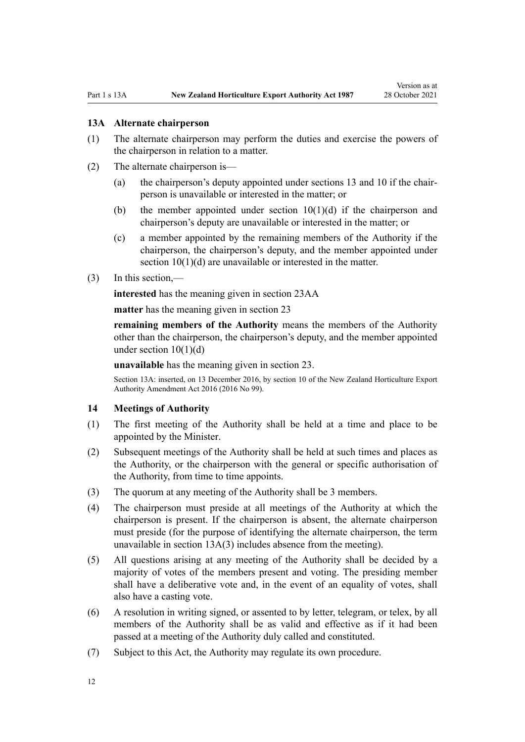#### <span id="page-11-0"></span>**13A Alternate chairperson**

- (1) The alternate chairperson may perform the duties and exercise the powers of the chairperson in relation to a matter.
- (2) The alternate chairperson is—
	- (a) the chairperson's deputy appointed under [sections 13](#page-10-0) and [10](#page-9-0) if the chair‐ person is unavailable or interested in the matter; or
	- (b) the member appointed under section  $10(1)(d)$  if the chairperson and chairperson's deputy are unavailable or interested in the matter; or
	- (c) a member appointed by the remaining members of the Authority if the chairperson, the chairperson's deputy, and the member appointed under [section 10\(1\)\(d\)](#page-9-0) are unavailable or interested in the matter.
- (3) In this section,—

**interested** has the meaning given in [section 23AA](#page-15-0)

**matter** has the meaning given in [section 23](#page-15-0)

**remaining members of the Authority** means the members of the Authority other than the chairperson, the chairperson's deputy, and the member appointed under section  $10(1)(d)$ 

**unavailable** has the meaning given in [section 23.](#page-15-0)

Section 13A: inserted, on 13 December 2016, by [section 10](http://legislation.govt.nz/pdflink.aspx?id=DLM6675639) of the New Zealand Horticulture Export Authority Amendment Act 2016 (2016 No 99).

#### **14 Meetings of Authority**

- (1) The first meeting of the Authority shall be held at a time and place to be appointed by the Minister.
- (2) Subsequent meetings of the Authority shall be held at such times and places as the Authority, or the chairperson with the general or specific authorisation of the Authority, from time to time appoints.
- (3) The quorum at any meeting of the Authority shall be 3 members.
- (4) The chairperson must preside at all meetings of the Authority at which the chairperson is present. If the chairperson is absent, the alternate chairperson must preside (for the purpose of identifying the alternate chairperson, the term unavailable in section 13A(3) includes absence from the meeting).
- (5) All questions arising at any meeting of the Authority shall be decided by a majority of votes of the members present and voting. The presiding member shall have a deliberative vote and, in the event of an equality of votes, shall also have a casting vote.
- (6) A resolution in writing signed, or assented to by letter, telegram, or telex, by all members of the Authority shall be as valid and effective as if it had been passed at a meeting of the Authority duly called and constituted.
- (7) Subject to this Act, the Authority may regulate its own procedure.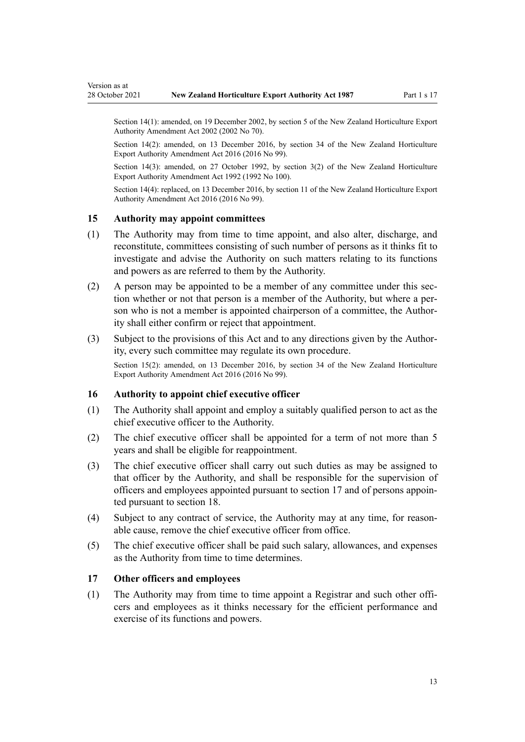Section 14(1): amended, on 19 December 2002, by [section 5](http://legislation.govt.nz/pdflink.aspx?id=DLM169063) of the New Zealand Horticulture Export Authority Amendment Act 2002 (2002 No 70).

Section 14(2): amended, on 13 December 2016, by [section 34](http://legislation.govt.nz/pdflink.aspx?id=DLM6675707) of the New Zealand Horticulture Export Authority Amendment Act 2016 (2016 No 99).

Section 14(3): amended, on 27 October 1992, by [section 3\(2\)](http://legislation.govt.nz/pdflink.aspx?id=DLM280622) of the New Zealand Horticulture Export Authority Amendment Act 1992 (1992 No 100).

Section 14(4): replaced, on 13 December 2016, by [section 11](http://legislation.govt.nz/pdflink.aspx?id=DLM6675647) of the New Zealand Horticulture Export Authority Amendment Act 2016 (2016 No 99).

#### **15 Authority may appoint committees**

<span id="page-12-0"></span>Version as at

- (1) The Authority may from time to time appoint, and also alter, discharge, and reconstitute, committees consisting of such number of persons as it thinks fit to investigate and advise the Authority on such matters relating to its functions and powers as are referred to them by the Authority.
- (2) A person may be appointed to be a member of any committee under this section whether or not that person is a member of the Authority, but where a per‐ son who is not a member is appointed chairperson of a committee, the Authority shall either confirm or reject that appointment.
- (3) Subject to the provisions of this Act and to any directions given by the Author‐ ity, every such committee may regulate its own procedure.

Section 15(2): amended, on 13 December 2016, by [section 34](http://legislation.govt.nz/pdflink.aspx?id=DLM6675707) of the New Zealand Horticulture Export Authority Amendment Act 2016 (2016 No 99).

#### **16 Authority to appoint chief executive officer**

- (1) The Authority shall appoint and employ a suitably qualified person to act as the chief executive officer to the Authority.
- (2) The chief executive officer shall be appointed for a term of not more than 5 years and shall be eligible for reappointment.
- (3) The chief executive officer shall carry out such duties as may be assigned to that officer by the Authority, and shall be responsible for the supervision of officers and employees appointed pursuant to section 17 and of persons appoin‐ ted pursuant to [section 18](#page-13-0).
- (4) Subject to any contract of service, the Authority may at any time, for reason‐ able cause, remove the chief executive officer from office.
- (5) The chief executive officer shall be paid such salary, allowances, and expenses as the Authority from time to time determines.

#### **17 Other officers and employees**

(1) The Authority may from time to time appoint a Registrar and such other offi‐ cers and employees as it thinks necessary for the efficient performance and exercise of its functions and powers.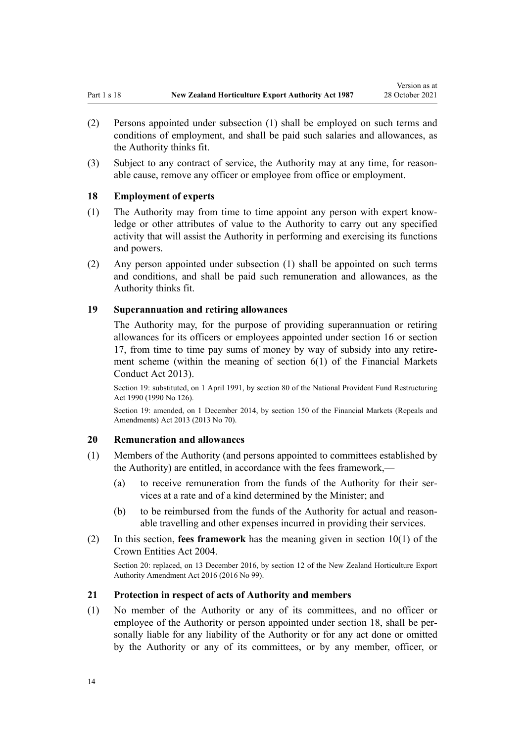Version as at

- <span id="page-13-0"></span>(2) Persons appointed under subsection (1) shall be employed on such terms and conditions of employment, and shall be paid such salaries and allowances, as the Authority thinks fit.
- (3) Subject to any contract of service, the Authority may at any time, for reason‐ able cause, remove any officer or employee from office or employment.

#### **18 Employment of experts**

- (1) The Authority may from time to time appoint any person with expert know‐ ledge or other attributes of value to the Authority to carry out any specified activity that will assist the Authority in performing and exercising its functions and powers.
- (2) Any person appointed under subsection (1) shall be appointed on such terms and conditions, and shall be paid such remuneration and allowances, as the Authority thinks fit.

#### **19 Superannuation and retiring allowances**

The Authority may, for the purpose of providing superannuation or retiring allowances for its officers or employees appointed under [section 16](#page-12-0) or [section](#page-12-0) [17,](#page-12-0) from time to time pay sums of money by way of subsidy into any retire‐ ment scheme (within the meaning of [section 6\(1\)](http://legislation.govt.nz/pdflink.aspx?id=DLM4090590) of the Financial Markets Conduct Act 2013).

Section 19: substituted, on 1 April 1991, by [section 80](http://legislation.govt.nz/pdflink.aspx?id=DLM226616) of the National Provident Fund Restructuring Act 1990 (1990 No 126).

Section 19: amended, on 1 December 2014, by [section 150](http://legislation.govt.nz/pdflink.aspx?id=DLM5561603) of the Financial Markets (Repeals and Amendments) Act 2013 (2013 No 70).

#### **20 Remuneration and allowances**

- (1) Members of the Authority (and persons appointed to committees established by the Authority) are entitled, in accordance with the fees framework,—
	- (a) to receive remuneration from the funds of the Authority for their services at a rate and of a kind determined by the Minister; and
	- (b) to be reimbursed from the funds of the Authority for actual and reasonable travelling and other expenses incurred in providing their services.
- (2) In this section, **fees framework** has the meaning given in [section 10\(1\)](http://legislation.govt.nz/pdflink.aspx?id=DLM329649) of the Crown Entities Act 2004.

Section 20: replaced, on 13 December 2016, by [section 12](http://legislation.govt.nz/pdflink.aspx?id=DLM6675648) of the New Zealand Horticulture Export Authority Amendment Act 2016 (2016 No 99).

#### **21 Protection in respect of acts of Authority and members**

(1) No member of the Authority or any of its committees, and no officer or employee of the Authority or person appointed under section 18, shall be personally liable for any liability of the Authority or for any act done or omitted by the Authority or any of its committees, or by any member, officer, or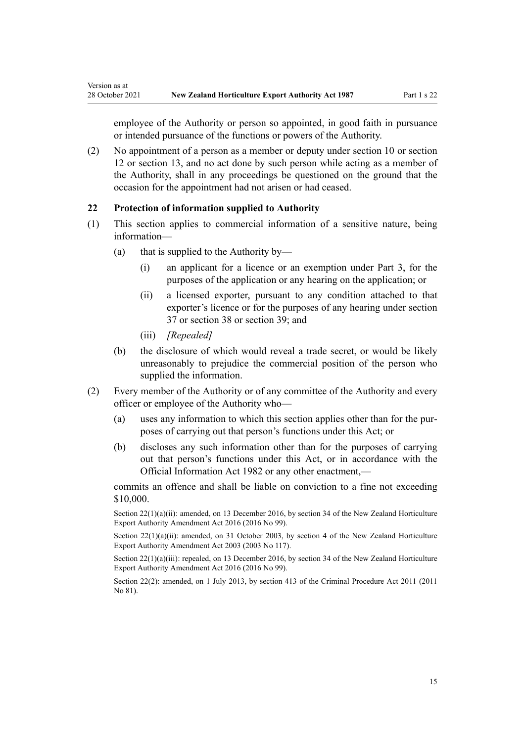<span id="page-14-0"></span>employee of the Authority or person so appointed, in good faith in pursuance or intended pursuance of the functions or powers of the Authority.

(2) No appointment of a person as a member or deputy under [section 10](#page-9-0) or [section](#page-10-0) [12](#page-10-0) or [section 13,](#page-10-0) and no act done by such person while acting as a member of the Authority, shall in any proceedings be questioned on the ground that the occasion for the appointment had not arisen or had ceased.

#### **22 Protection of information supplied to Authority**

- (1) This section applies to commercial information of a sensitive nature, being information—
	- (a) that is supplied to the Authority by—
		- (i) an applicant for a licence or an exemption under [Part 3,](#page-31-0) for the purposes of the application or any hearing on the application; or
		- (ii) a licensed exporter, pursuant to any condition attached to that exporter's licence or for the purposes of any hearing under [section](#page-34-0) [37](#page-34-0) or [section 38](#page-35-0) or [section 39](#page-38-0); and
		- (iii) *[Repealed]*
	- (b) the disclosure of which would reveal a trade secret, or would be likely unreasonably to prejudice the commercial position of the person who supplied the information.
- (2) Every member of the Authority or of any committee of the Authority and every officer or employee of the Authority who—
	- (a) uses any information to which this section applies other than for the pur‐ poses of carrying out that person's functions under this Act; or
	- (b) discloses any such information other than for the purposes of carrying out that person's functions under this Act, or in accordance with the [Official Information Act 1982](http://legislation.govt.nz/pdflink.aspx?id=DLM64784) or any other enactment,—

commits an offence and shall be liable on conviction to a fine not exceeding \$10,000.

Section 22(1)(a)(ii): amended, on 13 December 2016, by [section 34](http://legislation.govt.nz/pdflink.aspx?id=DLM6675707) of the New Zealand Horticulture Export Authority Amendment Act 2016 (2016 No 99).

Section 22(1)(a)(ii): amended, on 31 October 2003, by [section 4](http://legislation.govt.nz/pdflink.aspx?id=DLM226217) of the New Zealand Horticulture Export Authority Amendment Act 2003 (2003 No 117).

Section 22(1)(a)(iii): repealed, on 13 December 2016, by [section 34](http://legislation.govt.nz/pdflink.aspx?id=DLM6675707) of the New Zealand Horticulture Export Authority Amendment Act 2016 (2016 No 99).

Section 22(2): amended, on 1 July 2013, by [section 413](http://legislation.govt.nz/pdflink.aspx?id=DLM3360714) of the Criminal Procedure Act 2011 (2011 No 81).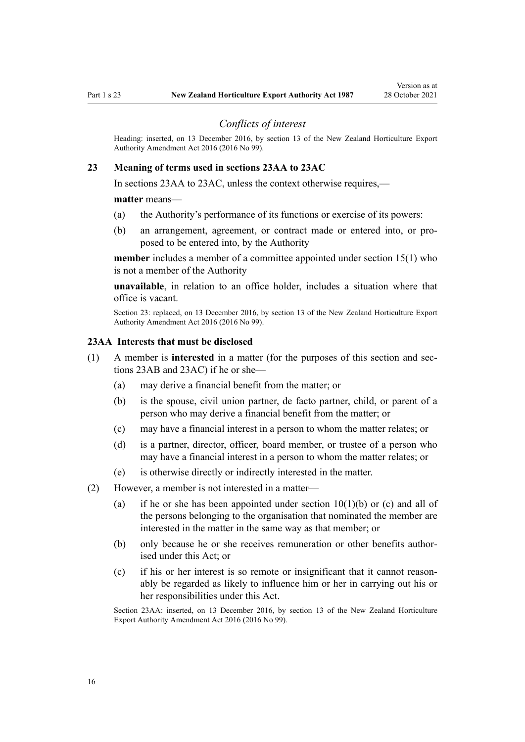<span id="page-15-0"></span>

#### *Conflicts of interest*

Heading: inserted, on 13 December 2016, by [section 13](http://legislation.govt.nz/pdflink.aspx?id=DLM6675651) of the New Zealand Horticulture Export Authority Amendment Act 2016 (2016 No 99).

#### **23 Meaning of terms used in sections 23AA to 23AC**

In sections 23AA to 23AC, unless the context otherwise requires,—

#### **matter** means—

- (a) the Authority's performance of its functions or exercise of its powers:
- (b) an arrangement, agreement, or contract made or entered into, or pro‐ posed to be entered into, by the Authority

**member** includes a member of a committee appointed under [section 15\(1\)](#page-12-0) who is not a member of the Authority

**unavailable**, in relation to an office holder, includes a situation where that office is vacant.

Section 23: replaced, on 13 December 2016, by [section 13](http://legislation.govt.nz/pdflink.aspx?id=DLM6675651) of the New Zealand Horticulture Export Authority Amendment Act 2016 (2016 No 99).

#### **23AA Interests that must be disclosed**

- (1) A member is **interested** in a matter (for the purposes of this section and [sec‐](#page-16-0) [tions 23AB](#page-16-0) and [23AC\)](#page-16-0) if he or she—
	- (a) may derive a financial benefit from the matter; or
	- (b) is the spouse, civil union partner, de facto partner, child, or parent of a person who may derive a financial benefit from the matter; or
	- (c) may have a financial interest in a person to whom the matter relates; or
	- (d) is a partner, director, officer, board member, or trustee of a person who may have a financial interest in a person to whom the matter relates; or
	- (e) is otherwise directly or indirectly interested in the matter.
- (2) However, a member is not interested in a matter—
	- (a) if he or she has been appointed under section  $10(1)(b)$  or (c) and all of the persons belonging to the organisation that nominated the member are interested in the matter in the same way as that member; or
	- (b) only because he or she receives remuneration or other benefits authorised under this Act; or
	- (c) if his or her interest is so remote or insignificant that it cannot reason‐ ably be regarded as likely to influence him or her in carrying out his or her responsibilities under this Act.

Section 23AA: inserted, on 13 December 2016, by [section 13](http://legislation.govt.nz/pdflink.aspx?id=DLM6675651) of the New Zealand Horticulture Export Authority Amendment Act 2016 (2016 No 99).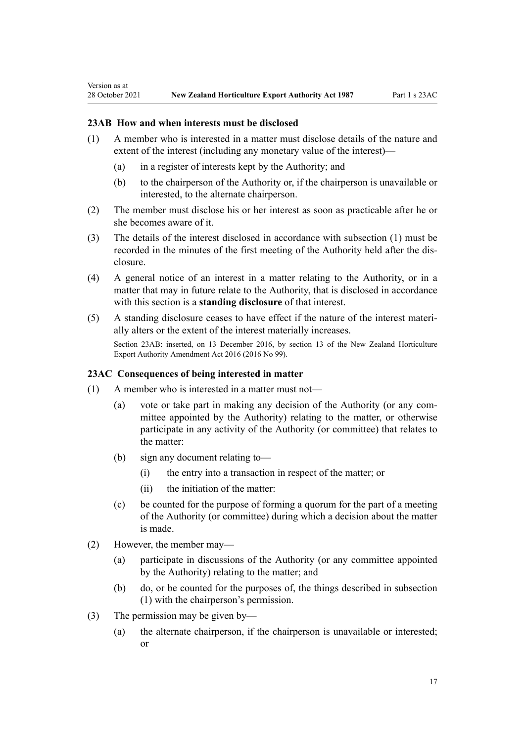#### **23AB How and when interests must be disclosed**

<span id="page-16-0"></span>Version as at

- (1) A member who is interested in a matter must disclose details of the nature and extent of the interest (including any monetary value of the interest)—
	- (a) in a register of interests kept by the Authority; and
	- (b) to the chairperson of the Authority or, if the chairperson is unavailable or interested, to the alternate chairperson.
- (2) The member must disclose his or her interest as soon as practicable after he or she becomes aware of it.
- (3) The details of the interest disclosed in accordance with subsection (1) must be recorded in the minutes of the first meeting of the Authority held after the dis‐ closure.
- (4) A general notice of an interest in a matter relating to the Authority, or in a matter that may in future relate to the Authority, that is disclosed in accordance with this section is a **standing disclosure** of that interest.
- (5) A standing disclosure ceases to have effect if the nature of the interest materi‐ ally alters or the extent of the interest materially increases.

Section 23AB: inserted, on 13 December 2016, by [section 13](http://legislation.govt.nz/pdflink.aspx?id=DLM6675651) of the New Zealand Horticulture Export Authority Amendment Act 2016 (2016 No 99).

## **23AC Consequences of being interested in matter**

- (1) A member who is interested in a matter must not—
	- (a) vote or take part in making any decision of the Authority (or any committee appointed by the Authority) relating to the matter, or otherwise participate in any activity of the Authority (or committee) that relates to the matter:
	- (b) sign any document relating to—
		- (i) the entry into a transaction in respect of the matter; or
		- (ii) the initiation of the matter:
	- (c) be counted for the purpose of forming a quorum for the part of a meeting of the Authority (or committee) during which a decision about the matter is made.
- (2) However, the member may—
	- (a) participate in discussions of the Authority (or any committee appointed by the Authority) relating to the matter; and
	- (b) do, or be counted for the purposes of, the things described in subsection (1) with the chairperson's permission.
- (3) The permission may be given by—
	- (a) the alternate chairperson, if the chairperson is unavailable or interested; or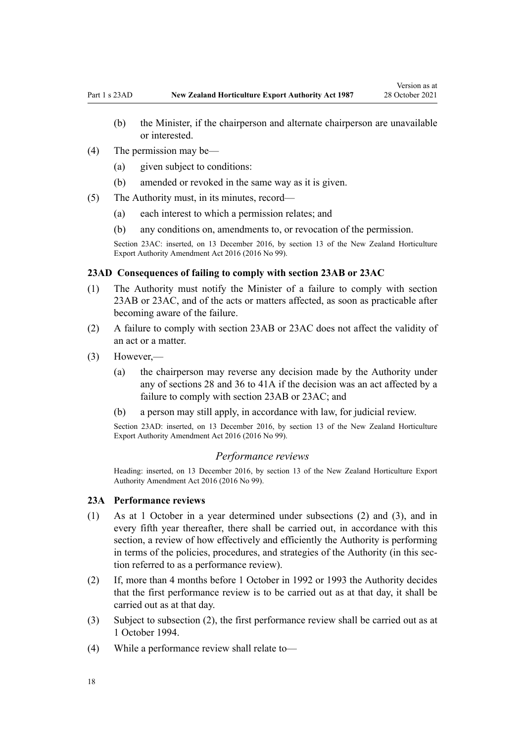- <span id="page-17-0"></span>(b) the Minister, if the chairperson and alternate chairperson are unavailable or interested.
- (4) The permission may be—
	- (a) given subject to conditions:
	- (b) amended or revoked in the same way as it is given.
- (5) The Authority must, in its minutes, record—
	- (a) each interest to which a permission relates; and
	- (b) any conditions on, amendments to, or revocation of the permission.

Section 23AC: inserted, on 13 December 2016, by [section 13](http://legislation.govt.nz/pdflink.aspx?id=DLM6675651) of the New Zealand Horticulture Export Authority Amendment Act 2016 (2016 No 99).

#### **23AD Consequences of failing to comply with section 23AB or 23AC**

- (1) The Authority must notify the Minister of a failure to comply with [section](#page-16-0) [23AB](#page-16-0) or [23AC](#page-16-0), and of the acts or matters affected, as soon as practicable after becoming aware of the failure.
- (2) A failure to comply with [section 23AB](#page-16-0) or [23AC](#page-16-0) does not affect the validity of an act or a matter.
- (3) However,—
	- (a) the chairperson may reverse any decision made by the Authority under any of [sections 28](#page-26-0) and [36 to 41A](#page-32-0) if the decision was an act affected by a failure to comply with [section 23AB](#page-16-0) or [23AC](#page-16-0); and
	- (b) a person may still apply, in accordance with law, for judicial review.

Section 23AD: inserted, on 13 December 2016, by [section 13](http://legislation.govt.nz/pdflink.aspx?id=DLM6675651) of the New Zealand Horticulture Export Authority Amendment Act 2016 (2016 No 99).

#### *Performance reviews*

Heading: inserted, on 13 December 2016, by [section 13](http://legislation.govt.nz/pdflink.aspx?id=DLM6675651) of the New Zealand Horticulture Export Authority Amendment Act 2016 (2016 No 99).

#### **23A Performance reviews**

- (1) As at 1 October in a year determined under subsections (2) and (3), and in every fifth year thereafter, there shall be carried out, in accordance with this section, a review of how effectively and efficiently the Authority is performing in terms of the policies, procedures, and strategies of the Authority (in this section referred to as a performance review).
- (2) If, more than 4 months before 1 October in 1992 or 1993 the Authority decides that the first performance review is to be carried out as at that day, it shall be carried out as at that day.
- (3) Subject to subsection (2), the first performance review shall be carried out as at 1 October 1994.
- (4) While a performance review shall relate to—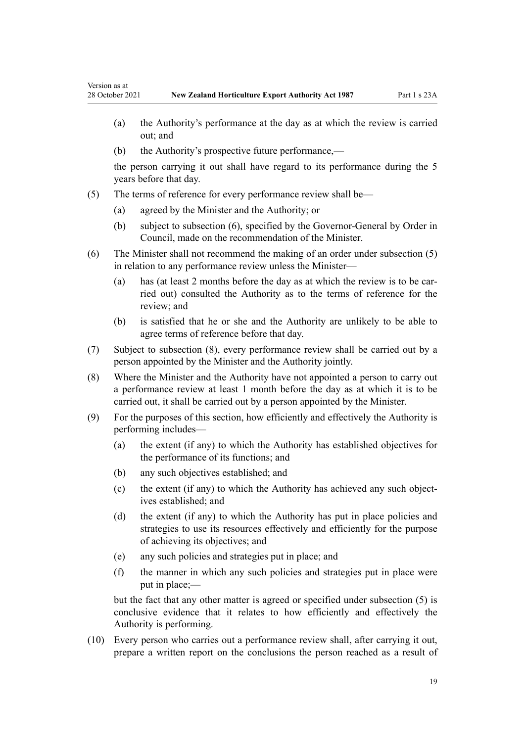Version as at

- (a) the Authority's performance at the day as at which the review is carried out; and
- (b) the Authority's prospective future performance,—

the person carrying it out shall have regard to its performance during the 5 years before that day.

- (5) The terms of reference for every performance review shall be—
	- (a) agreed by the Minister and the Authority; or
	- (b) subject to subsection (6), specified by the Governor-General by Order in Council, made on the recommendation of the Minister.
- (6) The Minister shall not recommend the making of an order under subsection (5) in relation to any performance review unless the Minister—
	- (a) has (at least 2 months before the day as at which the review is to be carried out) consulted the Authority as to the terms of reference for the review; and
	- (b) is satisfied that he or she and the Authority are unlikely to be able to agree terms of reference before that day.
- (7) Subject to subsection (8), every performance review shall be carried out by a person appointed by the Minister and the Authority jointly.
- (8) Where the Minister and the Authority have not appointed a person to carry out a performance review at least 1 month before the day as at which it is to be carried out, it shall be carried out by a person appointed by the Minister.
- (9) For the purposes of this section, how efficiently and effectively the Authority is performing includes—
	- (a) the extent (if any) to which the Authority has established objectives for the performance of its functions; and
	- (b) any such objectives established; and
	- (c) the extent (if any) to which the Authority has achieved any such objectives established; and
	- (d) the extent (if any) to which the Authority has put in place policies and strategies to use its resources effectively and efficiently for the purpose of achieving its objectives; and
	- (e) any such policies and strategies put in place; and
	- (f) the manner in which any such policies and strategies put in place were put in place;—

but the fact that any other matter is agreed or specified under subsection (5) is conclusive evidence that it relates to how efficiently and effectively the Authority is performing.

(10) Every person who carries out a performance review shall, after carrying it out, prepare a written report on the conclusions the person reached as a result of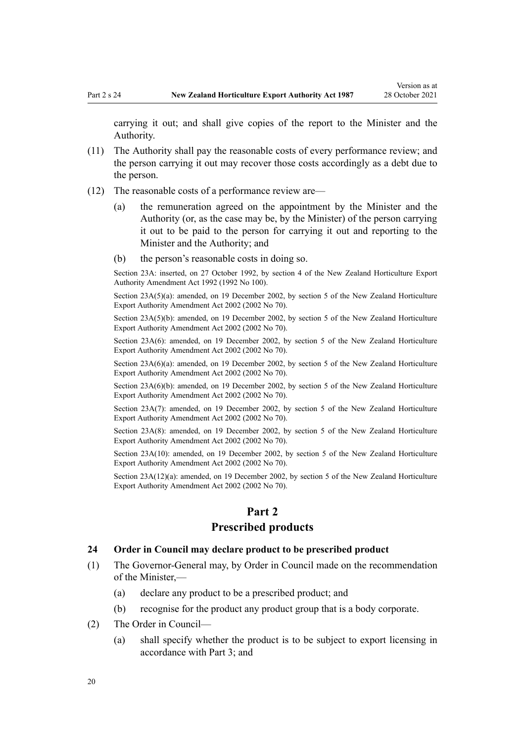<span id="page-19-0"></span>carrying it out; and shall give copies of the report to the Minister and the Authority.

- (11) The Authority shall pay the reasonable costs of every performance review; and the person carrying it out may recover those costs accordingly as a debt due to the person.
- (12) The reasonable costs of a performance review are—
	- (a) the remuneration agreed on the appointment by the Minister and the Authority (or, as the case may be, by the Minister) of the person carrying it out to be paid to the person for carrying it out and reporting to the Minister and the Authority; and
	- (b) the person's reasonable costs in doing so.

Section 23A: inserted, on 27 October 1992, by [section 4](http://legislation.govt.nz/pdflink.aspx?id=DLM280623) of the New Zealand Horticulture Export Authority Amendment Act 1992 (1992 No 100).

Section 23A(5)(a): amended, on 19 December 2002, by [section 5](http://legislation.govt.nz/pdflink.aspx?id=DLM169063) of the New Zealand Horticulture Export Authority Amendment Act 2002 (2002 No 70).

Section 23A(5)(b): amended, on 19 December 2002, by [section 5](http://legislation.govt.nz/pdflink.aspx?id=DLM169063) of the New Zealand Horticulture Export Authority Amendment Act 2002 (2002 No 70).

Section 23A(6): amended, on 19 December 2002, by [section 5](http://legislation.govt.nz/pdflink.aspx?id=DLM169063) of the New Zealand Horticulture Export Authority Amendment Act 2002 (2002 No 70).

Section 23A(6)(a): amended, on 19 December 2002, by [section 5](http://legislation.govt.nz/pdflink.aspx?id=DLM169063) of the New Zealand Horticulture Export Authority Amendment Act 2002 (2002 No 70).

Section 23A(6)(b): amended, on 19 December 2002, by [section 5](http://legislation.govt.nz/pdflink.aspx?id=DLM169063) of the New Zealand Horticulture Export Authority Amendment Act 2002 (2002 No 70).

Section 23A(7): amended, on 19 December 2002, by [section 5](http://legislation.govt.nz/pdflink.aspx?id=DLM169063) of the New Zealand Horticulture Export Authority Amendment Act 2002 (2002 No 70).

Section 23A(8): amended, on 19 December 2002, by [section 5](http://legislation.govt.nz/pdflink.aspx?id=DLM169063) of the New Zealand Horticulture Export Authority Amendment Act 2002 (2002 No 70).

Section 23A(10): amended, on 19 December 2002, by [section 5](http://legislation.govt.nz/pdflink.aspx?id=DLM169063) of the New Zealand Horticulture Export Authority Amendment Act 2002 (2002 No 70).

Section 23A(12)(a): amended, on 19 December 2002, by [section 5](http://legislation.govt.nz/pdflink.aspx?id=DLM169063) of the New Zealand Horticulture Export Authority Amendment Act 2002 (2002 No 70).

#### **Part 2**

#### **Prescribed products**

#### **24 Order in Council may declare product to be prescribed product**

- (1) The Governor-General may, by Order in Council made on the recommendation of the Minister,—
	- (a) declare any product to be a prescribed product; and
	- (b) recognise for the product any product group that is a body corporate.
- (2) The Order in Council—
	- (a) shall specify whether the product is to be subject to export licensing in accordance with [Part 3](#page-31-0); and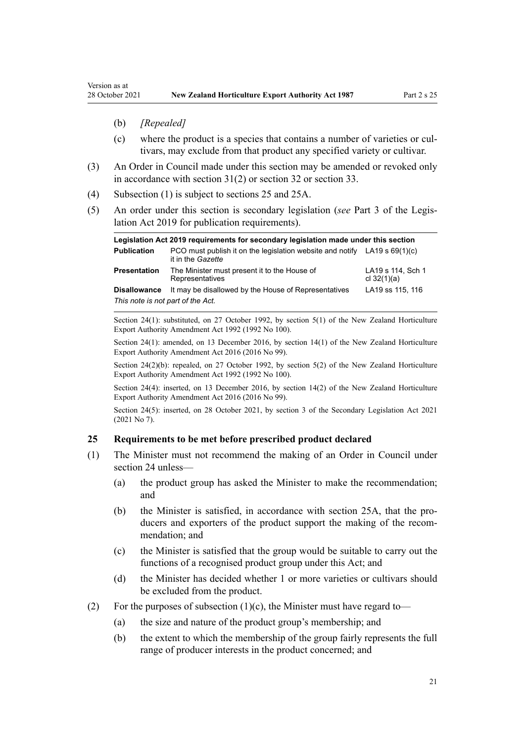- <span id="page-20-0"></span>(b) *[Repealed]*
- (c) where the product is a species that contains a number of varieties or cul‐ tivars, may exclude from that product any specified variety or cultivar.
- (3) An Order in Council made under this section may be amended or revoked only in accordance with [section 31\(2\)](#page-28-0) or [section 32](#page-29-0) or [section 33.](#page-30-0)
- (4) Subsection (1) is subject to sections 25 and [25A](#page-21-0).
- (5) An order under this section is secondary legislation (*see* [Part 3](http://legislation.govt.nz/pdflink.aspx?id=DLM7298343) of the Legis‐ lation Act 2019 for publication requirements).

| Legislation Act 2019 reguirements for secondary legislation made under this section |                                                                                                  |                                    |
|-------------------------------------------------------------------------------------|--------------------------------------------------------------------------------------------------|------------------------------------|
| <b>Publication</b>                                                                  | PCO must publish it on the legislation website and notify LA19 s $69(1)(c)$<br>it in the Gazette |                                    |
| Presentation                                                                        | The Minister must present it to the House of<br>Representatives                                  | LA19 s 114, Sch 1<br>cl $32(1)(a)$ |
| Disallowance                                                                        | It may be disallowed by the House of Representatives                                             | LA19 ss 115, 116                   |
| This note is not part of the Act.                                                   |                                                                                                  |                                    |

Section 24(1): substituted, on 27 October 1992, by [section 5\(1\)](http://legislation.govt.nz/pdflink.aspx?id=DLM280624) of the New Zealand Horticulture Export Authority Amendment Act 1992 (1992 No 100).

Section 24(1): amended, on 13 December 2016, by [section 14\(1\)](http://legislation.govt.nz/pdflink.aspx?id=DLM6675665) of the New Zealand Horticulture Export Authority Amendment Act 2016 (2016 No 99).

Section 24(2)(b): repealed, on 27 October 1992, by [section 5\(2\)](http://legislation.govt.nz/pdflink.aspx?id=DLM280624) of the New Zealand Horticulture Export Authority Amendment Act 1992 (1992 No 100).

Section 24(4): inserted, on 13 December 2016, by [section 14\(2\)](http://legislation.govt.nz/pdflink.aspx?id=DLM6675665) of the New Zealand Horticulture Export Authority Amendment Act 2016 (2016 No 99).

Section 24(5): inserted, on 28 October 2021, by [section 3](http://legislation.govt.nz/pdflink.aspx?id=LMS268932) of the Secondary Legislation Act 2021 (2021 No 7).

#### **25 Requirements to be met before prescribed product declared**

- (1) The Minister must not recommend the making of an Order in Council under [section 24](#page-19-0) unless—
	- (a) the product group has asked the Minister to make the recommendation; and
	- (b) the Minister is satisfied, in accordance with [section 25A,](#page-21-0) that the producers and exporters of the product support the making of the recommendation; and
	- (c) the Minister is satisfied that the group would be suitable to carry out the functions of a recognised product group under this Act; and
	- (d) the Minister has decided whether 1 or more varieties or cultivars should be excluded from the product.
- (2) For the purposes of subsection  $(1)(c)$ , the Minister must have regard to-
	- (a) the size and nature of the product group's membership; and
	- (b) the extent to which the membership of the group fairly represents the full range of producer interests in the product concerned; and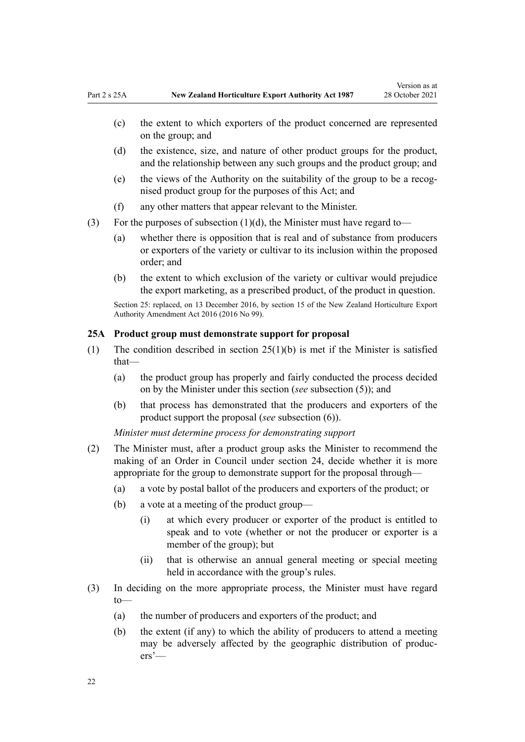- <span id="page-21-0"></span>(c) the extent to which exporters of the product concerned are represented on the group; and
- (d) the existence, size, and nature of other product groups for the product, and the relationship between any such groups and the product group; and
- (e) the views of the Authority on the suitability of the group to be a recog‐ nised product group for the purposes of this Act; and
- (f) any other matters that appear relevant to the Minister.
- (3) For the purposes of subsection  $(1)(d)$ , the Minister must have regard to-
	- (a) whether there is opposition that is real and of substance from producers or exporters of the variety or cultivar to its inclusion within the proposed order; and
	- (b) the extent to which exclusion of the variety or cultivar would prejudice the export marketing, as a prescribed product, of the product in question.

Section 25: replaced, on 13 December 2016, by [section 15](http://legislation.govt.nz/pdflink.aspx?id=DLM6675666) of the New Zealand Horticulture Export Authority Amendment Act 2016 (2016 No 99).

#### **25A Product group must demonstrate support for proposal**

- (1) The condition described in [section 25\(1\)\(b\)](#page-20-0) is met if the Minister is satisfied that—
	- (a) the product group has properly and fairly conducted the process decided on by the Minister under this section (*see* subsection (5)); and
	- (b) that process has demonstrated that the producers and exporters of the product support the proposal (*see* subsection (6)).

*Minister must determine process for demonstrating support*

- (2) The Minister must, after a product group asks the Minister to recommend the making of an Order in Council under [section 24,](#page-19-0) decide whether it is more appropriate for the group to demonstrate support for the proposal through—
	- (a) a vote by postal ballot of the producers and exporters of the product; or
	- (b) a vote at a meeting of the product group—
		- (i) at which every producer or exporter of the product is entitled to speak and to vote (whether or not the producer or exporter is a member of the group); but
		- (ii) that is otherwise an annual general meeting or special meeting held in accordance with the group's rules.
- (3) In deciding on the more appropriate process, the Minister must have regard to—
	- (a) the number of producers and exporters of the product; and
	- (b) the extent (if any) to which the ability of producers to attend a meeting may be adversely affected by the geographic distribution of produc‐ ers'—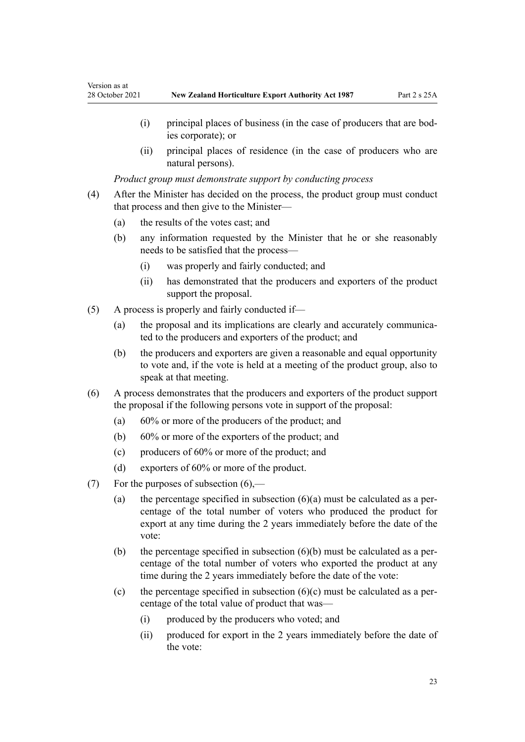- (i) principal places of business (in the case of producers that are bod‐ ies corporate); or
- (ii) principal places of residence (in the case of producers who are natural persons).

*Product group must demonstrate support by conducting process*

- (4) After the Minister has decided on the process, the product group must conduct that process and then give to the Minister—
	- (a) the results of the votes cast; and

Version as at

- (b) any information requested by the Minister that he or she reasonably needs to be satisfied that the process—
	- (i) was properly and fairly conducted; and
	- (ii) has demonstrated that the producers and exporters of the product support the proposal.
- (5) A process is properly and fairly conducted if—
	- (a) the proposal and its implications are clearly and accurately communicated to the producers and exporters of the product; and
	- (b) the producers and exporters are given a reasonable and equal opportunity to vote and, if the vote is held at a meeting of the product group, also to speak at that meeting.
- (6) A process demonstrates that the producers and exporters of the product support the proposal if the following persons vote in support of the proposal:
	- (a) 60% or more of the producers of the product; and
	- (b) 60% or more of the exporters of the product; and
	- (c) producers of 60% or more of the product; and
	- (d) exporters of 60% or more of the product.
- (7) For the purposes of subsection  $(6)$ ,—
	- (a) the percentage specified in subsection  $(6)(a)$  must be calculated as a percentage of the total number of voters who produced the product for export at any time during the 2 years immediately before the date of the vote:
	- (b) the percentage specified in subsection  $(6)(b)$  must be calculated as a percentage of the total number of voters who exported the product at any time during the 2 years immediately before the date of the vote:
	- (c) the percentage specified in subsection  $(6)(c)$  must be calculated as a percentage of the total value of product that was—
		- (i) produced by the producers who voted; and
		- (ii) produced for export in the 2 years immediately before the date of the vote: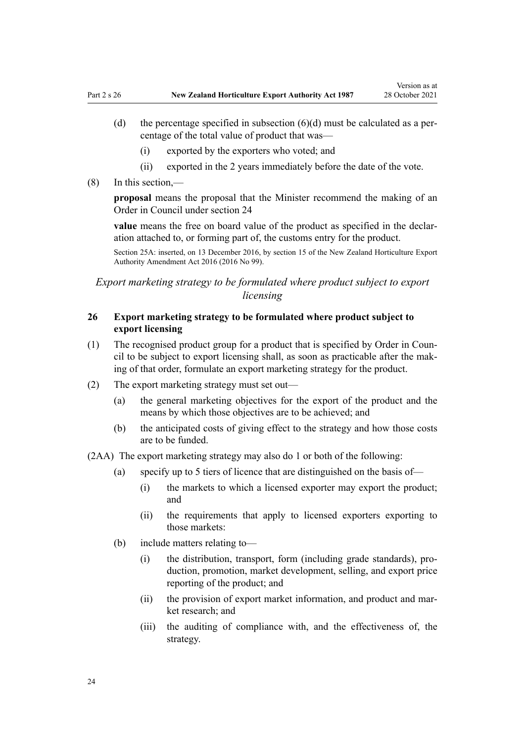- <span id="page-23-0"></span>(d) the percentage specified in subsection  $(6)(d)$  must be calculated as a percentage of the total value of product that was—
	- (i) exported by the exporters who voted; and
	- (ii) exported in the 2 years immediately before the date of the vote.
- (8) In this section,—

**proposal** means the proposal that the Minister recommend the making of an Order in Council under [section 24](#page-19-0)

value means the free on board value of the product as specified in the declaration attached to, or forming part of, the customs entry for the product.

Section 25A: inserted, on 13 December 2016, by [section 15](http://legislation.govt.nz/pdflink.aspx?id=DLM6675666) of the New Zealand Horticulture Export Authority Amendment Act 2016 (2016 No 99).

*Export marketing strategy to be formulated where product subject to export licensing*

#### **26 Export marketing strategy to be formulated where product subject to export licensing**

- (1) The recognised product group for a product that is specified by Order in Coun‐ cil to be subject to export licensing shall, as soon as practicable after the mak‐ ing of that order, formulate an export marketing strategy for the product.
- (2) The export marketing strategy must set out—
	- (a) the general marketing objectives for the export of the product and the means by which those objectives are to be achieved; and
	- (b) the anticipated costs of giving effect to the strategy and how those costs are to be funded.

(2AA) The export marketing strategy may also do 1 or both of the following:

- (a) specify up to 5 tiers of licence that are distinguished on the basis of—
	- (i) the markets to which a licensed exporter may export the product; and
	- (ii) the requirements that apply to licensed exporters exporting to those markets:
- (b) include matters relating to—
	- (i) the distribution, transport, form (including grade standards), pro‐ duction, promotion, market development, selling, and export price reporting of the product; and
	- (ii) the provision of export market information, and product and market research; and
	- (iii) the auditing of compliance with, and the effectiveness of, the strategy.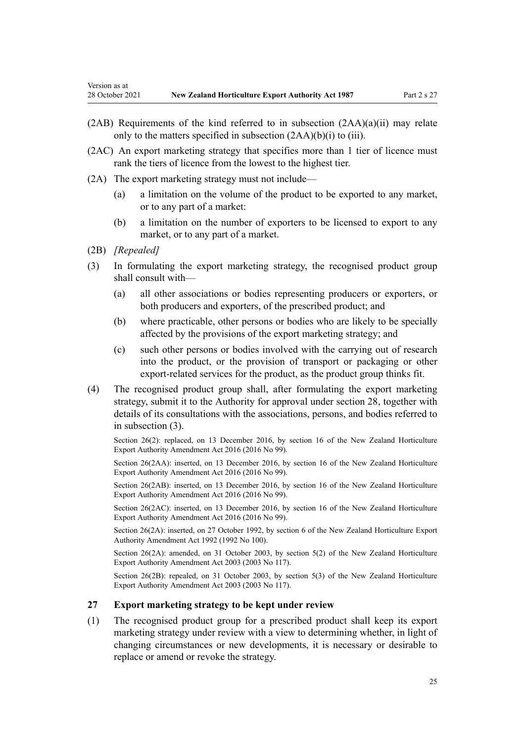- $(2AB)$  Requirements of the kind referred to in subsection  $(2AA)(a)(ii)$  may relate only to the matters specified in subsection (2AA)(b)(i) to (iii).
- (2AC) An export marketing strategy that specifies more than 1 tier of licence must rank the tiers of licence from the lowest to the highest tier.
- (2A) The export marketing strategy must not include—
	- (a) a limitation on the volume of the product to be exported to any market, or to any part of a market:
	- (b) a limitation on the number of exporters to be licensed to export to any market, or to any part of a market.
- (2B) *[Repealed]*

<span id="page-24-0"></span>Version as at

- (3) In formulating the export marketing strategy, the recognised product group shall consult with—
	- (a) all other associations or bodies representing producers or exporters, or both producers and exporters, of the prescribed product; and
	- (b) where practicable, other persons or bodies who are likely to be specially affected by the provisions of the export marketing strategy; and
	- (c) such other persons or bodies involved with the carrying out of research into the product, or the provision of transport or packaging or other export-related services for the product, as the product group thinks fit.
- (4) The recognised product group shall, after formulating the export marketing strategy, submit it to the Authority for approval under [section 28,](#page-26-0) together with details of its consultations with the associations, persons, and bodies referred to in subsection (3).

Section 26(2): replaced, on 13 December 2016, by [section 16](http://legislation.govt.nz/pdflink.aspx?id=DLM6675673) of the New Zealand Horticulture Export Authority Amendment Act 2016 (2016 No 99).

Section 26(2AA): inserted, on 13 December 2016, by [section 16](http://legislation.govt.nz/pdflink.aspx?id=DLM6675673) of the New Zealand Horticulture Export Authority Amendment Act 2016 (2016 No 99).

Section 26(2AB): inserted, on 13 December 2016, by [section 16](http://legislation.govt.nz/pdflink.aspx?id=DLM6675673) of the New Zealand Horticulture Export Authority Amendment Act 2016 (2016 No 99).

Section 26(2AC): inserted, on 13 December 2016, by [section 16](http://legislation.govt.nz/pdflink.aspx?id=DLM6675673) of the New Zealand Horticulture Export Authority Amendment Act 2016 (2016 No 99).

Section 26(2A): inserted, on 27 October 1992, by [section 6](http://legislation.govt.nz/pdflink.aspx?id=DLM280625) of the New Zealand Horticulture Export Authority Amendment Act 1992 (1992 No 100).

Section 26(2A): amended, on 31 October 2003, by [section 5\(2\)](http://legislation.govt.nz/pdflink.aspx?id=DLM226218) of the New Zealand Horticulture Export Authority Amendment Act 2003 (2003 No 117).

Section 26(2B): repealed, on 31 October 2003, by [section 5\(3\)](http://legislation.govt.nz/pdflink.aspx?id=DLM226218) of the New Zealand Horticulture Export Authority Amendment Act 2003 (2003 No 117).

#### **27 Export marketing strategy to be kept under review**

(1) The recognised product group for a prescribed product shall keep its export marketing strategy under review with a view to determining whether, in light of changing circumstances or new developments, it is necessary or desirable to replace or amend or revoke the strategy.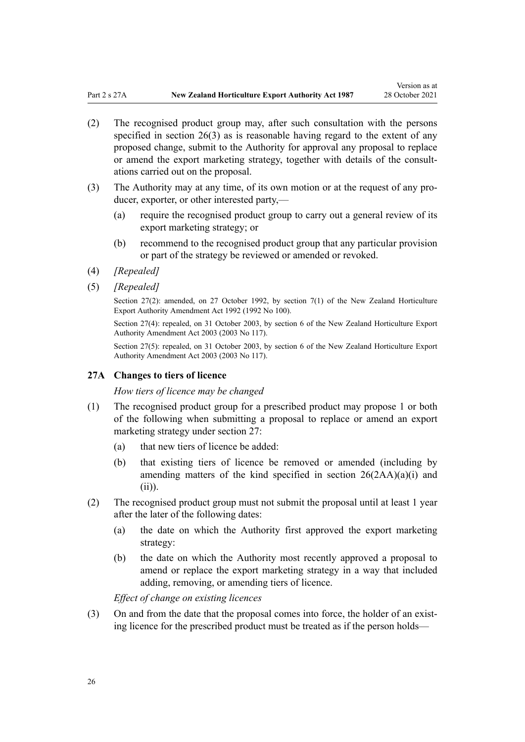Version as at

- <span id="page-25-0"></span>(2) The recognised product group may, after such consultation with the persons specified in [section 26\(3\)](#page-23-0) as is reasonable having regard to the extent of any proposed change, submit to the Authority for approval any proposal to replace or amend the export marketing strategy, together with details of the consult‐ ations carried out on the proposal.
- (3) The Authority may at any time, of its own motion or at the request of any pro‐ ducer, exporter, or other interested party,—
	- (a) require the recognised product group to carry out a general review of its export marketing strategy; or
	- (b) recommend to the recognised product group that any particular provision or part of the strategy be reviewed or amended or revoked.
- (4) *[Repealed]*
- (5) *[Repealed]*

Section 27(2): amended, on 27 October 1992, by [section 7\(1\)](http://legislation.govt.nz/pdflink.aspx?id=DLM280626) of the New Zealand Horticulture Export Authority Amendment Act 1992 (1992 No 100).

Section 27(4): repealed, on 31 October 2003, by [section 6](http://legislation.govt.nz/pdflink.aspx?id=DLM226219) of the New Zealand Horticulture Export Authority Amendment Act 2003 (2003 No 117).

Section 27(5): repealed, on 31 October 2003, by [section 6](http://legislation.govt.nz/pdflink.aspx?id=DLM226219) of the New Zealand Horticulture Export Authority Amendment Act 2003 (2003 No 117).

#### **27A Changes to tiers of licence**

*How tiers of licence may be changed*

- (1) The recognised product group for a prescribed product may propose 1 or both of the following when submitting a proposal to replace or amend an export marketing strategy under [section 27:](#page-24-0)
	- (a) that new tiers of licence be added:
	- (b) that existing tiers of licence be removed or amended (including by amending matters of the kind specified in [section 26\(2AA\)\(a\)\(i\) and](#page-23-0) [\(ii\)](#page-23-0)).
- (2) The recognised product group must not submit the proposal until at least 1 year after the later of the following dates:
	- (a) the date on which the Authority first approved the export marketing strategy:
	- (b) the date on which the Authority most recently approved a proposal to amend or replace the export marketing strategy in a way that included adding, removing, or amending tiers of licence.

*Effect of change on existing licences*

(3) On and from the date that the proposal comes into force, the holder of an existing licence for the prescribed product must be treated as if the person holds—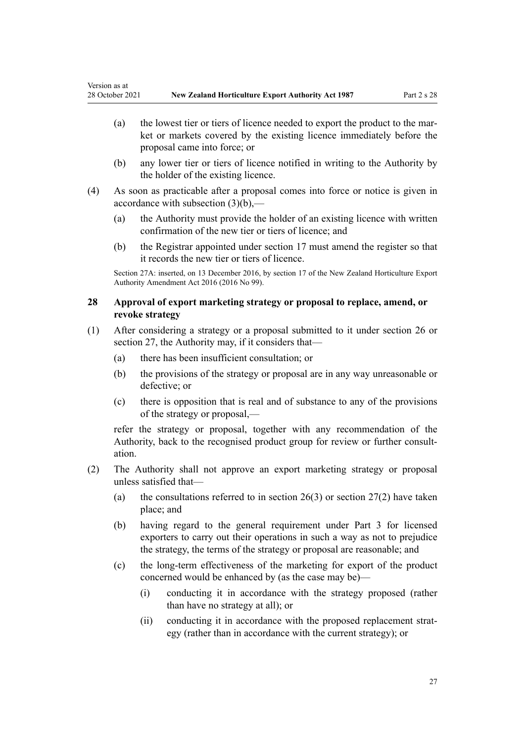- <span id="page-26-0"></span>(a) the lowest tier or tiers of licence needed to export the product to the market or markets covered by the existing licence immediately before the proposal came into force; or
- (b) any lower tier or tiers of licence notified in writing to the Authority by the holder of the existing licence.
- (4) As soon as practicable after a proposal comes into force or notice is given in accordance with subsection (3)(b),—
	- (a) the Authority must provide the holder of an existing licence with written confirmation of the new tier or tiers of licence; and
	- (b) the Registrar appointed under [section 17](#page-12-0) must amend the register so that it records the new tier or tiers of licence.

Section 27A: inserted, on 13 December 2016, by [section 17](http://legislation.govt.nz/pdflink.aspx?id=DLM6675674) of the New Zealand Horticulture Export Authority Amendment Act 2016 (2016 No 99).

#### **28 Approval of export marketing strategy or proposal to replace, amend, or revoke strategy**

- (1) After considering a strategy or a proposal submitted to it under [section 26](#page-23-0) or [section 27](#page-24-0), the Authority may, if it considers that—
	- (a) there has been insufficient consultation; or
	- (b) the provisions of the strategy or proposal are in any way unreasonable or defective; or
	- (c) there is opposition that is real and of substance to any of the provisions of the strategy or proposal,—

refer the strategy or proposal, together with any recommendation of the Authority, back to the recognised product group for review or further consult‐ ation.

- (2) The Authority shall not approve an export marketing strategy or proposal unless satisfied that—
	- (a) the consultations referred to in section  $26(3)$  or [section 27\(2\)](#page-24-0) have taken place; and
	- (b) having regard to the general requirement under [Part 3](#page-31-0) for licensed exporters to carry out their operations in such a way as not to prejudice the strategy, the terms of the strategy or proposal are reasonable; and
	- (c) the long-term effectiveness of the marketing for export of the product concerned would be enhanced by (as the case may be)—
		- (i) conducting it in accordance with the strategy proposed (rather than have no strategy at all); or
		- (ii) conducting it in accordance with the proposed replacement strategy (rather than in accordance with the current strategy); or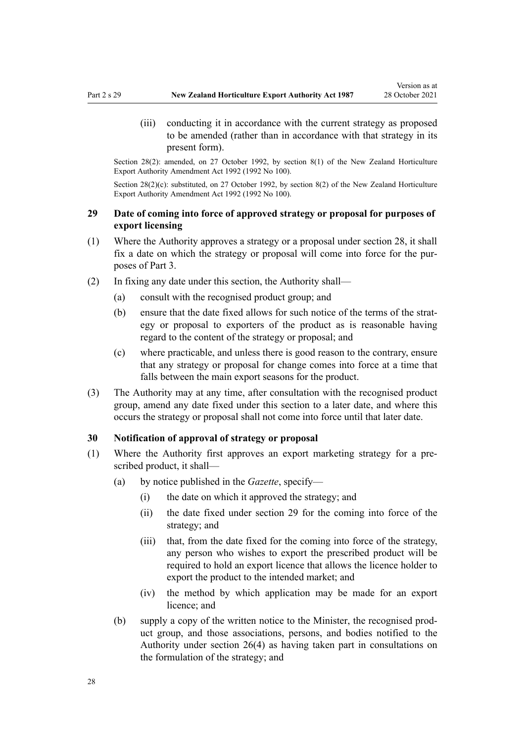<span id="page-27-0"></span>(iii) conducting it in accordance with the current strategy as proposed to be amended (rather than in accordance with that strategy in its present form).

Section 28(2): amended, on 27 October 1992, by [section 8\(1\)](http://legislation.govt.nz/pdflink.aspx?id=DLM280627) of the New Zealand Horticulture Export Authority Amendment Act 1992 (1992 No 100).

Section 28(2)(c): substituted, on 27 October 1992, by [section 8\(2\)](http://legislation.govt.nz/pdflink.aspx?id=DLM280627) of the New Zealand Horticulture Export Authority Amendment Act 1992 (1992 No 100).

# **29 Date of coming into force of approved strategy or proposal for purposes of export licensing**

- (1) Where the Authority approves a strategy or a proposal under [section 28](#page-26-0), it shall fix a date on which the strategy or proposal will come into force for the pur‐ poses of [Part 3](#page-31-0).
- (2) In fixing any date under this section, the Authority shall—
	- (a) consult with the recognised product group; and
	- (b) ensure that the date fixed allows for such notice of the terms of the strategy or proposal to exporters of the product as is reasonable having regard to the content of the strategy or proposal; and
	- (c) where practicable, and unless there is good reason to the contrary, ensure that any strategy or proposal for change comes into force at a time that falls between the main export seasons for the product.
- (3) The Authority may at any time, after consultation with the recognised product group, amend any date fixed under this section to a later date, and where this occurs the strategy or proposal shall not come into force until that later date.

#### **30 Notification of approval of strategy or proposal**

- (1) Where the Authority first approves an export marketing strategy for a pre‐ scribed product, it shall—
	- (a) by notice published in the *Gazette*, specify—
		- (i) the date on which it approved the strategy; and
		- (ii) the date fixed under section 29 for the coming into force of the strategy; and
		- (iii) that, from the date fixed for the coming into force of the strategy, any person who wishes to export the prescribed product will be required to hold an export licence that allows the licence holder to export the product to the intended market; and
		- (iv) the method by which application may be made for an export licence; and
	- (b) supply a copy of the written notice to the Minister, the recognised prod‐ uct group, and those associations, persons, and bodies notified to the Authority under [section 26\(4\)](#page-23-0) as having taken part in consultations on the formulation of the strategy; and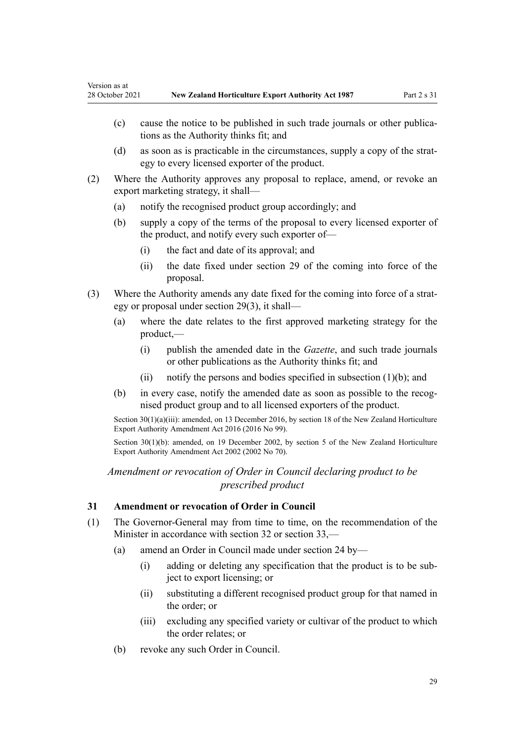<span id="page-28-0"></span>Version as at

- (c) cause the notice to be published in such trade journals or other publications as the Authority thinks fit; and
- (d) as soon as is practicable in the circumstances, supply a copy of the strat‐ egy to every licensed exporter of the product.
- (2) Where the Authority approves any proposal to replace, amend, or revoke an export marketing strategy, it shall—
	- (a) notify the recognised product group accordingly; and
	- (b) supply a copy of the terms of the proposal to every licensed exporter of the product, and notify every such exporter of—
		- (i) the fact and date of its approval; and
		- (ii) the date fixed under [section 29](#page-27-0) of the coming into force of the proposal.
- (3) Where the Authority amends any date fixed for the coming into force of a strat‐ egy or proposal under [section 29\(3\)](#page-27-0), it shall—
	- (a) where the date relates to the first approved marketing strategy for the product,—
		- (i) publish the amended date in the *Gazette*, and such trade journals or other publications as the Authority thinks fit; and
		- (ii) notify the persons and bodies specified in subsection  $(1)(b)$ ; and
	- (b) in every case, notify the amended date as soon as possible to the recognised product group and to all licensed exporters of the product.

Section 30(1)(a)(iii): amended, on 13 December 2016, by [section 18](http://legislation.govt.nz/pdflink.aspx?id=DLM6675676) of the New Zealand Horticulture Export Authority Amendment Act 2016 (2016 No 99).

Section 30(1)(b): amended, on 19 December 2002, by [section 5](http://legislation.govt.nz/pdflink.aspx?id=DLM169063) of the New Zealand Horticulture Export Authority Amendment Act 2002 (2002 No 70).

# *Amendment or revocation of Order in Council declaring product to be prescribed product*

#### **31 Amendment or revocation of Order in Council**

- (1) The Governor-General may from time to time, on the recommendation of the Minister in accordance with [section 32](#page-29-0) or [section 33](#page-30-0),—
	- (a) amend an Order in Council made under [section 24](#page-19-0) by—
		- (i) adding or deleting any specification that the product is to be sub‐ ject to export licensing; or
		- (ii) substituting a different recognised product group for that named in the order; or
		- (iii) excluding any specified variety or cultivar of the product to which the order relates; or
	- (b) revoke any such Order in Council.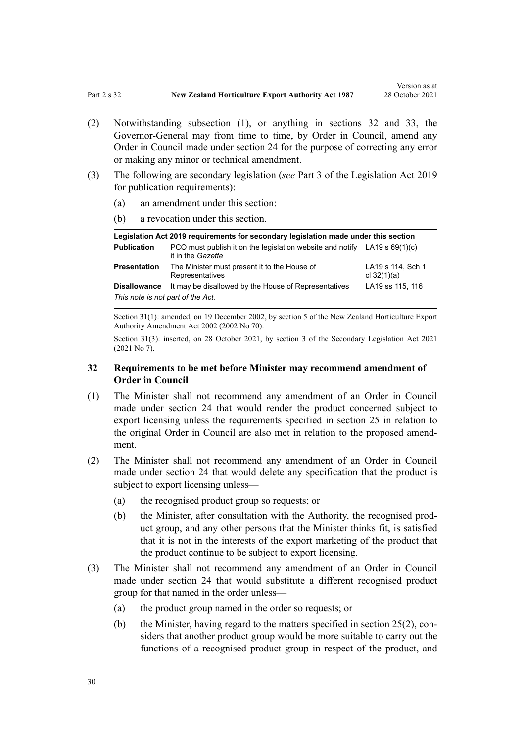- <span id="page-29-0"></span>(2) Notwithstanding subsection (1), or anything in sections 32 and [33,](#page-30-0) the Governor-General may from time to time, by Order in Council, amend any Order in Council made under [section 24](#page-19-0) for the purpose of correcting any error or making any minor or technical amendment.
- (3) The following are secondary legislation (*see* [Part 3](http://legislation.govt.nz/pdflink.aspx?id=DLM7298343) of the Legislation Act 2019 for publication requirements):
	- (a) an amendment under this section:
	- (b) a revocation under this section.

|                                   | Legislation Act 2019 reguirements for secondary legislation made under this section              |                                    |
|-----------------------------------|--------------------------------------------------------------------------------------------------|------------------------------------|
| <b>Publication</b>                | PCO must publish it on the legislation website and notify LA19 s $69(1)(c)$<br>it in the Gazette |                                    |
| Presentation                      | The Minister must present it to the House of<br>Representatives                                  | LA19 s 114, Sch 1<br>cl $32(1)(a)$ |
| <b>Disallowance</b>               | It may be disallowed by the House of Representatives                                             | LA19 ss 115, 116                   |
| This note is not part of the Act. |                                                                                                  |                                    |

Section 31(1): amended, on 19 December 2002, by [section 5](http://legislation.govt.nz/pdflink.aspx?id=DLM169063) of the New Zealand Horticulture Export Authority Amendment Act 2002 (2002 No 70).

Section 31(3): inserted, on 28 October 2021, by [section 3](http://legislation.govt.nz/pdflink.aspx?id=LMS268932) of the Secondary Legislation Act 2021 (2021 No 7).

# **32 Requirements to be met before Minister may recommend amendment of Order in Council**

- (1) The Minister shall not recommend any amendment of an Order in Council made under [section 24](#page-19-0) that would render the product concerned subject to export licensing unless the requirements specified in [section 25](#page-20-0) in relation to the original Order in Council are also met in relation to the proposed amend‐ ment.
- (2) The Minister shall not recommend any amendment of an Order in Council made under [section 24](#page-19-0) that would delete any specification that the product is subject to export licensing unless—
	- (a) the recognised product group so requests; or
	- (b) the Minister, after consultation with the Authority, the recognised prod‐ uct group, and any other persons that the Minister thinks fit, is satisfied that it is not in the interests of the export marketing of the product that the product continue to be subject to export licensing.
- (3) The Minister shall not recommend any amendment of an Order in Council made under [section 24](#page-19-0) that would substitute a different recognised product group for that named in the order unless—
	- (a) the product group named in the order so requests; or
	- (b) the Minister, having regard to the matters specified in section  $25(2)$ , considers that another product group would be more suitable to carry out the functions of a recognised product group in respect of the product, and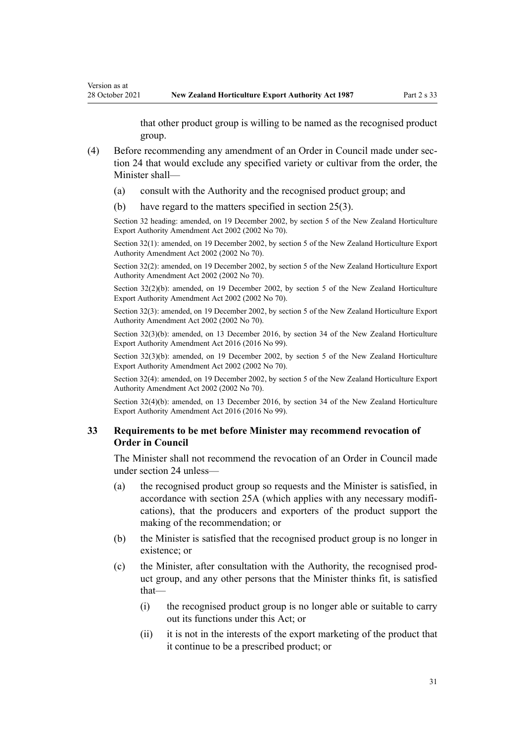that other product group is willing to be named as the recognised product group.

- (4) Before recommending any amendment of an Order in Council made under [sec‐](#page-19-0) [tion 24](#page-19-0) that would exclude any specified variety or cultivar from the order, the Minister shall—
	- (a) consult with the Authority and the recognised product group; and
	- (b) have regard to the matters specified in [section 25\(3\)](#page-20-0).

<span id="page-30-0"></span>Version as at

Section 32 heading: amended, on 19 December 2002, by [section 5](http://legislation.govt.nz/pdflink.aspx?id=DLM169063) of the New Zealand Horticulture Export Authority Amendment Act 2002 (2002 No 70).

Section 32(1): amended, on 19 December 2002, by [section 5](http://legislation.govt.nz/pdflink.aspx?id=DLM169063) of the New Zealand Horticulture Export Authority Amendment Act 2002 (2002 No 70).

Section 32(2): amended, on 19 December 2002, by [section 5](http://legislation.govt.nz/pdflink.aspx?id=DLM169063) of the New Zealand Horticulture Export Authority Amendment Act 2002 (2002 No 70).

Section 32(2)(b): amended, on 19 December 2002, by [section 5](http://legislation.govt.nz/pdflink.aspx?id=DLM169063) of the New Zealand Horticulture Export Authority Amendment Act 2002 (2002 No 70).

Section 32(3): amended, on 19 December 2002, by [section 5](http://legislation.govt.nz/pdflink.aspx?id=DLM169063) of the New Zealand Horticulture Export Authority Amendment Act 2002 (2002 No 70).

Section 32(3)(b): amended, on 13 December 2016, by [section 34](http://legislation.govt.nz/pdflink.aspx?id=DLM6675707) of the New Zealand Horticulture Export Authority Amendment Act 2016 (2016 No 99).

Section 32(3)(b): amended, on 19 December 2002, by [section 5](http://legislation.govt.nz/pdflink.aspx?id=DLM169063) of the New Zealand Horticulture Export Authority Amendment Act 2002 (2002 No 70).

Section 32(4): amended, on 19 December 2002, by [section 5](http://legislation.govt.nz/pdflink.aspx?id=DLM169063) of the New Zealand Horticulture Export Authority Amendment Act 2002 (2002 No 70).

Section 32(4)(b): amended, on 13 December 2016, by [section 34](http://legislation.govt.nz/pdflink.aspx?id=DLM6675707) of the New Zealand Horticulture Export Authority Amendment Act 2016 (2016 No 99).

### **33 Requirements to be met before Minister may recommend revocation of Order in Council**

The Minister shall not recommend the revocation of an Order in Council made under [section 24](#page-19-0) unless—

- (a) the recognised product group so requests and the Minister is satisfied, in accordance with [section 25A](#page-21-0) (which applies with any necessary modifi‐ cations), that the producers and exporters of the product support the making of the recommendation; or
- (b) the Minister is satisfied that the recognised product group is no longer in existence; or
- (c) the Minister, after consultation with the Authority, the recognised prod‐ uct group, and any other persons that the Minister thinks fit, is satisfied that—
	- (i) the recognised product group is no longer able or suitable to carry out its functions under this Act; or
	- (ii) it is not in the interests of the export marketing of the product that it continue to be a prescribed product; or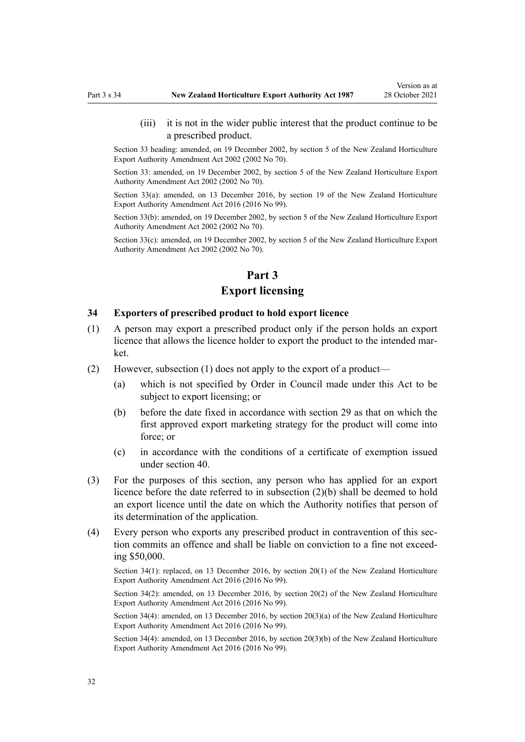<span id="page-31-0"></span>(iii) it is not in the wider public interest that the product continue to be a prescribed product.

Section 33 heading: amended, on 19 December 2002, by [section 5](http://legislation.govt.nz/pdflink.aspx?id=DLM169063) of the New Zealand Horticulture Export Authority Amendment Act 2002 (2002 No 70).

Section 33: amended, on 19 December 2002, by [section 5](http://legislation.govt.nz/pdflink.aspx?id=DLM169063) of the New Zealand Horticulture Export Authority Amendment Act 2002 (2002 No 70).

Section 33(a): amended, on 13 December 2016, by [section 19](http://legislation.govt.nz/pdflink.aspx?id=DLM6675677) of the New Zealand Horticulture Export Authority Amendment Act 2016 (2016 No 99).

Section 33(b): amended, on 19 December 2002, by [section 5](http://legislation.govt.nz/pdflink.aspx?id=DLM169063) of the New Zealand Horticulture Export Authority Amendment Act 2002 (2002 No 70).

Section 33(c): amended, on 19 December 2002, by [section 5](http://legislation.govt.nz/pdflink.aspx?id=DLM169063) of the New Zealand Horticulture Export Authority Amendment Act 2002 (2002 No 70).

# **Part 3 Export licensing**

#### **34 Exporters of prescribed product to hold export licence**

- (1) A person may export a prescribed product only if the person holds an export licence that allows the licence holder to export the product to the intended market.
- (2) However, subsection (1) does not apply to the export of a product—
	- (a) which is not specified by Order in Council made under this Act to be subject to export licensing; or
	- (b) before the date fixed in accordance with [section 29](#page-27-0) as that on which the first approved export marketing strategy for the product will come into force; or
	- (c) in accordance with the conditions of a certificate of exemption issued under [section 40](#page-40-0).
- (3) For the purposes of this section, any person who has applied for an export licence before the date referred to in subsection (2)(b) shall be deemed to hold an export licence until the date on which the Authority notifies that person of its determination of the application.
- (4) Every person who exports any prescribed product in contravention of this sec‐ tion commits an offence and shall be liable on conviction to a fine not exceeding \$50,000.

Section 34(1): replaced, on 13 December 2016, by [section 20\(1\)](http://legislation.govt.nz/pdflink.aspx?id=DLM6675678) of the New Zealand Horticulture Export Authority Amendment Act 2016 (2016 No 99).

Section 34(2): amended, on 13 December 2016, by [section 20\(2\)](http://legislation.govt.nz/pdflink.aspx?id=DLM6675678) of the New Zealand Horticulture Export Authority Amendment Act 2016 (2016 No 99).

Section 34(4): amended, on 13 December 2016, by [section 20\(3\)\(a\)](http://legislation.govt.nz/pdflink.aspx?id=DLM6675678) of the New Zealand Horticulture Export Authority Amendment Act 2016 (2016 No 99).

Section 34(4): amended, on 13 December 2016, by [section 20\(3\)\(b\)](http://legislation.govt.nz/pdflink.aspx?id=DLM6675678) of the New Zealand Horticulture Export Authority Amendment Act 2016 (2016 No 99).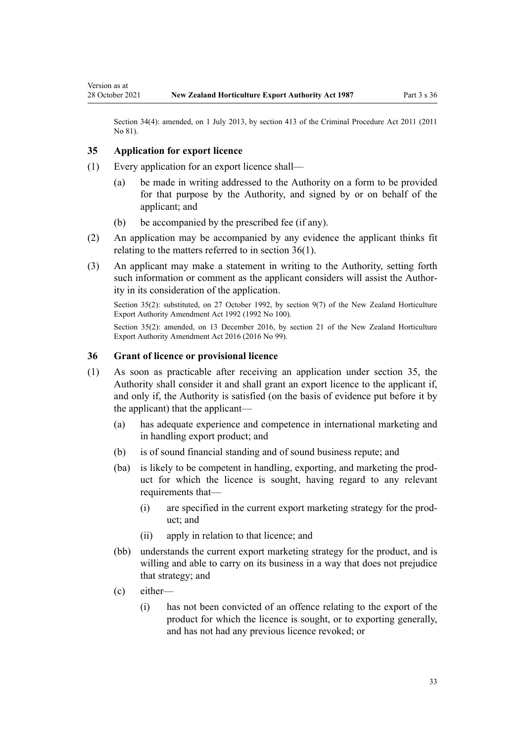Section 34(4): amended, on 1 July 2013, by [section 413](http://legislation.govt.nz/pdflink.aspx?id=DLM3360714) of the Criminal Procedure Act 2011 (2011 No 81).

#### **35 Application for export licence**

<span id="page-32-0"></span>Version as at

- (1) Every application for an export licence shall—
	- (a) be made in writing addressed to the Authority on a form to be provided for that purpose by the Authority, and signed by or on behalf of the applicant; and
	- (b) be accompanied by the prescribed fee (if any).
- (2) An application may be accompanied by any evidence the applicant thinks fit relating to the matters referred to in section 36(1).
- (3) An applicant may make a statement in writing to the Authority, setting forth such information or comment as the applicant considers will assist the Authority in its consideration of the application.

Section 35(2): substituted, on 27 October 1992, by [section 9\(7\)](http://legislation.govt.nz/pdflink.aspx?id=DLM280628) of the New Zealand Horticulture Export Authority Amendment Act 1992 (1992 No 100).

Section 35(2): amended, on 13 December 2016, by [section 21](http://legislation.govt.nz/pdflink.aspx?id=DLM6675679) of the New Zealand Horticulture Export Authority Amendment Act 2016 (2016 No 99).

#### **36 Grant of licence or provisional licence**

- (1) As soon as practicable after receiving an application under section 35, the Authority shall consider it and shall grant an export licence to the applicant if, and only if, the Authority is satisfied (on the basis of evidence put before it by the applicant) that the applicant—
	- (a) has adequate experience and competence in international marketing and in handling export product; and
	- (b) is of sound financial standing and of sound business repute; and
	- (ba) is likely to be competent in handling, exporting, and marketing the prod‐ uct for which the licence is sought, having regard to any relevant requirements that—
		- (i) are specified in the current export marketing strategy for the prod‐ uct; and
		- (ii) apply in relation to that licence; and
	- (bb) understands the current export marketing strategy for the product, and is willing and able to carry on its business in a way that does not prejudice that strategy; and
	- (c) either—
		- (i) has not been convicted of an offence relating to the export of the product for which the licence is sought, or to exporting generally, and has not had any previous licence revoked; or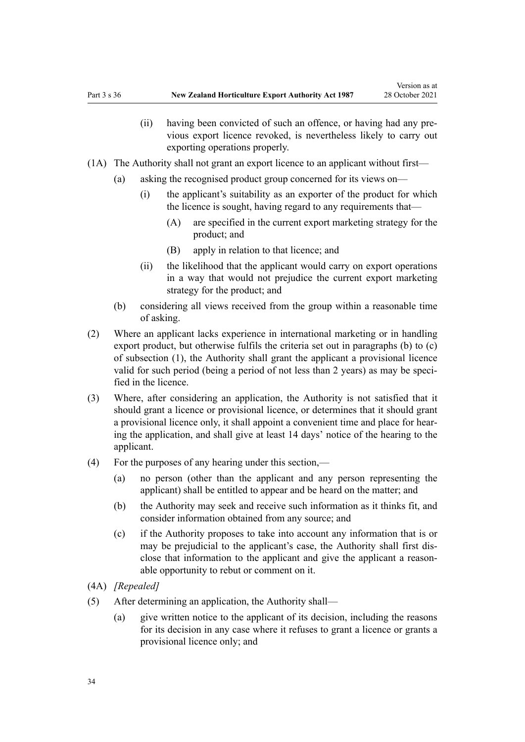- (ii) having been convicted of such an offence, or having had any previous export licence revoked, is nevertheless likely to carry out exporting operations properly.
- (1A) The Authority shall not grant an export licence to an applicant without first—
	- (a) asking the recognised product group concerned for its views on—
		- (i) the applicant's suitability as an exporter of the product for which the licence is sought, having regard to any requirements that—
			- (A) are specified in the current export marketing strategy for the product; and
			- (B) apply in relation to that licence; and
		- (ii) the likelihood that the applicant would carry on export operations in a way that would not prejudice the current export marketing strategy for the product; and
	- (b) considering all views received from the group within a reasonable time of asking.
- (2) Where an applicant lacks experience in international marketing or in handling export product, but otherwise fulfils the criteria set out in paragraphs (b) to (c) of subsection (1), the Authority shall grant the applicant a provisional licence valid for such period (being a period of not less than 2 years) as may be specified in the licence.
- (3) Where, after considering an application, the Authority is not satisfied that it should grant a licence or provisional licence, or determines that it should grant a provisional licence only, it shall appoint a convenient time and place for hear‐ ing the application, and shall give at least 14 days' notice of the hearing to the applicant.
- (4) For the purposes of any hearing under this section,—
	- (a) no person (other than the applicant and any person representing the applicant) shall be entitled to appear and be heard on the matter; and
	- (b) the Authority may seek and receive such information as it thinks fit, and consider information obtained from any source; and
	- (c) if the Authority proposes to take into account any information that is or may be prejudicial to the applicant's case, the Authority shall first disclose that information to the applicant and give the applicant a reasonable opportunity to rebut or comment on it.
- (4A) *[Repealed]*
- (5) After determining an application, the Authority shall—
	- (a) give written notice to the applicant of its decision, including the reasons for its decision in any case where it refuses to grant a licence or grants a provisional licence only; and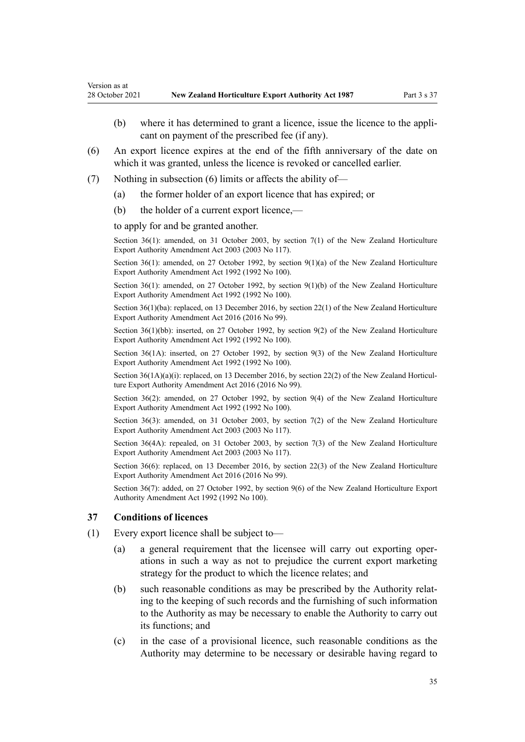- (b) where it has determined to grant a licence, issue the licence to the applicant on payment of the prescribed fee (if any).
- (6) An export licence expires at the end of the fifth anniversary of the date on which it was granted, unless the licence is revoked or cancelled earlier.
- (7) Nothing in subsection (6) limits or affects the ability of—
	- (a) the former holder of an export licence that has expired; or
	- (b) the holder of a current export licence,—

to apply for and be granted another.

<span id="page-34-0"></span>Version as at

Section 36(1): amended, on 31 October 2003, by [section 7\(1\)](http://legislation.govt.nz/pdflink.aspx?id=DLM226220) of the New Zealand Horticulture Export Authority Amendment Act 2003 (2003 No 117).

Section 36(1): amended, on 27 October 1992, by [section 9\(1\)\(a\)](http://legislation.govt.nz/pdflink.aspx?id=DLM280628) of the New Zealand Horticulture Export Authority Amendment Act 1992 (1992 No 100).

Section 36(1): amended, on 27 October 1992, by [section 9\(1\)\(b\)](http://legislation.govt.nz/pdflink.aspx?id=DLM280628) of the New Zealand Horticulture Export Authority Amendment Act 1992 (1992 No 100).

Section 36(1)(ba): replaced, on 13 December 2016, by [section 22\(1\)](http://legislation.govt.nz/pdflink.aspx?id=DLM6675680) of the New Zealand Horticulture Export Authority Amendment Act 2016 (2016 No 99).

Section 36(1)(bb): inserted, on 27 October 1992, by [section 9\(2\)](http://legislation.govt.nz/pdflink.aspx?id=DLM280628) of the New Zealand Horticulture Export Authority Amendment Act 1992 (1992 No 100).

Section 36(1A): inserted, on 27 October 1992, by [section 9\(3\)](http://legislation.govt.nz/pdflink.aspx?id=DLM280628) of the New Zealand Horticulture Export Authority Amendment Act 1992 (1992 No 100).

Section  $36(1A)(a)(i)$ : replaced, on 13 December 2016, by [section 22\(2\)](http://legislation.govt.nz/pdflink.aspx?id=DLM6675680) of the New Zealand Horticulture Export Authority Amendment Act 2016 (2016 No 99).

Section 36(2): amended, on 27 October 1992, by [section 9\(4\)](http://legislation.govt.nz/pdflink.aspx?id=DLM280628) of the New Zealand Horticulture Export Authority Amendment Act 1992 (1992 No 100).

Section 36(3): amended, on 31 October 2003, by [section 7\(2\)](http://legislation.govt.nz/pdflink.aspx?id=DLM226220) of the New Zealand Horticulture Export Authority Amendment Act 2003 (2003 No 117).

Section 36(4A): repealed, on 31 October 2003, by [section 7\(3\)](http://legislation.govt.nz/pdflink.aspx?id=DLM226220) of the New Zealand Horticulture Export Authority Amendment Act 2003 (2003 No 117).

Section 36(6): replaced, on 13 December 2016, by [section 22\(3\)](http://legislation.govt.nz/pdflink.aspx?id=DLM6675680) of the New Zealand Horticulture Export Authority Amendment Act 2016 (2016 No 99).

Section 36(7): added, on 27 October 1992, by [section 9\(6\)](http://legislation.govt.nz/pdflink.aspx?id=DLM280628) of the New Zealand Horticulture Export Authority Amendment Act 1992 (1992 No 100).

#### **37 Conditions of licences**

- (1) Every export licence shall be subject to—
	- (a) a general requirement that the licensee will carry out exporting oper‐ ations in such a way as not to prejudice the current export marketing strategy for the product to which the licence relates; and
	- (b) such reasonable conditions as may be prescribed by the Authority relat‐ ing to the keeping of such records and the furnishing of such information to the Authority as may be necessary to enable the Authority to carry out its functions; and
	- (c) in the case of a provisional licence, such reasonable conditions as the Authority may determine to be necessary or desirable having regard to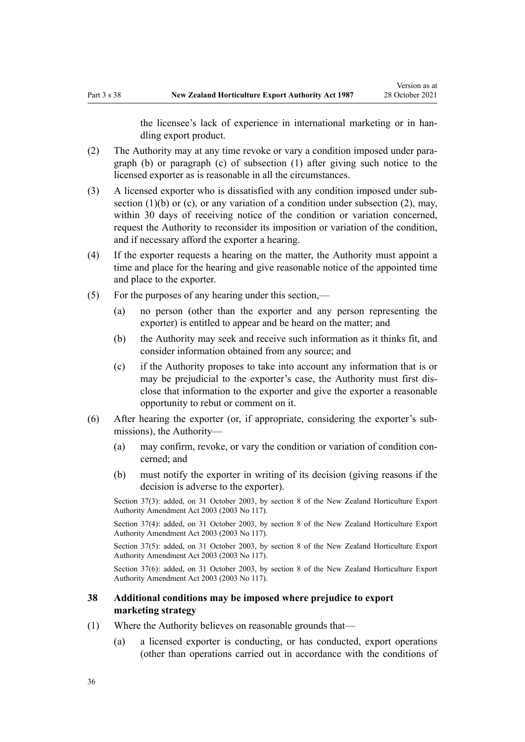the licensee's lack of experience in international marketing or in han‐ dling export product.

- <span id="page-35-0"></span>(2) The Authority may at any time revoke or vary a condition imposed under para‐ graph (b) or paragraph (c) of subsection (1) after giving such notice to the licensed exporter as is reasonable in all the circumstances.
- (3) A licensed exporter who is dissatisfied with any condition imposed under sub‐ section  $(1)(b)$  or  $(c)$ , or any variation of a condition under subsection  $(2)$ , may, within 30 days of receiving notice of the condition or variation concerned, request the Authority to reconsider its imposition or variation of the condition, and if necessary afford the exporter a hearing.
- (4) If the exporter requests a hearing on the matter, the Authority must appoint a time and place for the hearing and give reasonable notice of the appointed time and place to the exporter.
- (5) For the purposes of any hearing under this section,—
	- (a) no person (other than the exporter and any person representing the exporter) is entitled to appear and be heard on the matter; and
	- (b) the Authority may seek and receive such information as it thinks fit, and consider information obtained from any source; and
	- (c) if the Authority proposes to take into account any information that is or may be prejudicial to the exporter's case, the Authority must first dis‐ close that information to the exporter and give the exporter a reasonable opportunity to rebut or comment on it.
- (6) After hearing the exporter (or, if appropriate, considering the exporter's sub‐ missions), the Authority—
	- (a) may confirm, revoke, or vary the condition or variation of condition con‐ cerned; and
	- (b) must notify the exporter in writing of its decision (giving reasons if the decision is adverse to the exporter).

Section 37(3): added, on 31 October 2003, by [section 8](http://legislation.govt.nz/pdflink.aspx?id=DLM226221) of the New Zealand Horticulture Export Authority Amendment Act 2003 (2003 No 117).

Section 37(4): added, on 31 October 2003, by [section 8](http://legislation.govt.nz/pdflink.aspx?id=DLM226221) of the New Zealand Horticulture Export Authority Amendment Act 2003 (2003 No 117).

Section 37(5): added, on 31 October 2003, by [section 8](http://legislation.govt.nz/pdflink.aspx?id=DLM226221) of the New Zealand Horticulture Export Authority Amendment Act 2003 (2003 No 117).

Section 37(6): added, on 31 October 2003, by [section 8](http://legislation.govt.nz/pdflink.aspx?id=DLM226221) of the New Zealand Horticulture Export Authority Amendment Act 2003 (2003 No 117).

#### **38 Additional conditions may be imposed where prejudice to export marketing strategy**

- (1) Where the Authority believes on reasonable grounds that—
	- (a) a licensed exporter is conducting, or has conducted, export operations (other than operations carried out in accordance with the conditions of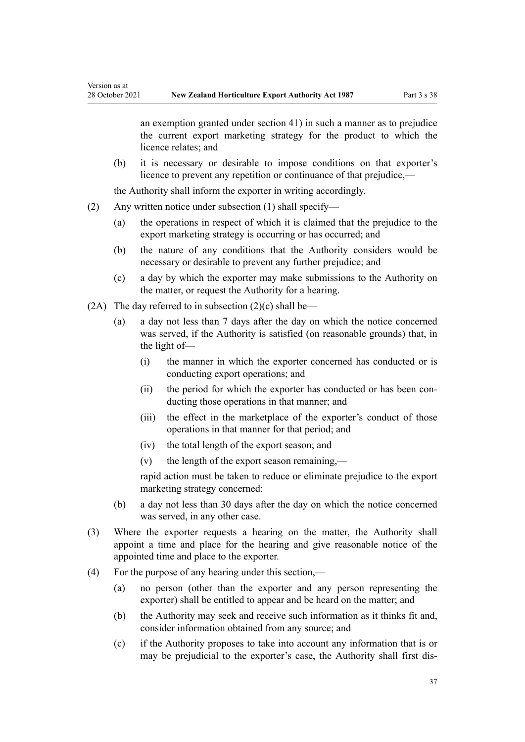Version as at

an exemption granted under [section 41](#page-41-0)) in such a manner as to prejudice the current export marketing strategy for the product to which the licence relates; and

(b) it is necessary or desirable to impose conditions on that exporter's licence to prevent any repetition or continuance of that prejudice,—

the Authority shall inform the exporter in writing accordingly.

- (2) Any written notice under subsection (1) shall specify—
	- (a) the operations in respect of which it is claimed that the prejudice to the export marketing strategy is occurring or has occurred; and
	- (b) the nature of any conditions that the Authority considers would be necessary or desirable to prevent any further prejudice; and
	- (c) a day by which the exporter may make submissions to the Authority on the matter, or request the Authority for a hearing.
- (2A) The day referred to in subsection  $(2)(c)$  shall be—
	- (a) a day not less than 7 days after the day on which the notice concerned was served, if the Authority is satisfied (on reasonable grounds) that, in the light of—
		- (i) the manner in which the exporter concerned has conducted or is conducting export operations; and
		- (ii) the period for which the exporter has conducted or has been conducting those operations in that manner; and
		- (iii) the effect in the marketplace of the exporter's conduct of those operations in that manner for that period; and
		- (iv) the total length of the export season; and
		- $(v)$  the length of the export season remaining,—

rapid action must be taken to reduce or eliminate prejudice to the export marketing strategy concerned:

- (b) a day not less than 30 days after the day on which the notice concerned was served, in any other case.
- (3) Where the exporter requests a hearing on the matter, the Authority shall appoint a time and place for the hearing and give reasonable notice of the appointed time and place to the exporter.
- (4) For the purpose of any hearing under this section,—
	- (a) no person (other than the exporter and any person representing the exporter) shall be entitled to appear and be heard on the matter; and
	- (b) the Authority may seek and receive such information as it thinks fit and, consider information obtained from any source; and
	- (c) if the Authority proposes to take into account any information that is or may be prejudicial to the exporter's case, the Authority shall first dis‐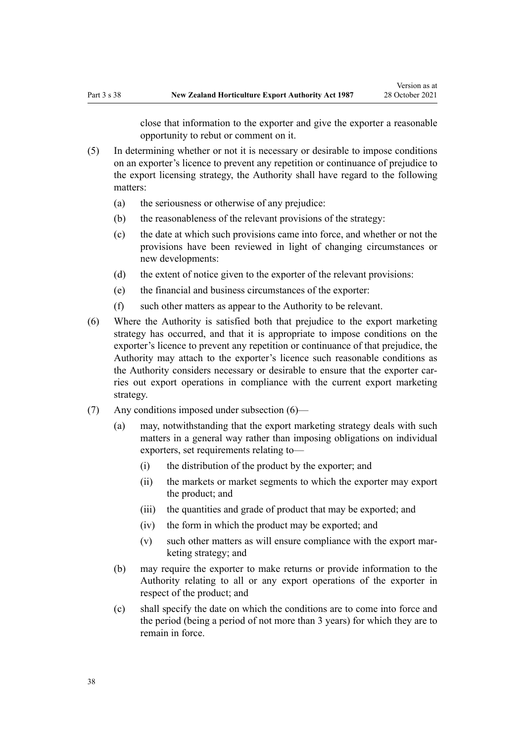close that information to the exporter and give the exporter a reasonable opportunity to rebut or comment on it.

- (5) In determining whether or not it is necessary or desirable to impose conditions on an exporter's licence to prevent any repetition or continuance of prejudice to the export licensing strategy, the Authority shall have regard to the following matters:
	- (a) the seriousness or otherwise of any prejudice:
	- (b) the reasonableness of the relevant provisions of the strategy:
	- (c) the date at which such provisions came into force, and whether or not the provisions have been reviewed in light of changing circumstances or new developments:
	- (d) the extent of notice given to the exporter of the relevant provisions:
	- (e) the financial and business circumstances of the exporter:
	- (f) such other matters as appear to the Authority to be relevant.
- (6) Where the Authority is satisfied both that prejudice to the export marketing strategy has occurred, and that it is appropriate to impose conditions on the exporter's licence to prevent any repetition or continuance of that prejudice, the Authority may attach to the exporter's licence such reasonable conditions as the Authority considers necessary or desirable to ensure that the exporter carries out export operations in compliance with the current export marketing strategy.
- (7) Any conditions imposed under subsection (6)—
	- (a) may, notwithstanding that the export marketing strategy deals with such matters in a general way rather than imposing obligations on individual exporters, set requirements relating to—
		- (i) the distribution of the product by the exporter; and
		- (ii) the markets or market segments to which the exporter may export the product; and
		- (iii) the quantities and grade of product that may be exported; and
		- (iv) the form in which the product may be exported; and
		- $(v)$  such other matters as will ensure compliance with the export marketing strategy; and
	- (b) may require the exporter to make returns or provide information to the Authority relating to all or any export operations of the exporter in respect of the product; and
	- (c) shall specify the date on which the conditions are to come into force and the period (being a period of not more than 3 years) for which they are to remain in force.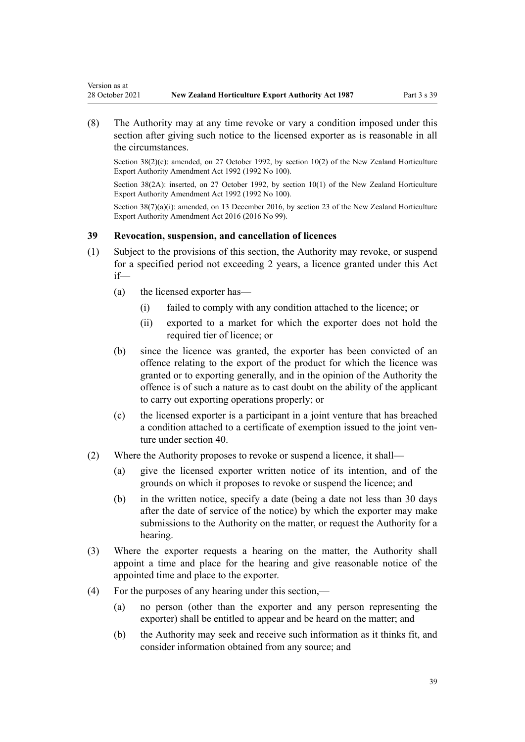<span id="page-38-0"></span>Version as at

(8) The Authority may at any time revoke or vary a condition imposed under this section after giving such notice to the licensed exporter as is reasonable in all the circumstances.

Section 38(2)(c): amended, on 27 October 1992, by [section 10\(2\)](http://legislation.govt.nz/pdflink.aspx?id=DLM280629) of the New Zealand Horticulture Export Authority Amendment Act 1992 (1992 No 100).

Section 38(2A): inserted, on 27 October 1992, by [section 10\(1\)](http://legislation.govt.nz/pdflink.aspx?id=DLM280629) of the New Zealand Horticulture Export Authority Amendment Act 1992 (1992 No 100).

Section 38(7)(a)(i): amended, on 13 December 2016, by [section 23](http://legislation.govt.nz/pdflink.aspx?id=DLM6675681) of the New Zealand Horticulture Export Authority Amendment Act 2016 (2016 No 99).

#### **39 Revocation, suspension, and cancellation of licences**

- (1) Subject to the provisions of this section, the Authority may revoke, or suspend for a specified period not exceeding 2 years, a licence granted under this Act if—
	- (a) the licensed exporter has—
		- (i) failed to comply with any condition attached to the licence; or
		- (ii) exported to a market for which the exporter does not hold the required tier of licence; or
	- (b) since the licence was granted, the exporter has been convicted of an offence relating to the export of the product for which the licence was granted or to exporting generally, and in the opinion of the Authority the offence is of such a nature as to cast doubt on the ability of the applicant to carry out exporting operations properly; or
	- (c) the licensed exporter is a participant in a joint venture that has breached a condition attached to a certificate of exemption issued to the joint ven‐ ture under [section 40.](#page-40-0)
- (2) Where the Authority proposes to revoke or suspend a licence, it shall—
	- (a) give the licensed exporter written notice of its intention, and of the grounds on which it proposes to revoke or suspend the licence; and
	- (b) in the written notice, specify a date (being a date not less than 30 days after the date of service of the notice) by which the exporter may make submissions to the Authority on the matter, or request the Authority for a hearing.
- (3) Where the exporter requests a hearing on the matter, the Authority shall appoint a time and place for the hearing and give reasonable notice of the appointed time and place to the exporter.
- (4) For the purposes of any hearing under this section,—
	- (a) no person (other than the exporter and any person representing the exporter) shall be entitled to appear and be heard on the matter; and
	- (b) the Authority may seek and receive such information as it thinks fit, and consider information obtained from any source; and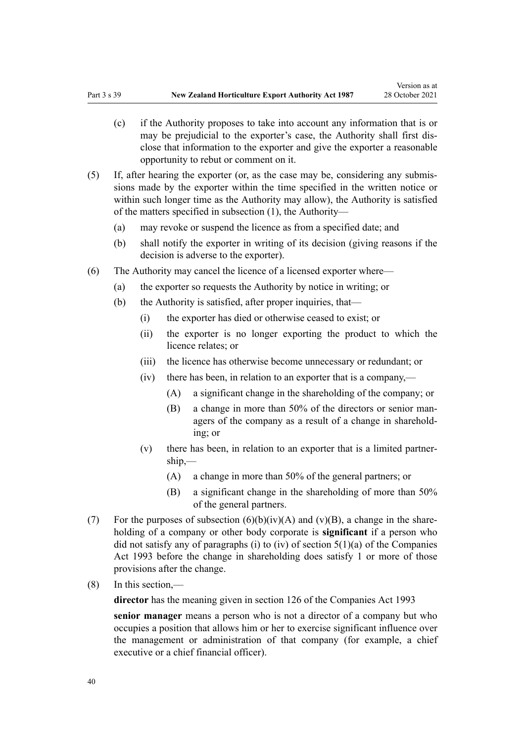- (c) if the Authority proposes to take into account any information that is or may be prejudicial to the exporter's case, the Authority shall first dis‐ close that information to the exporter and give the exporter a reasonable opportunity to rebut or comment on it.
- (5) If, after hearing the exporter (or, as the case may be, considering any submis‐ sions made by the exporter within the time specified in the written notice or within such longer time as the Authority may allow), the Authority is satisfied of the matters specified in subsection (1), the Authority—
	- (a) may revoke or suspend the licence as from a specified date; and
	- (b) shall notify the exporter in writing of its decision (giving reasons if the decision is adverse to the exporter).
- (6) The Authority may cancel the licence of a licensed exporter where—
	- (a) the exporter so requests the Authority by notice in writing; or
	- (b) the Authority is satisfied, after proper inquiries, that—
		- (i) the exporter has died or otherwise ceased to exist; or
		- (ii) the exporter is no longer exporting the product to which the licence relates; or
		- (iii) the licence has otherwise become unnecessary or redundant; or
		- (iv) there has been, in relation to an exporter that is a company,—
			- (A) a significant change in the shareholding of the company; or
			- (B) a change in more than 50% of the directors or senior managers of the company as a result of a change in sharehold‐ ing; or
		- $(v)$  there has been, in relation to an exporter that is a limited partnership,—
			- (A) a change in more than 50% of the general partners; or
			- (B) a significant change in the shareholding of more than 50% of the general partners.
- (7) For the purposes of subsection  $(6)(b)(iv)(A)$  and  $(v)(B)$ , a change in the shareholding of a company or other body corporate is **significant** if a person who did not satisfy any of paragraphs (i) to (iv) of section  $5(1)(a)$  of the Companies Act 1993 before the change in shareholding does satisfy 1 or more of those provisions after the change.
- (8) In this section,—

**director** has the meaning given in [section 126](http://legislation.govt.nz/pdflink.aspx?id=DLM320630) of the Companies Act 1993

**senior manager** means a person who is not a director of a company but who occupies a position that allows him or her to exercise significant influence over the management or administration of that company (for example, a chief executive or a chief financial officer).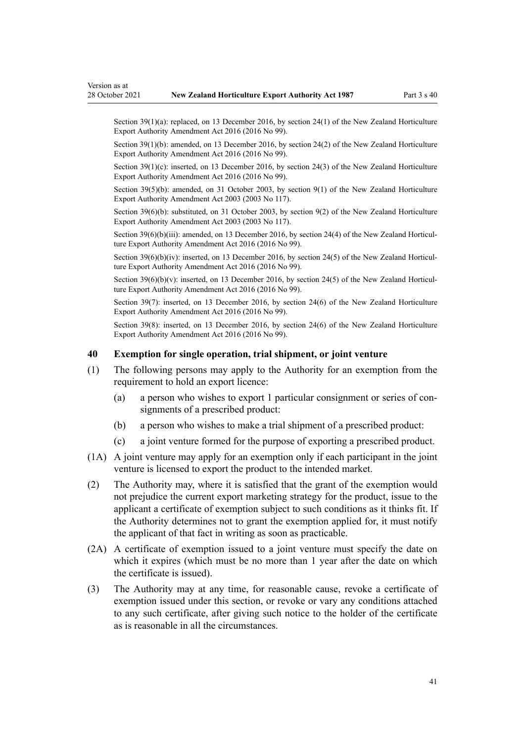<span id="page-40-0"></span>Section 39(1)(a): replaced, on 13 December 2016, by [section 24\(1\)](http://legislation.govt.nz/pdflink.aspx?id=DLM6675682) of the New Zealand Horticulture Export Authority Amendment Act 2016 (2016 No 99).

Section 39(1)(b): amended, on 13 December 2016, by [section 24\(2\)](http://legislation.govt.nz/pdflink.aspx?id=DLM6675682) of the New Zealand Horticulture Export Authority Amendment Act 2016 (2016 No 99).

Section 39(1)(c): inserted, on 13 December 2016, by [section 24\(3\)](http://legislation.govt.nz/pdflink.aspx?id=DLM6675682) of the New Zealand Horticulture Export Authority Amendment Act 2016 (2016 No 99).

Section 39(5)(b): amended, on 31 October 2003, by [section 9\(1\)](http://legislation.govt.nz/pdflink.aspx?id=DLM226222) of the New Zealand Horticulture Export Authority Amendment Act 2003 (2003 No 117).

Section 39(6)(b): substituted, on 31 October 2003, by [section 9\(2\)](http://legislation.govt.nz/pdflink.aspx?id=DLM226222) of the New Zealand Horticulture Export Authority Amendment Act 2003 (2003 No 117).

Section 39(6)(b)(iii): amended, on 13 December 2016, by [section 24\(4\)](http://legislation.govt.nz/pdflink.aspx?id=DLM6675682) of the New Zealand Horticulture Export Authority Amendment Act 2016 (2016 No 99).

Section  $39(6)(b)(iv)$ : inserted, on 13 December 2016, by [section 24\(5\)](http://legislation.govt.nz/pdflink.aspx?id=DLM6675682) of the New Zealand Horticulture Export Authority Amendment Act 2016 (2016 No 99).

Section 39(6)(b)(y): inserted, on 13 December 2016, by [section 24\(5\)](http://legislation.govt.nz/pdflink.aspx?id=DLM6675682) of the New Zealand Horticulture Export Authority Amendment Act 2016 (2016 No 99).

Section 39(7): inserted, on 13 December 2016, by [section 24\(6\)](http://legislation.govt.nz/pdflink.aspx?id=DLM6675682) of the New Zealand Horticulture Export Authority Amendment Act 2016 (2016 No 99).

Section 39(8): inserted, on 13 December 2016, by [section 24\(6\)](http://legislation.govt.nz/pdflink.aspx?id=DLM6675682) of the New Zealand Horticulture Export Authority Amendment Act 2016 (2016 No 99).

#### **40 Exemption for single operation, trial shipment, or joint venture**

- (1) The following persons may apply to the Authority for an exemption from the requirement to hold an export licence:
	- (a) a person who wishes to export 1 particular consignment or series of con‐ signments of a prescribed product:
	- (b) a person who wishes to make a trial shipment of a prescribed product:
	- (c) a joint venture formed for the purpose of exporting a prescribed product.
- (1A) A joint venture may apply for an exemption only if each participant in the joint venture is licensed to export the product to the intended market.
- (2) The Authority may, where it is satisfied that the grant of the exemption would not prejudice the current export marketing strategy for the product, issue to the applicant a certificate of exemption subject to such conditions as it thinks fit. If the Authority determines not to grant the exemption applied for, it must notify the applicant of that fact in writing as soon as practicable.
- (2A) A certificate of exemption issued to a joint venture must specify the date on which it expires (which must be no more than 1 year after the date on which the certificate is issued).
- (3) The Authority may at any time, for reasonable cause, revoke a certificate of exemption issued under this section, or revoke or vary any conditions attached to any such certificate, after giving such notice to the holder of the certificate as is reasonable in all the circumstances.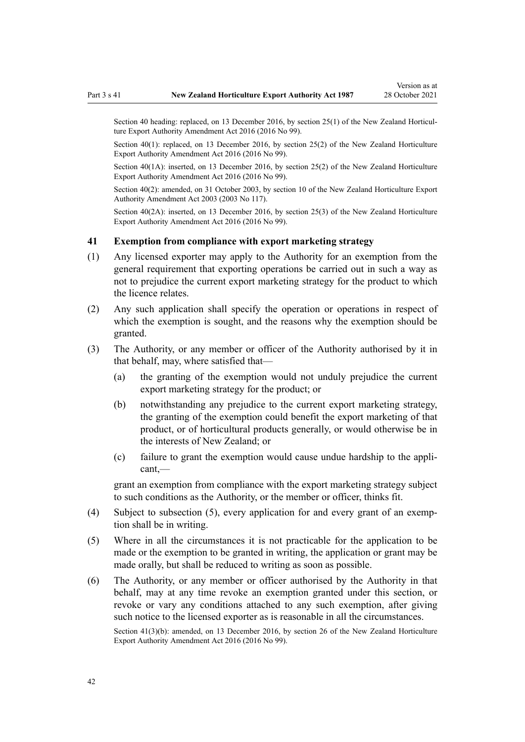<span id="page-41-0"></span>

Section 40 heading: replaced, on 13 December 2016, by [section 25\(1\)](http://legislation.govt.nz/pdflink.aspx?id=DLM6675688) of the New Zealand Horticulture Export Authority Amendment Act 2016 (2016 No 99).

Section 40(1): replaced, on 13 December 2016, by [section 25\(2\)](http://legislation.govt.nz/pdflink.aspx?id=DLM6675688) of the New Zealand Horticulture Export Authority Amendment Act 2016 (2016 No 99).

Section 40(1A): inserted, on 13 December 2016, by [section 25\(2\)](http://legislation.govt.nz/pdflink.aspx?id=DLM6675688) of the New Zealand Horticulture Export Authority Amendment Act 2016 (2016 No 99).

Section 40(2): amended, on 31 October 2003, by [section 10](http://legislation.govt.nz/pdflink.aspx?id=DLM226223) of the New Zealand Horticulture Export Authority Amendment Act 2003 (2003 No 117).

Section 40(2A): inserted, on 13 December 2016, by [section 25\(3\)](http://legislation.govt.nz/pdflink.aspx?id=DLM6675688) of the New Zealand Horticulture Export Authority Amendment Act 2016 (2016 No 99).

#### **41 Exemption from compliance with export marketing strategy**

- (1) Any licensed exporter may apply to the Authority for an exemption from the general requirement that exporting operations be carried out in such a way as not to prejudice the current export marketing strategy for the product to which the licence relates.
- (2) Any such application shall specify the operation or operations in respect of which the exemption is sought, and the reasons why the exemption should be granted.
- (3) The Authority, or any member or officer of the Authority authorised by it in that behalf, may, where satisfied that—
	- (a) the granting of the exemption would not unduly prejudice the current export marketing strategy for the product; or
	- (b) notwithstanding any prejudice to the current export marketing strategy, the granting of the exemption could benefit the export marketing of that product, or of horticultural products generally, or would otherwise be in the interests of New Zealand; or
	- (c) failure to grant the exemption would cause undue hardship to the appli‐ cant,—

grant an exemption from compliance with the export marketing strategy subject to such conditions as the Authority, or the member or officer, thinks fit.

- (4) Subject to subsection (5), every application for and every grant of an exemp‐ tion shall be in writing.
- (5) Where in all the circumstances it is not practicable for the application to be made or the exemption to be granted in writing, the application or grant may be made orally, but shall be reduced to writing as soon as possible.
- (6) The Authority, or any member or officer authorised by the Authority in that behalf, may at any time revoke an exemption granted under this section, or revoke or vary any conditions attached to any such exemption, after giving such notice to the licensed exporter as is reasonable in all the circumstances.

Section 41(3)(b): amended, on 13 December 2016, by [section 26](http://legislation.govt.nz/pdflink.aspx?id=DLM6675689) of the New Zealand Horticulture Export Authority Amendment Act 2016 (2016 No 99).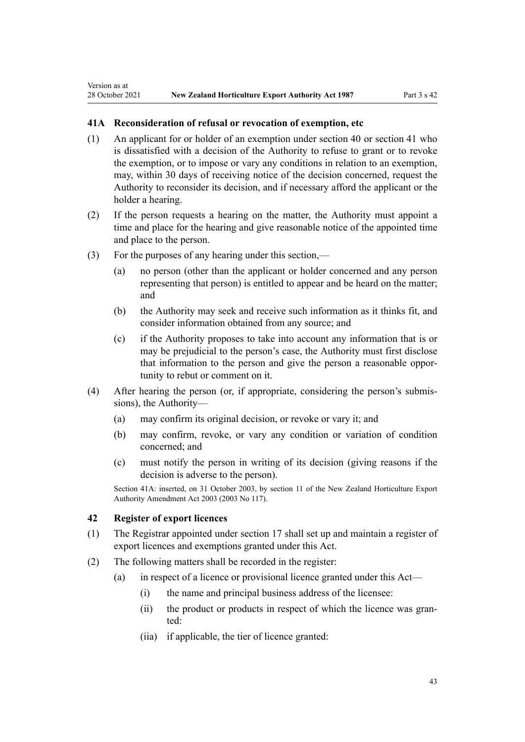#### <span id="page-42-0"></span>**41A Reconsideration of refusal or revocation of exemption, etc**

- (1) An applicant for or holder of an exemption under [section 40](#page-40-0) or [section 41](#page-41-0) who is dissatisfied with a decision of the Authority to refuse to grant or to revoke the exemption, or to impose or vary any conditions in relation to an exemption, may, within 30 days of receiving notice of the decision concerned, request the Authority to reconsider its decision, and if necessary afford the applicant or the holder a hearing.
- (2) If the person requests a hearing on the matter, the Authority must appoint a time and place for the hearing and give reasonable notice of the appointed time and place to the person.
- (3) For the purposes of any hearing under this section,—
	- (a) no person (other than the applicant or holder concerned and any person representing that person) is entitled to appear and be heard on the matter; and
	- (b) the Authority may seek and receive such information as it thinks fit, and consider information obtained from any source; and
	- (c) if the Authority proposes to take into account any information that is or may be prejudicial to the person's case, the Authority must first disclose that information to the person and give the person a reasonable oppor‐ tunity to rebut or comment on it.
- (4) After hearing the person (or, if appropriate, considering the person's submis‐ sions), the Authority—
	- (a) may confirm its original decision, or revoke or vary it; and
	- (b) may confirm, revoke, or vary any condition or variation of condition concerned; and
	- (c) must notify the person in writing of its decision (giving reasons if the decision is adverse to the person).

Section 41A: inserted, on 31 October 2003, by [section 11](http://legislation.govt.nz/pdflink.aspx?id=DLM226224) of the New Zealand Horticulture Export Authority Amendment Act 2003 (2003 No 117).

#### **42 Register of export licences**

- (1) The Registrar appointed under [section 17](#page-12-0) shall set up and maintain a register of export licences and exemptions granted under this Act.
- (2) The following matters shall be recorded in the register:
	- (a) in respect of a licence or provisional licence granted under this Act—
		- (i) the name and principal business address of the licensee:
		- (ii) the product or products in respect of which the licence was granted:
		- (iia) if applicable, the tier of licence granted: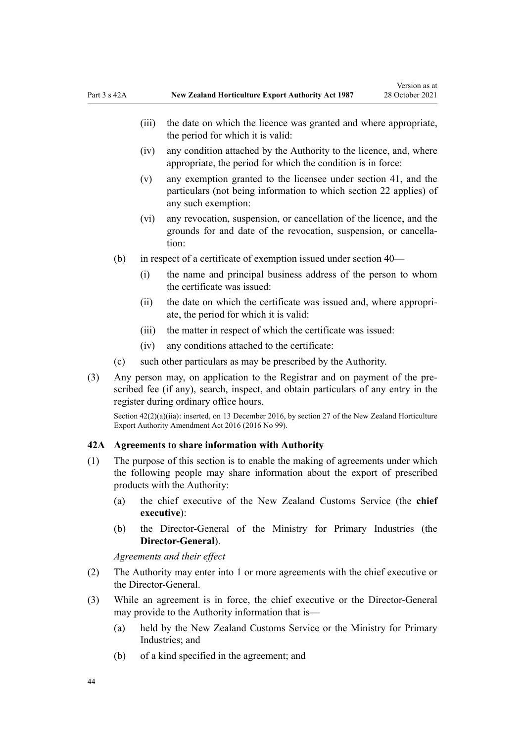- <span id="page-43-0"></span>(iv) any condition attached by the Authority to the licence, and, where appropriate, the period for which the condition is in force:
- (v) any exemption granted to the licensee under [section 41,](#page-41-0) and the particulars (not being information to which [section 22](#page-14-0) applies) of any such exemption:
- (vi) any revocation, suspension, or cancellation of the licence, and the grounds for and date of the revocation, suspension, or cancella‐ tion:
- (b) in respect of a certificate of exemption issued under [section 40](#page-40-0)
	- (i) the name and principal business address of the person to whom the certificate was issued:
	- (ii) the date on which the certificate was issued and, where appropri‐ ate, the period for which it is valid:
	- (iii) the matter in respect of which the certificate was issued:
	- (iv) any conditions attached to the certificate:
- (c) such other particulars as may be prescribed by the Authority.
- (3) Any person may, on application to the Registrar and on payment of the pre‐ scribed fee (if any), search, inspect, and obtain particulars of any entry in the register during ordinary office hours.

Section  $42(2)(a)(ii)$ : inserted, on 13 December 2016, by [section 27](http://legislation.govt.nz/pdflink.aspx?id=DLM6675690) of the New Zealand Horticulture Export Authority Amendment Act 2016 (2016 No 99).

#### **42A Agreements to share information with Authority**

- (1) The purpose of this section is to enable the making of agreements under which the following people may share information about the export of prescribed products with the Authority:
	- (a) the chief executive of the New Zealand Customs Service (the **chief executive**):
	- (b) the Director-General of the Ministry for Primary Industries (the **Director-General**).

*Agreements and their effect*

- (2) The Authority may enter into 1 or more agreements with the chief executive or the Director-General.
- (3) While an agreement is in force, the chief executive or the Director-General may provide to the Authority information that is—
	- (a) held by the New Zealand Customs Service or the Ministry for Primary Industries; and
	- (b) of a kind specified in the agreement; and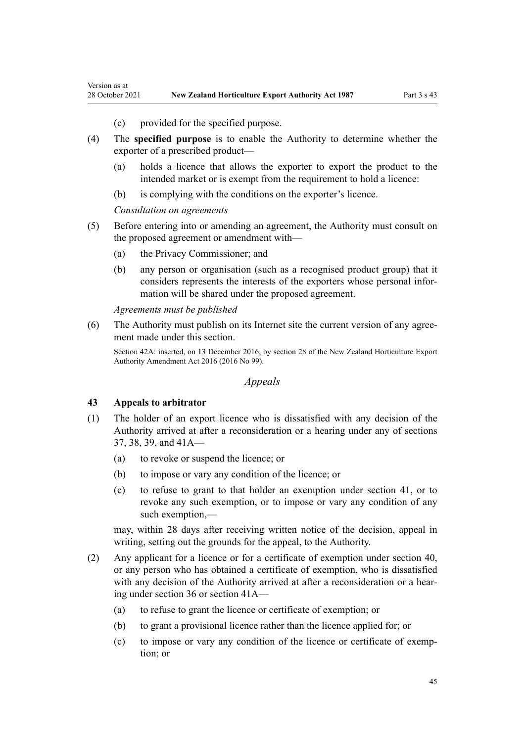- (c) provided for the specified purpose.
- (4) The **specified purpose** is to enable the Authority to determine whether the exporter of a prescribed product—
	- (a) holds a licence that allows the exporter to export the product to the intended market or is exempt from the requirement to hold a licence:
	- (b) is complying with the conditions on the exporter's licence.

*Consultation on agreements*

<span id="page-44-0"></span>Version as at

- (5) Before entering into or amending an agreement, the Authority must consult on the proposed agreement or amendment with—
	- (a) the Privacy Commissioner; and
	- (b) any person or organisation (such as a recognised product group) that it considers represents the interests of the exporters whose personal infor‐ mation will be shared under the proposed agreement.

*Agreements must be published*

(6) The Authority must publish on its Internet site the current version of any agree‐ ment made under this section.

Section 42A: inserted, on 13 December 2016, by [section 28](http://legislation.govt.nz/pdflink.aspx?id=DLM6675691) of the New Zealand Horticulture Export Authority Amendment Act 2016 (2016 No 99).

#### *Appeals*

#### **43 Appeals to arbitrator**

- (1) The holder of an export licence who is dissatisfied with any decision of the Authority arrived at after a reconsideration or a hearing under any of [sections](#page-34-0) [37,](#page-34-0) [38,](#page-35-0) [39](#page-38-0), and [41A](#page-42-0)—
	- (a) to revoke or suspend the licence; or
	- (b) to impose or vary any condition of the licence; or
	- (c) to refuse to grant to that holder an exemption under [section 41](#page-41-0), or to revoke any such exemption, or to impose or vary any condition of any such exemption,—

may, within 28 days after receiving written notice of the decision, appeal in writing, setting out the grounds for the appeal, to the Authority.

- (2) Any applicant for a licence or for a certificate of exemption under [section 40](#page-40-0), or any person who has obtained a certificate of exemption, who is dissatisfied with any decision of the Authority arrived at after a reconsideration or a hearing under [section 36](#page-32-0) or [section 41A](#page-42-0)—
	- (a) to refuse to grant the licence or certificate of exemption; or
	- (b) to grant a provisional licence rather than the licence applied for; or
	- (c) to impose or vary any condition of the licence or certificate of exemp‐ tion; or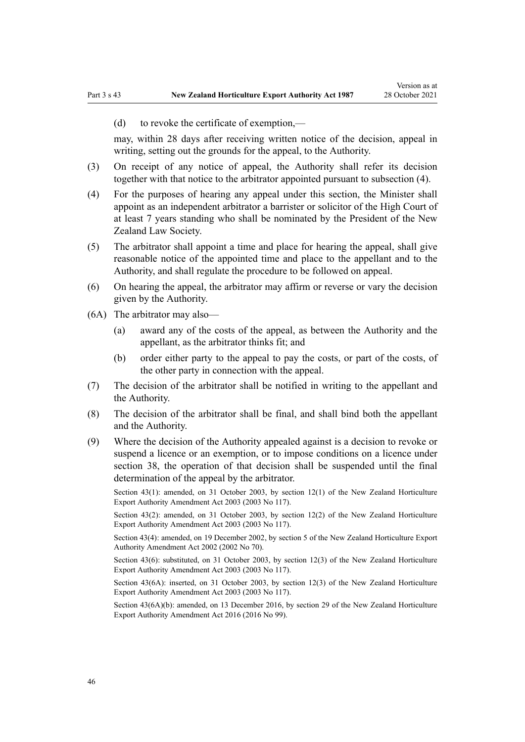(d) to revoke the certificate of exemption,—

may, within 28 days after receiving written notice of the decision, appeal in writing, setting out the grounds for the appeal, to the Authority.

- (3) On receipt of any notice of appeal, the Authority shall refer its decision together with that notice to the arbitrator appointed pursuant to subsection (4).
- (4) For the purposes of hearing any appeal under this section, the Minister shall appoint as an independent arbitrator a barrister or solicitor of the High Court of at least 7 years standing who shall be nominated by the President of the New Zealand Law Society.
- (5) The arbitrator shall appoint a time and place for hearing the appeal, shall give reasonable notice of the appointed time and place to the appellant and to the Authority, and shall regulate the procedure to be followed on appeal.
- (6) On hearing the appeal, the arbitrator may affirm or reverse or vary the decision given by the Authority.
- (6A) The arbitrator may also—
	- (a) award any of the costs of the appeal, as between the Authority and the appellant, as the arbitrator thinks fit; and
	- (b) order either party to the appeal to pay the costs, or part of the costs, of the other party in connection with the appeal.
- (7) The decision of the arbitrator shall be notified in writing to the appellant and the Authority.
- (8) The decision of the arbitrator shall be final, and shall bind both the appellant and the Authority.
- (9) Where the decision of the Authority appealed against is a decision to revoke or suspend a licence or an exemption, or to impose conditions on a licence under [section 38](#page-35-0), the operation of that decision shall be suspended until the final determination of the appeal by the arbitrator.

Section 43(1): amended, on 31 October 2003, by [section 12\(1\)](http://legislation.govt.nz/pdflink.aspx?id=DLM226226) of the New Zealand Horticulture Export Authority Amendment Act 2003 (2003 No 117).

Section 43(2): amended, on 31 October 2003, by [section 12\(2\)](http://legislation.govt.nz/pdflink.aspx?id=DLM226226) of the New Zealand Horticulture Export Authority Amendment Act 2003 (2003 No 117).

Section 43(4): amended, on 19 December 2002, by [section 5](http://legislation.govt.nz/pdflink.aspx?id=DLM169063) of the New Zealand Horticulture Export Authority Amendment Act 2002 (2002 No 70).

Section 43(6): substituted, on 31 October 2003, by [section 12\(3\)](http://legislation.govt.nz/pdflink.aspx?id=DLM226226) of the New Zealand Horticulture Export Authority Amendment Act 2003 (2003 No 117).

Section 43(6A): inserted, on 31 October 2003, by [section 12\(3\)](http://legislation.govt.nz/pdflink.aspx?id=DLM226226) of the New Zealand Horticulture Export Authority Amendment Act 2003 (2003 No 117).

Section 43(6A)(b): amended, on 13 December 2016, by [section 29](http://legislation.govt.nz/pdflink.aspx?id=DLM6675696) of the New Zealand Horticulture Export Authority Amendment Act 2016 (2016 No 99).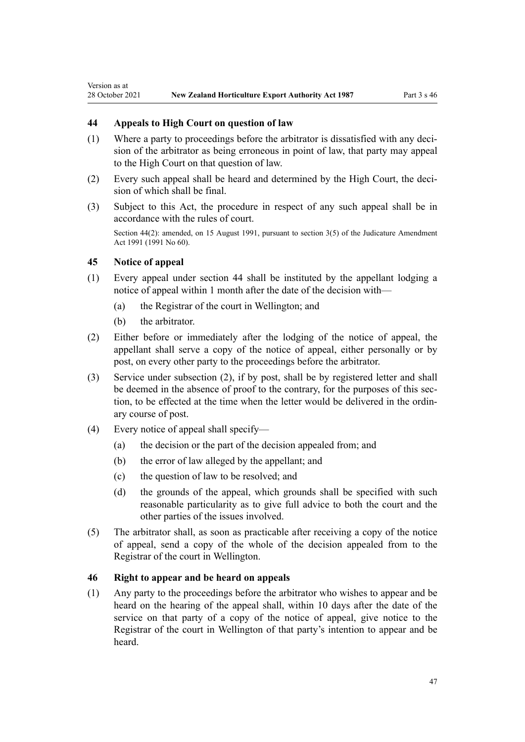# **44 Appeals to High Court on question of law**

- (1) Where a party to proceedings before the arbitrator is dissatisfied with any decision of the arbitrator as being erroneous in point of law, that party may appeal to the High Court on that question of law.
- (2) Every such appeal shall be heard and determined by the High Court, the decision of which shall be final.
- (3) Subject to this Act, the procedure in respect of any such appeal shall be in accordance with the rules of court.

Section 44(2): amended, on 15 August 1991, pursuant to [section 3\(5\)](http://legislation.govt.nz/pdflink.aspx?id=DLM230219) of the Judicature Amendment Act 1991 (1991 No 60).

#### **45 Notice of appeal**

<span id="page-46-0"></span>Version as at

- (1) Every appeal under section 44 shall be instituted by the appellant lodging a notice of appeal within 1 month after the date of the decision with—
	- (a) the Registrar of the court in Wellington; and
	- (b) the arbitrator.
- (2) Either before or immediately after the lodging of the notice of appeal, the appellant shall serve a copy of the notice of appeal, either personally or by post, on every other party to the proceedings before the arbitrator.
- (3) Service under subsection (2), if by post, shall be by registered letter and shall be deemed in the absence of proof to the contrary, for the purposes of this section, to be effected at the time when the letter would be delivered in the ordin‐ ary course of post.
- (4) Every notice of appeal shall specify—
	- (a) the decision or the part of the decision appealed from; and
	- (b) the error of law alleged by the appellant; and
	- (c) the question of law to be resolved; and
	- (d) the grounds of the appeal, which grounds shall be specified with such reasonable particularity as to give full advice to both the court and the other parties of the issues involved.
- (5) The arbitrator shall, as soon as practicable after receiving a copy of the notice of appeal, send a copy of the whole of the decision appealed from to the Registrar of the court in Wellington.

#### **46 Right to appear and be heard on appeals**

(1) Any party to the proceedings before the arbitrator who wishes to appear and be heard on the hearing of the appeal shall, within 10 days after the date of the service on that party of a copy of the notice of appeal, give notice to the Registrar of the court in Wellington of that party's intention to appear and be heard.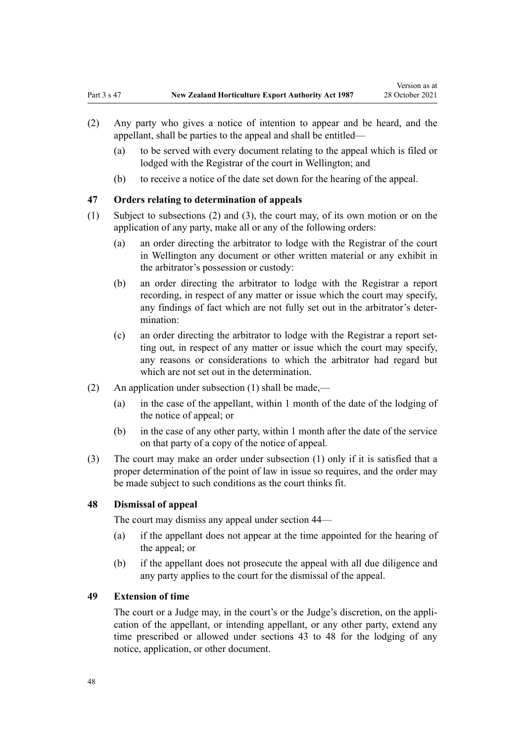- <span id="page-47-0"></span>(2) Any party who gives a notice of intention to appear and be heard, and the appellant, shall be parties to the appeal and shall be entitled—
	- (a) to be served with every document relating to the appeal which is filed or lodged with the Registrar of the court in Wellington; and
	- (b) to receive a notice of the date set down for the hearing of the appeal.

# **47 Orders relating to determination of appeals**

- (1) Subject to subsections (2) and (3), the court may, of its own motion or on the application of any party, make all or any of the following orders:
	- (a) an order directing the arbitrator to lodge with the Registrar of the court in Wellington any document or other written material or any exhibit in the arbitrator's possession or custody:
	- (b) an order directing the arbitrator to lodge with the Registrar a report recording, in respect of any matter or issue which the court may specify, any findings of fact which are not fully set out in the arbitrator's deter‐ mination:
	- (c) an order directing the arbitrator to lodge with the Registrar a report set‐ ting out, in respect of any matter or issue which the court may specify, any reasons or considerations to which the arbitrator had regard but which are not set out in the determination.
- (2) An application under subsection (1) shall be made,—
	- (a) in the case of the appellant, within 1 month of the date of the lodging of the notice of appeal; or
	- (b) in the case of any other party, within 1 month after the date of the service on that party of a copy of the notice of appeal.
- (3) The court may make an order under subsection (1) only if it is satisfied that a proper determination of the point of law in issue so requires, and the order may be made subject to such conditions as the court thinks fit.

#### **48 Dismissal of appeal**

The court may dismiss any appeal under [section 44—](#page-46-0)

- (a) if the appellant does not appear at the time appointed for the hearing of the appeal; or
- (b) if the appellant does not prosecute the appeal with all due diligence and any party applies to the court for the dismissal of the appeal.

#### **49 Extension of time**

The court or a Judge may, in the court's or the Judge's discretion, on the application of the appellant, or intending appellant, or any other party, extend any time prescribed or allowed under [sections 43 to 48](#page-44-0) for the lodging of any notice, application, or other document.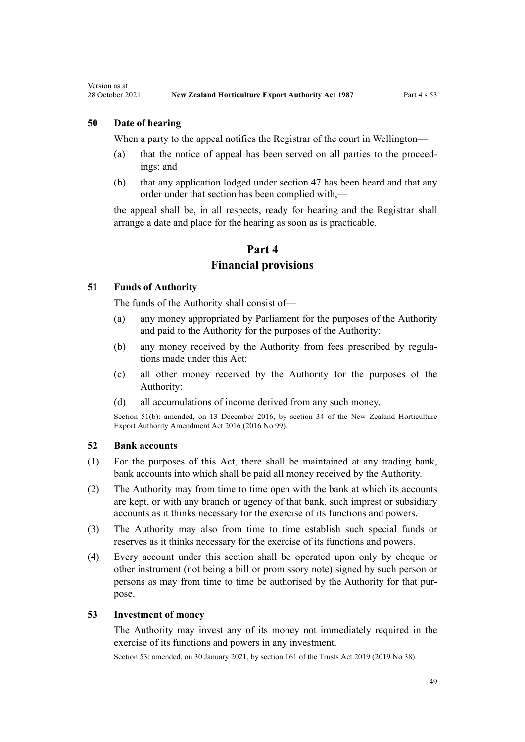#### **50 Date of hearing**

<span id="page-48-0"></span>Version as at

When a party to the appeal notifies the Registrar of the court in Wellington—

- (a) that the notice of appeal has been served on all parties to the proceed‐ ings; and
- (b) that any application lodged under [section 47](#page-47-0) has been heard and that any order under that section has been complied with,—

the appeal shall be, in all respects, ready for hearing and the Registrar shall arrange a date and place for the hearing as soon as is practicable.

# **Part 4 Financial provisions**

#### **51 Funds of Authority**

The funds of the Authority shall consist of—

- (a) any money appropriated by Parliament for the purposes of the Authority and paid to the Authority for the purposes of the Authority:
- (b) any money received by the Authority from fees prescribed by regulations made under this Act:
- (c) all other money received by the Authority for the purposes of the Authority:
- (d) all accumulations of income derived from any such money.

Section 51(b): amended, on 13 December 2016, by [section 34](http://legislation.govt.nz/pdflink.aspx?id=DLM6675707) of the New Zealand Horticulture Export Authority Amendment Act 2016 (2016 No 99).

#### **52 Bank accounts**

- (1) For the purposes of this Act, there shall be maintained at any trading bank, bank accounts into which shall be paid all money received by the Authority.
- (2) The Authority may from time to time open with the bank at which its accounts are kept, or with any branch or agency of that bank, such imprest or subsidiary accounts as it thinks necessary for the exercise of its functions and powers.
- (3) The Authority may also from time to time establish such special funds or reserves as it thinks necessary for the exercise of its functions and powers.
- (4) Every account under this section shall be operated upon only by cheque or other instrument (not being a bill or promissory note) signed by such person or persons as may from time to time be authorised by the Authority for that pur‐ pose.

#### **53 Investment of money**

The Authority may invest any of its money not immediately required in the exercise of its functions and powers in any investment.

Section 53: amended, on 30 January 2021, by [section 161](http://legislation.govt.nz/pdflink.aspx?id=DLM7383110) of the Trusts Act 2019 (2019 No 38).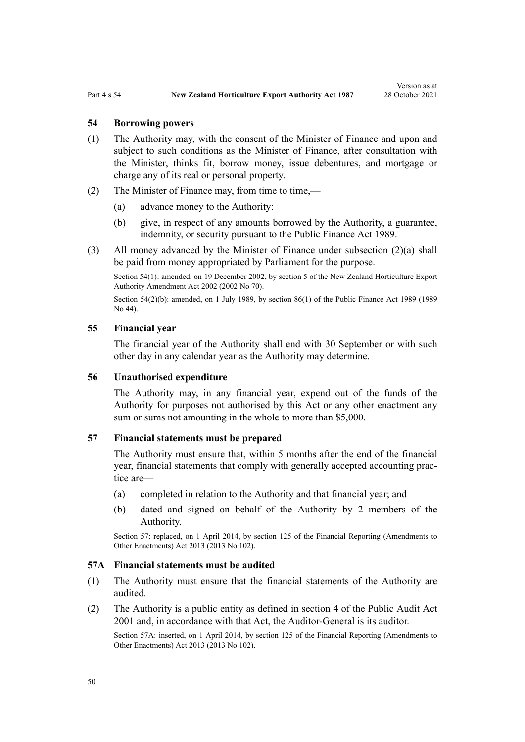#### <span id="page-49-0"></span>**54 Borrowing powers**

- (1) The Authority may, with the consent of the Minister of Finance and upon and subject to such conditions as the Minister of Finance, after consultation with the Minister, thinks fit, borrow money, issue debentures, and mortgage or charge any of its real or personal property.
- (2) The Minister of Finance may, from time to time,—
	- (a) advance money to the Authority:
	- (b) give, in respect of any amounts borrowed by the Authority, a guarantee, indemnity, or security pursuant to the [Public Finance Act 1989.](http://legislation.govt.nz/pdflink.aspx?id=DLM160808)
- (3) All money advanced by the Minister of Finance under subsection (2)(a) shall be paid from money appropriated by Parliament for the purpose.

Section 54(1): amended, on 19 December 2002, by [section 5](http://legislation.govt.nz/pdflink.aspx?id=DLM169063) of the New Zealand Horticulture Export Authority Amendment Act 2002 (2002 No 70).

Section 54(2)(b): amended, on 1 July 1989, by [section 86\(1\)](http://legislation.govt.nz/pdflink.aspx?id=DLM163175) of the Public Finance Act 1989 (1989 No 44).

#### **55 Financial year**

The financial year of the Authority shall end with 30 September or with such other day in any calendar year as the Authority may determine.

#### **56 Unauthorised expenditure**

The Authority may, in any financial year, expend out of the funds of the Authority for purposes not authorised by this Act or any other enactment any sum or sums not amounting in the whole to more than \$5,000.

#### **57 Financial statements must be prepared**

The Authority must ensure that, within 5 months after the end of the financial year, financial statements that comply with generally accepted accounting prac‐ tice are—

- (a) completed in relation to the Authority and that financial year; and
- (b) dated and signed on behalf of the Authority by 2 members of the Authority.

Section 57: replaced, on 1 April 2014, by [section 125](http://legislation.govt.nz/pdflink.aspx?id=DLM5740664) of the Financial Reporting (Amendments to Other Enactments) Act 2013 (2013 No 102).

#### **57A Financial statements must be audited**

- (1) The Authority must ensure that the financial statements of the Authority are audited.
- (2) The Authority is a public entity as defined in [section 4](http://legislation.govt.nz/pdflink.aspx?id=DLM88548) of the Public Audit Act 2001 and, in accordance with that Act, the Auditor-General is its auditor.

Section 57A: inserted, on 1 April 2014, by [section 125](http://legislation.govt.nz/pdflink.aspx?id=DLM5740664) of the Financial Reporting (Amendments to Other Enactments) Act 2013 (2013 No 102).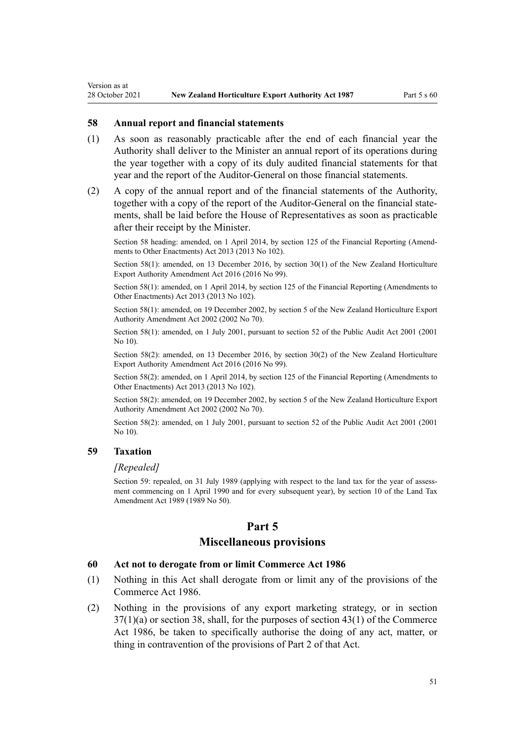#### **58 Annual report and financial statements**

- (1) As soon as reasonably practicable after the end of each financial year the Authority shall deliver to the Minister an annual report of its operations during the year together with a copy of its duly audited financial statements for that year and the report of the Auditor-General on those financial statements.
- (2) A copy of the annual report and of the financial statements of the Authority, together with a copy of the report of the Auditor-General on the financial statements, shall be laid before the House of Representatives as soon as practicable after their receipt by the Minister.

Section 58 heading: amended, on 1 April 2014, by [section 125](http://legislation.govt.nz/pdflink.aspx?id=DLM5740664) of the Financial Reporting (Amendments to Other Enactments) Act 2013 (2013 No 102).

Section 58(1): amended, on 13 December 2016, by [section 30\(1\)](http://legislation.govt.nz/pdflink.aspx?id=DLM6675697) of the New Zealand Horticulture Export Authority Amendment Act 2016 (2016 No 99).

Section 58(1): amended, on 1 April 2014, by [section 125](http://legislation.govt.nz/pdflink.aspx?id=DLM5740664) of the Financial Reporting (Amendments to Other Enactments) Act 2013 (2013 No 102).

Section 58(1): amended, on 19 December 2002, by [section 5](http://legislation.govt.nz/pdflink.aspx?id=DLM169063) of the New Zealand Horticulture Export Authority Amendment Act 2002 (2002 No 70).

Section 58(1): amended, on 1 July 2001, pursuant to [section 52](http://legislation.govt.nz/pdflink.aspx?id=DLM88956) of the Public Audit Act 2001 (2001 No 10).

Section 58(2): amended, on 13 December 2016, by [section 30\(2\)](http://legislation.govt.nz/pdflink.aspx?id=DLM6675697) of the New Zealand Horticulture Export Authority Amendment Act 2016 (2016 No 99).

Section 58(2): amended, on 1 April 2014, by [section 125](http://legislation.govt.nz/pdflink.aspx?id=DLM5740664) of the Financial Reporting (Amendments to Other Enactments) Act 2013 (2013 No 102).

Section 58(2): amended, on 19 December 2002, by [section 5](http://legislation.govt.nz/pdflink.aspx?id=DLM169063) of the New Zealand Horticulture Export Authority Amendment Act 2002 (2002 No 70).

Section 58(2): amended, on 1 July 2001, pursuant to [section 52](http://legislation.govt.nz/pdflink.aspx?id=DLM88956) of the Public Audit Act 2001 (2001 No 10).

#### **59 Taxation**

<span id="page-50-0"></span>Version as at

#### *[Repealed]*

Section 59: repealed, on 31 July 1989 (applying with respect to the land tax for the year of assessment commencing on 1 April 1990 and for every subsequent year), by section 10 of the Land Tax Amendment Act 1989 (1989 No 50).

#### **Part 5**

#### **Miscellaneous provisions**

#### **60 Act not to derogate from or limit Commerce Act 1986**

- (1) Nothing in this Act shall derogate from or limit any of the provisions of the [Commerce Act 1986](http://legislation.govt.nz/pdflink.aspx?id=DLM87622).
- (2) Nothing in the provisions of any export marketing strategy, or in [section](#page-34-0) [37\(1\)\(a\)](#page-34-0) or [section 38](#page-35-0), shall, for the purposes of [section 43\(1\)](http://legislation.govt.nz/pdflink.aspx?id=DLM88405) of the Commerce Act 1986, be taken to specifically authorise the doing of any act, matter, or thing in contravention of the provisions of [Part 2](http://legislation.govt.nz/pdflink.aspx?id=DLM88261) of that Act.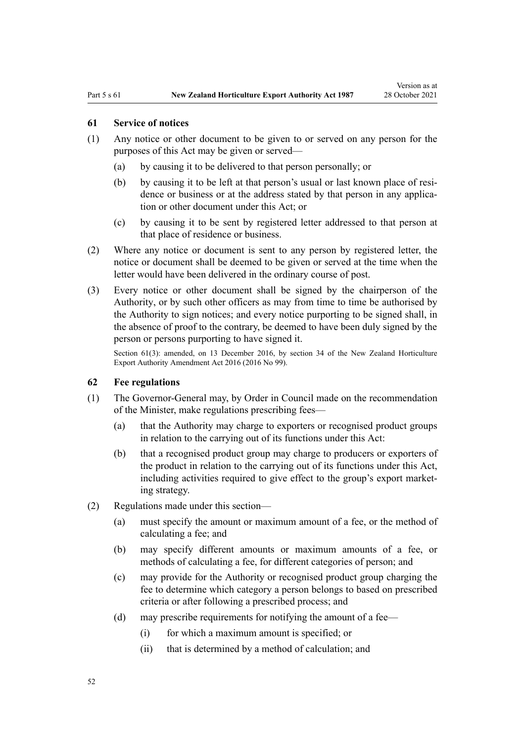#### <span id="page-51-0"></span>**61 Service of notices**

- (1) Any notice or other document to be given to or served on any person for the purposes of this Act may be given or served—
	- (a) by causing it to be delivered to that person personally; or
	- (b) by causing it to be left at that person's usual or last known place of residence or business or at the address stated by that person in any application or other document under this Act; or
	- (c) by causing it to be sent by registered letter addressed to that person at that place of residence or business.
- (2) Where any notice or document is sent to any person by registered letter, the notice or document shall be deemed to be given or served at the time when the letter would have been delivered in the ordinary course of post.
- (3) Every notice or other document shall be signed by the chairperson of the Authority, or by such other officers as may from time to time be authorised by the Authority to sign notices; and every notice purporting to be signed shall, in the absence of proof to the contrary, be deemed to have been duly signed by the person or persons purporting to have signed it.

Section 61(3): amended, on 13 December 2016, by [section 34](http://legislation.govt.nz/pdflink.aspx?id=DLM6675707) of the New Zealand Horticulture Export Authority Amendment Act 2016 (2016 No 99).

#### **62 Fee regulations**

- (1) The Governor-General may, by Order in Council made on the recommendation of the Minister, make regulations prescribing fees—
	- (a) that the Authority may charge to exporters or recognised product groups in relation to the carrying out of its functions under this Act:
	- (b) that a recognised product group may charge to producers or exporters of the product in relation to the carrying out of its functions under this Act, including activities required to give effect to the group's export marketing strategy.
- (2) Regulations made under this section—
	- (a) must specify the amount or maximum amount of a fee, or the method of calculating a fee; and
	- (b) may specify different amounts or maximum amounts of a fee, or methods of calculating a fee, for different categories of person; and
	- (c) may provide for the Authority or recognised product group charging the fee to determine which category a person belongs to based on prescribed criteria or after following a prescribed process; and
	- (d) may prescribe requirements for notifying the amount of a fee—
		- (i) for which a maximum amount is specified; or
		- (ii) that is determined by a method of calculation; and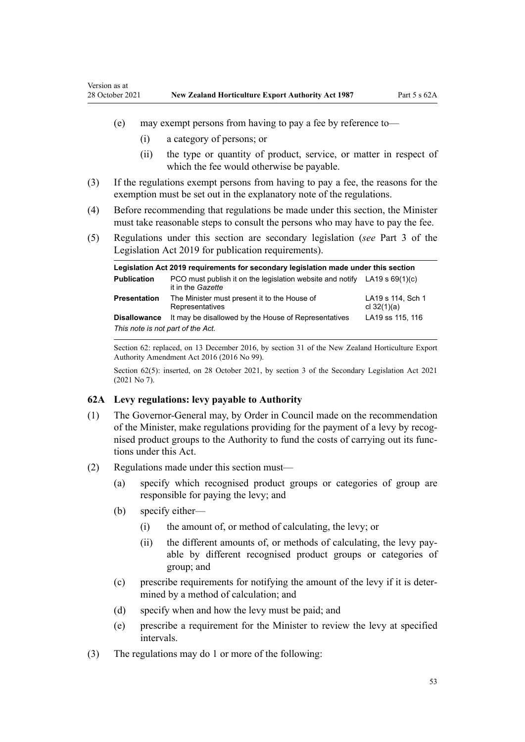- <span id="page-52-0"></span>(e) may exempt persons from having to pay a fee by reference to—
	- (i) a category of persons; or
	- (ii) the type or quantity of product, service, or matter in respect of which the fee would otherwise be payable.
- (3) If the regulations exempt persons from having to pay a fee, the reasons for the exemption must be set out in the explanatory note of the regulations.
- (4) Before recommending that regulations be made under this section, the Minister must take reasonable steps to consult the persons who may have to pay the fee.
- (5) Regulations under this section are secondary legislation (*see* [Part 3](http://legislation.govt.nz/pdflink.aspx?id=DLM7298343) of the Legislation Act 2019 for publication requirements).

| Legislation Act 2019 reguirements for secondary legislation made under this section |                                                                                                  |                                    |  |
|-------------------------------------------------------------------------------------|--------------------------------------------------------------------------------------------------|------------------------------------|--|
| <b>Publication</b>                                                                  | PCO must publish it on the legislation website and notify LA19 s $69(1)(c)$<br>it in the Gazette |                                    |  |
| Presentation                                                                        | The Minister must present it to the House of<br>Representatives                                  | LA19 s 114, Sch 1<br>cl $32(1)(a)$ |  |
| <b>Disallowance</b>                                                                 | It may be disallowed by the House of Representatives                                             | LA19 ss 115, 116                   |  |
| This note is not part of the Act.                                                   |                                                                                                  |                                    |  |

Section 62: replaced, on 13 December 2016, by [section 31](http://legislation.govt.nz/pdflink.aspx?id=DLM6675698) of the New Zealand Horticulture Export Authority Amendment Act 2016 (2016 No 99).

Section 62(5): inserted, on 28 October 2021, by [section 3](http://legislation.govt.nz/pdflink.aspx?id=LMS268932) of the Secondary Legislation Act 2021 (2021 No 7).

#### **62A Levy regulations: levy payable to Authority**

- (1) The Governor-General may, by Order in Council made on the recommendation of the Minister, make regulations providing for the payment of a levy by recog‐ nised product groups to the Authority to fund the costs of carrying out its func‐ tions under this Act.
- (2) Regulations made under this section must—
	- (a) specify which recognised product groups or categories of group are responsible for paying the levy; and
	- (b) specify either—
		- (i) the amount of, or method of calculating, the levy; or
		- (ii) the different amounts of, or methods of calculating, the levy pay‐ able by different recognised product groups or categories of group; and
	- (c) prescribe requirements for notifying the amount of the levy if it is deter‐ mined by a method of calculation; and
	- (d) specify when and how the levy must be paid; and
	- (e) prescribe a requirement for the Minister to review the levy at specified intervals.
- (3) The regulations may do 1 or more of the following: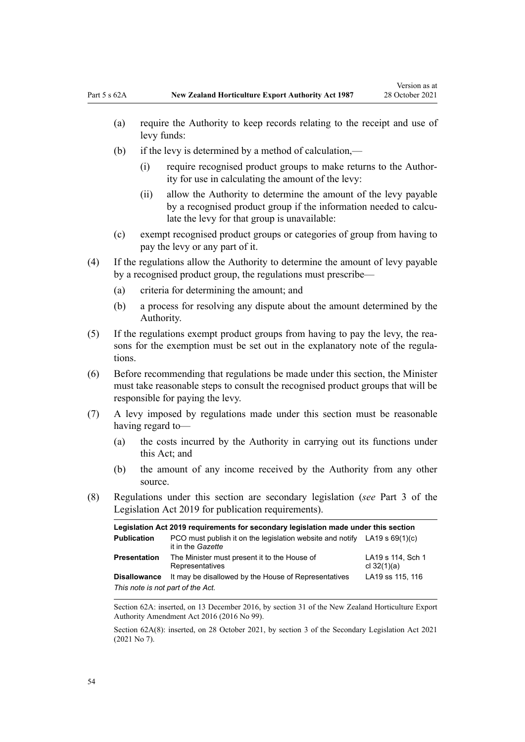- (a) require the Authority to keep records relating to the receipt and use of levy funds:
- (b) if the levy is determined by a method of calculation,—
	- (i) require recognised product groups to make returns to the Author‐ ity for use in calculating the amount of the levy:
	- (ii) allow the Authority to determine the amount of the levy payable by a recognised product group if the information needed to calculate the levy for that group is unavailable:
- (c) exempt recognised product groups or categories of group from having to pay the levy or any part of it.
- (4) If the regulations allow the Authority to determine the amount of levy payable by a recognised product group, the regulations must prescribe—
	- (a) criteria for determining the amount; and
	- (b) a process for resolving any dispute about the amount determined by the Authority.
- (5) If the regulations exempt product groups from having to pay the levy, the rea‐ sons for the exemption must be set out in the explanatory note of the regulations.
- (6) Before recommending that regulations be made under this section, the Minister must take reasonable steps to consult the recognised product groups that will be responsible for paying the levy.
- (7) A levy imposed by regulations made under this section must be reasonable having regard to—
	- (a) the costs incurred by the Authority in carrying out its functions under this Act; and
	- (b) the amount of any income received by the Authority from any other source.
- (8) Regulations under this section are secondary legislation (*see* [Part 3](http://legislation.govt.nz/pdflink.aspx?id=DLM7298343) of the Legislation Act 2019 for publication requirements).

| Legislation Act 2019 requirements for secondary legislation made under this section |                                                                                                  |                                    |  |
|-------------------------------------------------------------------------------------|--------------------------------------------------------------------------------------------------|------------------------------------|--|
| <b>Publication</b>                                                                  | PCO must publish it on the legislation website and notify LA19 s $69(1)(c)$<br>it in the Gazette |                                    |  |
| <b>Presentation</b>                                                                 | The Minister must present it to the House of<br>Representatives                                  | LA19 s 114, Sch 1<br>cl $32(1)(a)$ |  |
| <b>Disallowance</b>                                                                 | It may be disallowed by the House of Representatives                                             | LA19 ss 115, 116                   |  |
| This note is not part of the Act.                                                   |                                                                                                  |                                    |  |

Section 62A: inserted, on 13 December 2016, by [section 31](http://legislation.govt.nz/pdflink.aspx?id=DLM6675698) of the New Zealand Horticulture Export Authority Amendment Act 2016 (2016 No 99).

Section 62A(8): inserted, on 28 October 2021, by [section 3](http://legislation.govt.nz/pdflink.aspx?id=LMS268932) of the Secondary Legislation Act 2021 (2021 No 7).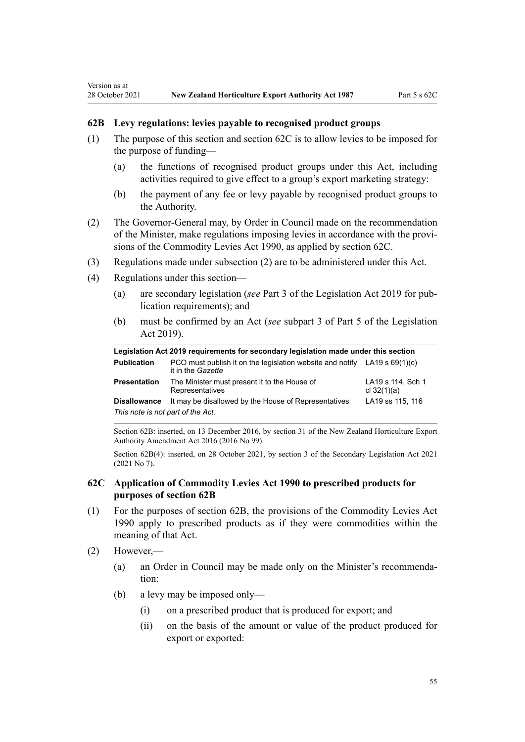#### **62B Levy regulations: levies payable to recognised product groups**

- (1) The purpose of this section and section 62C is to allow levies to be imposed for the purpose of funding—
	- (a) the functions of recognised product groups under this Act, including activities required to give effect to a group's export marketing strategy:
	- (b) the payment of any fee or levy payable by recognised product groups to the Authority.
- (2) The Governor-General may, by Order in Council made on the recommendation of the Minister, make regulations imposing levies in accordance with the provi‐ sions of the [Commodity Levies Act 1990,](http://legislation.govt.nz/pdflink.aspx?id=DLM226673) as applied by section 62C.
- (3) Regulations made under subsection (2) are to be administered under this Act.
- (4) Regulations under this section—

<span id="page-54-0"></span>Version as at

- (a) are secondary legislation (*see* [Part 3](http://legislation.govt.nz/pdflink.aspx?id=DLM7298343) of the Legislation Act 2019 for pub‐ lication requirements); and
- (b) must be confirmed by an Act (*see* [subpart 3](http://legislation.govt.nz/pdflink.aspx?id=DLM7298438) of Part 5 of the Legislation Act 2019).

| Legislation Act 2019 requirements for secondary legislation made under this section |                                                                                                  |                                    |  |
|-------------------------------------------------------------------------------------|--------------------------------------------------------------------------------------------------|------------------------------------|--|
| <b>Publication</b>                                                                  | PCO must publish it on the legislation website and notify LA19 s $69(1)(c)$<br>it in the Gazette |                                    |  |
| <b>Presentation</b>                                                                 | The Minister must present it to the House of<br>Representatives                                  | LA19 s 114, Sch 1<br>cl $32(1)(a)$ |  |
| <b>Disallowance</b>                                                                 | It may be disallowed by the House of Representatives                                             | LA19 ss 115, 116                   |  |
| This note is not part of the Act.                                                   |                                                                                                  |                                    |  |

Section 62B: inserted, on 13 December 2016, by [section 31](http://legislation.govt.nz/pdflink.aspx?id=DLM6675698) of the New Zealand Horticulture Export Authority Amendment Act 2016 (2016 No 99).

Section 62B(4): inserted, on 28 October 2021, by [section 3](http://legislation.govt.nz/pdflink.aspx?id=LMS268932) of the Secondary Legislation Act 2021 (2021 No 7).

# **62C Application of Commodity Levies Act 1990 to prescribed products for purposes of section 62B**

- (1) For the purposes of section 62B, the provisions of the [Commodity Levies Act](http://legislation.govt.nz/pdflink.aspx?id=DLM226673) [1990](http://legislation.govt.nz/pdflink.aspx?id=DLM226673) apply to prescribed products as if they were commodities within the meaning of that Act.
- (2) However,—
	- (a) an Order in Council may be made only on the Minister's recommenda‐ tion:
	- (b) a levy may be imposed only—
		- (i) on a prescribed product that is produced for export; and
		- (ii) on the basis of the amount or value of the product produced for export or exported: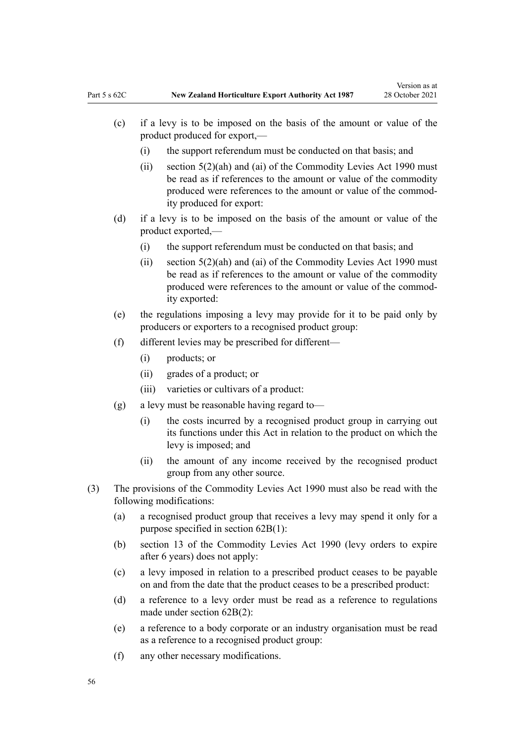- (c) if a levy is to be imposed on the basis of the amount or value of the product produced for export,—
	- (i) the support referendum must be conducted on that basis; and
	- (ii) [section 5\(2\)\(ah\) and \(ai\)](http://legislation.govt.nz/pdflink.aspx?id=DLM227327) of the Commodity Levies Act 1990 must be read as if references to the amount or value of the commodity produced were references to the amount or value of the commod‐ ity produced for export:
- (d) if a levy is to be imposed on the basis of the amount or value of the product exported,—
	- (i) the support referendum must be conducted on that basis; and
	- (ii) section  $5(2)(ah)$  and (ai) of the Commodity Levies Act 1990 must be read as if references to the amount or value of the commodity produced were references to the amount or value of the commod‐ ity exported:
- (e) the regulations imposing a levy may provide for it to be paid only by producers or exporters to a recognised product group:
- (f) different levies may be prescribed for different—
	- (i) products; or
	- (ii) grades of a product; or
	- (iii) varieties or cultivars of a product:
- (g) a levy must be reasonable having regard to—
	- (i) the costs incurred by a recognised product group in carrying out its functions under this Act in relation to the product on which the levy is imposed; and
	- (ii) the amount of any income received by the recognised product group from any other source.
- (3) The provisions of the [Commodity Levies Act 1990](http://legislation.govt.nz/pdflink.aspx?id=DLM226673) must also be read with the following modifications:
	- (a) a recognised product group that receives a levy may spend it only for a purpose specified in [section 62B\(1\):](#page-54-0)
	- (b) [section 13](http://legislation.govt.nz/pdflink.aspx?id=DLM227338) of the Commodity Levies Act 1990 (levy orders to expire after 6 years) does not apply:
	- (c) a levy imposed in relation to a prescribed product ceases to be payable on and from the date that the product ceases to be a prescribed product:
	- (d) a reference to a levy order must be read as a reference to regulations made under [section 62B\(2\)](#page-54-0):
	- (e) a reference to a body corporate or an industry organisation must be read as a reference to a recognised product group:
	- (f) any other necessary modifications.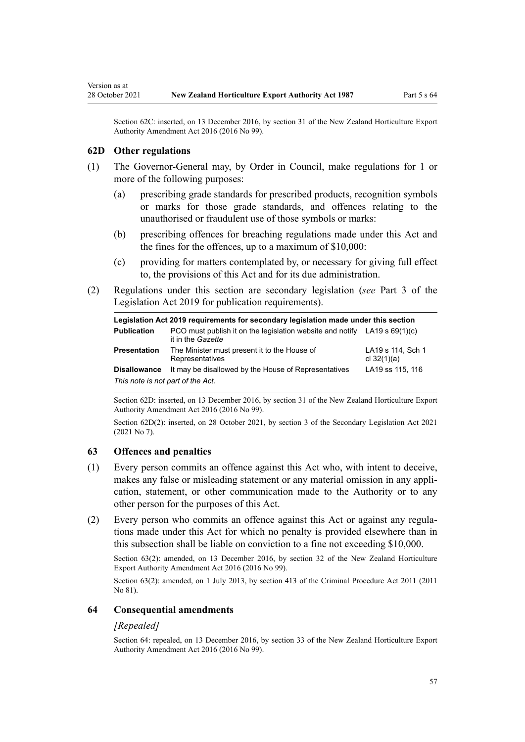Section 62C: inserted, on 13 December 2016, by [section 31](http://legislation.govt.nz/pdflink.aspx?id=DLM6675698) of the New Zealand Horticulture Export Authority Amendment Act 2016 (2016 No 99).

#### **62D Other regulations**

<span id="page-56-0"></span>Version as at

- (1) The Governor-General may, by Order in Council, make regulations for 1 or more of the following purposes:
	- (a) prescribing grade standards for prescribed products, recognition symbols or marks for those grade standards, and offences relating to the unauthorised or fraudulent use of those symbols or marks:
	- (b) prescribing offences for breaching regulations made under this Act and the fines for the offences, up to a maximum of \$10,000:
	- (c) providing for matters contemplated by, or necessary for giving full effect to, the provisions of this Act and for its due administration.
- (2) Regulations under this section are secondary legislation (*see* [Part 3](http://legislation.govt.nz/pdflink.aspx?id=DLM7298343) of the Legislation Act 2019 for publication requirements).

| Legislation Act 2019 requirements for secondary legislation made under this section |                                                                                                  |                                    |  |
|-------------------------------------------------------------------------------------|--------------------------------------------------------------------------------------------------|------------------------------------|--|
| <b>Publication</b>                                                                  | PCO must publish it on the legislation website and notify LA19 s $69(1)(c)$<br>it in the Gazette |                                    |  |
| <b>Presentation</b>                                                                 | The Minister must present it to the House of<br>Representatives                                  | LA19 s 114, Sch 1<br>cl $32(1)(a)$ |  |
| <b>Disallowance</b>                                                                 | It may be disallowed by the House of Representatives                                             | LA19 ss 115, 116                   |  |
| This note is not part of the Act.                                                   |                                                                                                  |                                    |  |

Section 62D: inserted, on 13 December 2016, by [section 31](http://legislation.govt.nz/pdflink.aspx?id=DLM6675698) of the New Zealand Horticulture Export Authority Amendment Act 2016 (2016 No 99).

Section 62D(2): inserted, on 28 October 2021, by [section 3](http://legislation.govt.nz/pdflink.aspx?id=LMS268932) of the Secondary Legislation Act 2021 (2021 No 7).

#### **63 Offences and penalties**

- (1) Every person commits an offence against this Act who, with intent to deceive, makes any false or misleading statement or any material omission in any application, statement, or other communication made to the Authority or to any other person for the purposes of this Act.
- (2) Every person who commits an offence against this Act or against any regula‐ tions made under this Act for which no penalty is provided elsewhere than in this subsection shall be liable on conviction to a fine not exceeding \$10,000.

Section 63(2): amended, on 13 December 2016, by [section 32](http://legislation.govt.nz/pdflink.aspx?id=DLM6675703) of the New Zealand Horticulture Export Authority Amendment Act 2016 (2016 No 99).

Section 63(2): amended, on 1 July 2013, by [section 413](http://legislation.govt.nz/pdflink.aspx?id=DLM3360714) of the Criminal Procedure Act 2011 (2011 No 81).

#### **64 Consequential amendments**

#### *[Repealed]*

Section 64: repealed, on 13 December 2016, by [section 33](http://legislation.govt.nz/pdflink.aspx?id=DLM6675704) of the New Zealand Horticulture Export Authority Amendment Act 2016 (2016 No 99).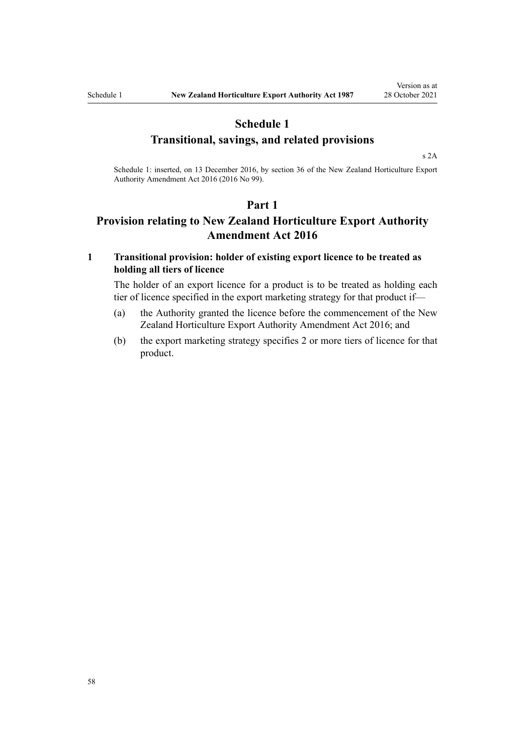# <span id="page-57-0"></span>**Schedule 1 Transitional, savings, and related provisions**

[s 2A](#page-6-0)

Schedule 1: inserted, on 13 December 2016, by [section 36](http://legislation.govt.nz/pdflink.aspx?id=DLM6675710) of the New Zealand Horticulture Export Authority Amendment Act 2016 (2016 No 99).

#### **Part 1**

# **Provision relating to New Zealand Horticulture Export Authority Amendment Act 2016**

# **1 Transitional provision: holder of existing export licence to be treated as holding all tiers of licence**

The holder of an export licence for a product is to be treated as holding each tier of licence specified in the export marketing strategy for that product if—

- (a) the Authority granted the licence before the commencement of the [New](http://legislation.govt.nz/pdflink.aspx?id=DLM6675602) [Zealand Horticulture Export Authority Amendment Act 2016](http://legislation.govt.nz/pdflink.aspx?id=DLM6675602); and
- (b) the export marketing strategy specifies 2 or more tiers of licence for that product.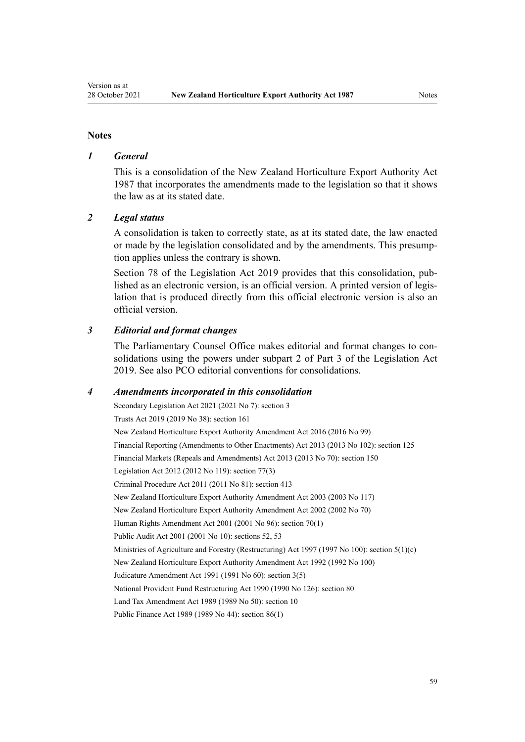#### **Notes**

#### *1 General*

This is a consolidation of the New Zealand Horticulture Export Authority Act 1987 that incorporates the amendments made to the legislation so that it shows the law as at its stated date.

#### *2 Legal status*

A consolidation is taken to correctly state, as at its stated date, the law enacted or made by the legislation consolidated and by the amendments. This presump‐ tion applies unless the contrary is shown.

[Section 78](http://legislation.govt.nz/pdflink.aspx?id=DLM7298365) of the Legislation Act 2019 provides that this consolidation, published as an electronic version, is an official version. A printed version of legis‐ lation that is produced directly from this official electronic version is also an official version.

#### *3 Editorial and format changes*

The Parliamentary Counsel Office makes editorial and format changes to con‐ solidations using the powers under [subpart 2](http://legislation.govt.nz/pdflink.aspx?id=DLM7298371) of Part 3 of the Legislation Act 2019. See also [PCO editorial conventions for consolidations](http://www.pco.govt.nz/editorial-conventions/).

#### *4 Amendments incorporated in this consolidation*

Secondary Legislation Act 2021 (2021 No 7): [section 3](http://legislation.govt.nz/pdflink.aspx?id=LMS268932) Trusts Act 2019 (2019 No 38): [section 161](http://legislation.govt.nz/pdflink.aspx?id=DLM7383110) [New Zealand Horticulture Export Authority Amendment Act 2016](http://legislation.govt.nz/pdflink.aspx?id=DLM6675602) (2016 No 99) Financial Reporting (Amendments to Other Enactments) Act 2013 (2013 No 102): [section 125](http://legislation.govt.nz/pdflink.aspx?id=DLM5740664) Financial Markets (Repeals and Amendments) Act 2013 (2013 No 70): [section 150](http://legislation.govt.nz/pdflink.aspx?id=DLM5561603) Legislation Act 2012 (2012 No 119): [section 77\(3\)](http://legislation.govt.nz/pdflink.aspx?id=DLM2998633) Criminal Procedure Act 2011 (2011 No 81): [section 413](http://legislation.govt.nz/pdflink.aspx?id=DLM3360714) [New Zealand Horticulture Export Authority Amendment Act 2003](http://legislation.govt.nz/pdflink.aspx?id=DLM226208) (2003 No 117) [New Zealand Horticulture Export Authority Amendment Act 2002](http://legislation.govt.nz/pdflink.aspx?id=DLM169053) (2002 No 70) Human Rights Amendment Act 2001 (2001 No 96): [section 70\(1\)](http://legislation.govt.nz/pdflink.aspx?id=DLM122579) Public Audit Act 2001 (2001 No 10): [sections 52](http://legislation.govt.nz/pdflink.aspx?id=DLM88956), [53](http://legislation.govt.nz/pdflink.aspx?id=DLM88957) Ministries of Agriculture and Forestry (Restructuring) Act 1997 (1997 No 100): [section 5\(1\)\(c\)](http://legislation.govt.nz/pdflink.aspx?id=DLM418619) [New Zealand Horticulture Export Authority Amendment Act 1992](http://legislation.govt.nz/pdflink.aspx?id=DLM280613) (1992 No 100) Judicature Amendment Act 1991 (1991 No 60): [section 3\(5\)](http://legislation.govt.nz/pdflink.aspx?id=DLM230219) National Provident Fund Restructuring Act 1990 (1990 No 126): [section 80](http://legislation.govt.nz/pdflink.aspx?id=DLM226616) Land Tax Amendment Act 1989 (1989 No 50): section 10 Public Finance Act 1989 (1989 No 44): [section 86\(1\)](http://legislation.govt.nz/pdflink.aspx?id=DLM163175)